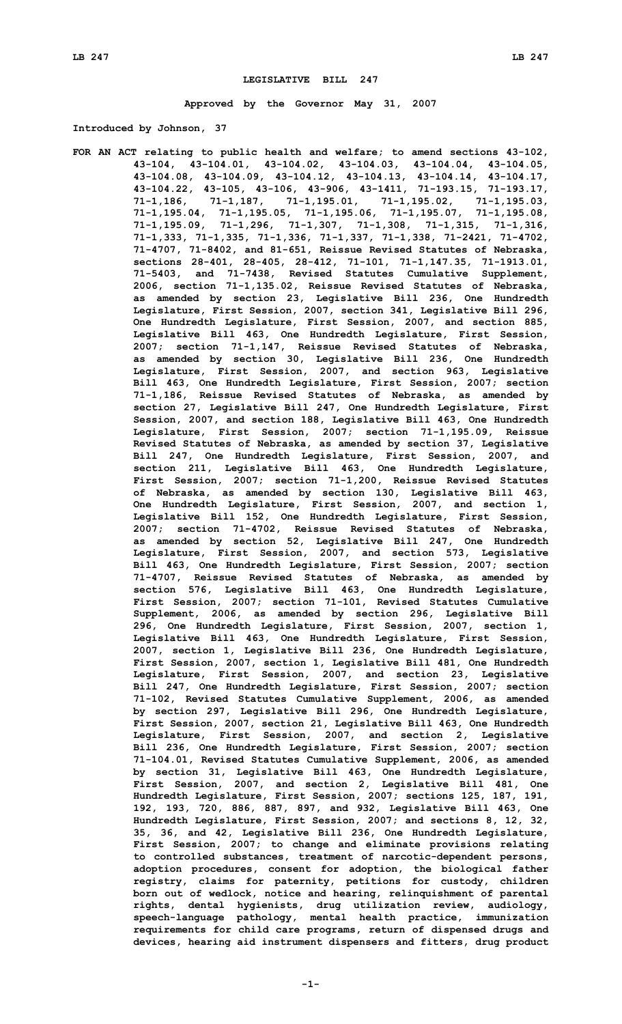# **LEGISLATIVE BILL 247**

**Approved by the Governor May 31, 2007**

**Introduced by Johnson, 37**

**FOR AN ACT relating to public health and welfare; to amend sections 43-102, 43-104, 43-104.01, 43-104.02, 43-104.03, 43-104.04, 43-104.05, 43-104.08, 43-104.09, 43-104.12, 43-104.13, 43-104.14, 43-104.17, 43-104.22, 43-105, 43-106, 43-906, 43-1411, 71-193.15, 71-193.17, 71-1,186, 71-1,187, 71-1,195.01, 71-1,195.02, 71-1,195.03, 71-1,195.04, 71-1,195.05, 71-1,195.06, 71-1,195.07, 71-1,195.08, 71-1,195.09, 71-1,296, 71-1,307, 71-1,308, 71-1,315, 71-1,316, 71-1,333, 71-1,335, 71-1,336, 71-1,337, 71-1,338, 71-2421, 71-4702, 71-4707, 71-8402, and 81-651, Reissue Revised Statutes of Nebraska, sections 28-401, 28-405, 28-412, 71-101, 71-1,147.35, 71-1913.01, 71-5403, and 71-7438, Revised Statutes Cumulative Supplement, 2006, section 71-1,135.02, Reissue Revised Statutes of Nebraska, as amended by section 23, Legislative Bill 236, One Hundredth Legislature, First Session, 2007, section 341, Legislative Bill 296, One Hundredth Legislature, First Session, 2007, and section 885, Legislative Bill 463, One Hundredth Legislature, First Session, 2007; section 71-1,147, Reissue Revised Statutes of Nebraska, as amended by section 30, Legislative Bill 236, One Hundredth Legislature, First Session, 2007, and section 963, Legislative Bill 463, One Hundredth Legislature, First Session, 2007; section 71-1,186, Reissue Revised Statutes of Nebraska, as amended by section 27, Legislative Bill 247, One Hundredth Legislature, First Session, 2007, and section 188, Legislative Bill 463, One Hundredth Legislature, First Session, 2007; section 71-1,195.09, Reissue Revised Statutes of Nebraska, as amended by section 37, Legislative Bill 247, One Hundredth Legislature, First Session, 2007, and section 211, Legislative Bill 463, One Hundredth Legislature, First Session, 2007; section 71-1,200, Reissue Revised Statutes of Nebraska, as amended by section 130, Legislative Bill 463, One Hundredth Legislature, First Session, 2007, and section 1, Legislative Bill 152, One Hundredth Legislature, First Session, 2007; section 71-4702, Reissue Revised Statutes of Nebraska, as amended by section 52, Legislative Bill 247, One Hundredth Legislature, First Session, 2007, and section 573, Legislative Bill 463, One Hundredth Legislature, First Session, 2007; section 71-4707, Reissue Revised Statutes of Nebraska, as amended by section 576, Legislative Bill 463, One Hundredth Legislature, First Session, 2007; section 71-101, Revised Statutes Cumulative Supplement, 2006, as amended by section 296, Legislative Bill 296, One Hundredth Legislature, First Session, 2007, section 1, Legislative Bill 463, One Hundredth Legislature, First Session, 2007, section 1, Legislative Bill 236, One Hundredth Legislature, First Session, 2007, section 1, Legislative Bill 481, One Hundredth Legislature, First Session, 2007, and section 23, Legislative Bill 247, One Hundredth Legislature, First Session, 2007; section 71-102, Revised Statutes Cumulative Supplement, 2006, as amended by section 297, Legislative Bill 296, One Hundredth Legislature, First Session, 2007, section 21, Legislative Bill 463, One Hundredth Legislature, First Session, 2007, and section 2, Legislative Bill 236, One Hundredth Legislature, First Session, 2007; section 71-104.01, Revised Statutes Cumulative Supplement, 2006, as amended by section 31, Legislative Bill 463, One Hundredth Legislature, First Session, 2007, and section 2, Legislative Bill 481, One Hundredth Legislature, First Session, 2007; sections 125, 187, 191, 192, 193, 720, 886, 887, 897, and 932, Legislative Bill 463, One Hundredth Legislature, First Session, 2007; and sections 8, 12, 32, 35, 36, and 42, Legislative Bill 236, One Hundredth Legislature, First Session, 2007; to change and eliminate provisions relating to controlled substances, treatment of narcotic-dependent persons, adoption procedures, consent for adoption, the biological father registry, claims for paternity, petitions for custody, children born out of wedlock, notice and hearing, relinquishment of parental rights, dental hygienists, drug utilization review, audiology, speech-language pathology, mental health practice, immunization requirements for child care programs, return of dispensed drugs and devices, hearing aid instrument dispensers and fitters, drug product**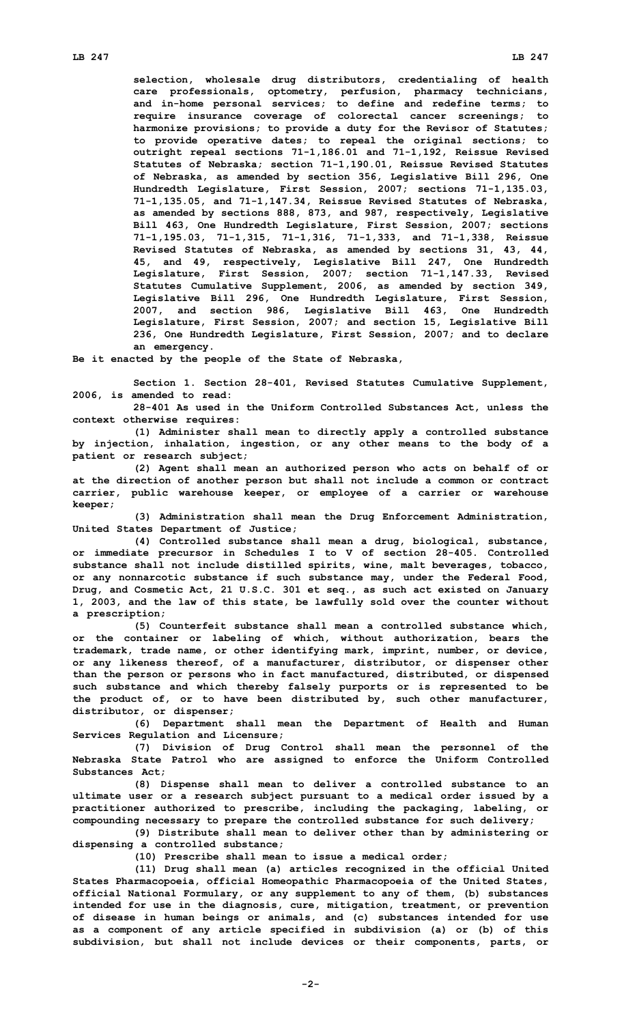**selection, wholesale drug distributors, credentialing of health care professionals, optometry, perfusion, pharmacy technicians, and in-home personal services; to define and redefine terms; to require insurance coverage of colorectal cancer screenings; to harmonize provisions; to provide <sup>a</sup> duty for the Revisor of Statutes; to provide operative dates; to repeal the original sections; to outright repeal sections 71-1,186.01 and 71-1,192, Reissue Revised Statutes of Nebraska; section 71-1,190.01, Reissue Revised Statutes of Nebraska, as amended by section 356, Legislative Bill 296, One Hundredth Legislature, First Session, 2007; sections 71-1,135.03, 71-1,135.05, and 71-1,147.34, Reissue Revised Statutes of Nebraska, as amended by sections 888, 873, and 987, respectively, Legislative Bill 463, One Hundredth Legislature, First Session, 2007; sections 71-1,195.03, 71-1,315, 71-1,316, 71-1,333, and 71-1,338, Reissue Revised Statutes of Nebraska, as amended by sections 31, 43, 44, 45, and 49, respectively, Legislative Bill 247, One Hundredth Legislature, First Session, 2007; section 71-1,147.33, Revised Statutes Cumulative Supplement, 2006, as amended by section 349, Legislative Bill 296, One Hundredth Legislature, First Session, 2007, and section 986, Legislative Bill 463, One Hundredth Legislature, First Session, 2007; and section 15, Legislative Bill 236, One Hundredth Legislature, First Session, 2007; and to declare an emergency.**

**Be it enacted by the people of the State of Nebraska,**

**Section 1. Section 28-401, Revised Statutes Cumulative Supplement, 2006, is amended to read:**

**28-401 As used in the Uniform Controlled Substances Act, unless the context otherwise requires:**

**(1) Administer shall mean to directly apply <sup>a</sup> controlled substance by injection, inhalation, ingestion, or any other means to the body of <sup>a</sup> patient or research subject;**

**(2) Agent shall mean an authorized person who acts on behalf of or at the direction of another person but shall not include <sup>a</sup> common or contract carrier, public warehouse keeper, or employee of <sup>a</sup> carrier or warehouse keeper;**

**(3) Administration shall mean the Drug Enforcement Administration, United States Department of Justice;**

**(4) Controlled substance shall mean <sup>a</sup> drug, biological, substance, or immediate precursor in Schedules <sup>I</sup> to <sup>V</sup> of section 28-405. Controlled substance shall not include distilled spirits, wine, malt beverages, tobacco, or any nonnarcotic substance if such substance may, under the Federal Food, Drug, and Cosmetic Act, 21 U.S.C. 301 et seq., as such act existed on January 1, 2003, and the law of this state, be lawfully sold over the counter without <sup>a</sup> prescription;**

**(5) Counterfeit substance shall mean <sup>a</sup> controlled substance which, or the container or labeling of which, without authorization, bears the trademark, trade name, or other identifying mark, imprint, number, or device, or any likeness thereof, of <sup>a</sup> manufacturer, distributor, or dispenser other than the person or persons who in fact manufactured, distributed, or dispensed such substance and which thereby falsely purports or is represented to be the product of, or to have been distributed by, such other manufacturer, distributor, or dispenser;**

**(6) Department shall mean the Department of Health and Human Services Regulation and Licensure;**

**(7) Division of Drug Control shall mean the personnel of the Nebraska State Patrol who are assigned to enforce the Uniform Controlled Substances Act;**

**(8) Dispense shall mean to deliver <sup>a</sup> controlled substance to an ultimate user or <sup>a</sup> research subject pursuant to <sup>a</sup> medical order issued by <sup>a</sup> practitioner authorized to prescribe, including the packaging, labeling, or compounding necessary to prepare the controlled substance for such delivery;**

**(9) Distribute shall mean to deliver other than by administering or dispensing <sup>a</sup> controlled substance;**

**(10) Prescribe shall mean to issue <sup>a</sup> medical order;**

**(11) Drug shall mean (a) articles recognized in the official United States Pharmacopoeia, official Homeopathic Pharmacopoeia of the United States, official National Formulary, or any supplement to any of them, (b) substances intended for use in the diagnosis, cure, mitigation, treatment, or prevention of disease in human beings or animals, and (c) substances intended for use as <sup>a</sup> component of any article specified in subdivision (a) or (b) of this subdivision, but shall not include devices or their components, parts, or**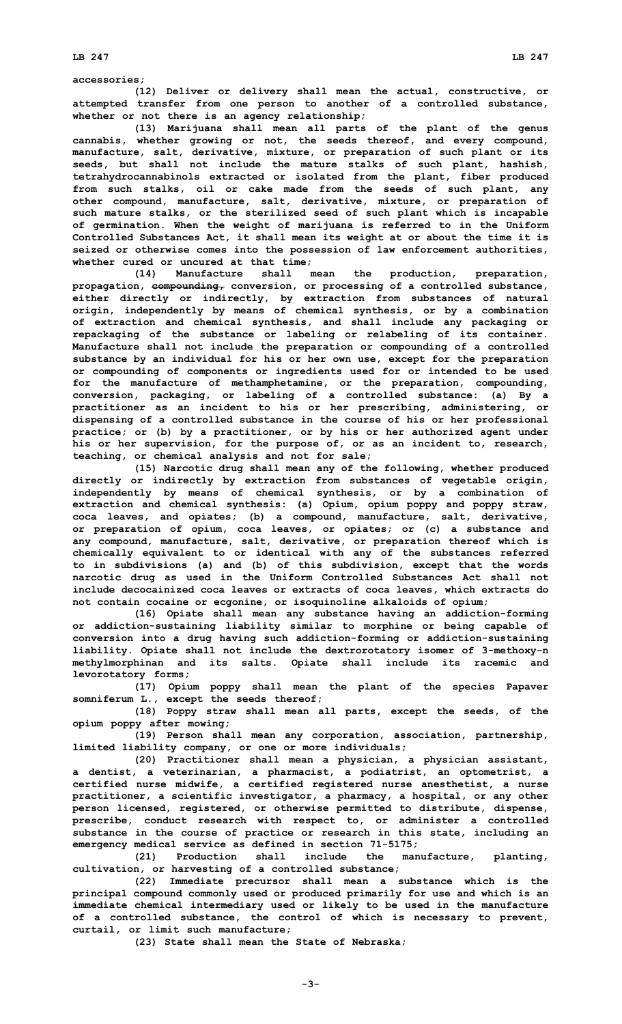#### **accessories;**

**(12) Deliver or delivery shall mean the actual, constructive, or attempted transfer from one person to another of <sup>a</sup> controlled substance, whether or not there is an agency relationship;**

**(13) Marijuana shall mean all parts of the plant of the genus cannabis, whether growing or not, the seeds thereof, and every compound, manufacture, salt, derivative, mixture, or preparation of such plant or its seeds, but shall not include the mature stalks of such plant, hashish, tetrahydrocannabinols extracted or isolated from the plant, fiber produced from such stalks, oil or cake made from the seeds of such plant, any other compound, manufacture, salt, derivative, mixture, or preparation of such mature stalks, or the sterilized seed of such plant which is incapable of germination. When the weight of marijuana is referred to in the Uniform Controlled Substances Act, it shall mean its weight at or about the time it is seized or otherwise comes into the possession of law enforcement authorities, whether cured or uncured at that time;**

**(14) Manufacture shall mean the production, preparation, propagation, compounding, conversion, or processing of <sup>a</sup> controlled substance, either directly or indirectly, by extraction from substances of natural origin, independently by means of chemical synthesis, or by <sup>a</sup> combination of extraction and chemical synthesis, and shall include any packaging or repackaging of the substance or labeling or relabeling of its container. Manufacture shall not include the preparation or compounding of <sup>a</sup> controlled substance by an individual for his or her own use, except for the preparation or compounding of components or ingredients used for or intended to be used for the manufacture of methamphetamine, or the preparation, compounding, conversion, packaging, or labeling of <sup>a</sup> controlled substance: (a) By <sup>a</sup> practitioner as an incident to his or her prescribing, administering, or dispensing of <sup>a</sup> controlled substance in the course of his or her professional practice; or (b) by <sup>a</sup> practitioner, or by his or her authorized agent under his or her supervision, for the purpose of, or as an incident to, research, teaching, or chemical analysis and not for sale;**

**(15) Narcotic drug shall mean any of the following, whether produced directly or indirectly by extraction from substances of vegetable origin, independently by means of chemical synthesis, or by <sup>a</sup> combination of extraction and chemical synthesis: (a) Opium, opium poppy and poppy straw, coca leaves, and opiates; (b) <sup>a</sup> compound, manufacture, salt, derivative, or preparation of opium, coca leaves, or opiates; or (c) <sup>a</sup> substance and any compound, manufacture, salt, derivative, or preparation thereof which is chemically equivalent to or identical with any of the substances referred to in subdivisions (a) and (b) of this subdivision, except that the words narcotic drug as used in the Uniform Controlled Substances Act shall not include decocainized coca leaves or extracts of coca leaves, which extracts do not contain cocaine or ecgonine, or isoquinoline alkaloids of opium;**

**(16) Opiate shall mean any substance having an addiction-forming or addiction-sustaining liability similar to morphine or being capable of conversion into <sup>a</sup> drug having such addiction-forming or addiction-sustaining liability. Opiate shall not include the dextrorotatory isomer of 3-methoxy-n methylmorphinan and its salts. Opiate shall include its racemic and levorotatory forms;**

**(17) Opium poppy shall mean the plant of the species Papaver somniferum L., except the seeds thereof;**

**(18) Poppy straw shall mean all parts, except the seeds, of the opium poppy after mowing;**

**(19) Person shall mean any corporation, association, partnership, limited liability company, or one or more individuals;**

**(20) Practitioner shall mean <sup>a</sup> physician, <sup>a</sup> physician assistant, <sup>a</sup> dentist, <sup>a</sup> veterinarian, <sup>a</sup> pharmacist, <sup>a</sup> podiatrist, an optometrist, <sup>a</sup> certified nurse midwife, <sup>a</sup> certified registered nurse anesthetist, <sup>a</sup> nurse practitioner, <sup>a</sup> scientific investigator, <sup>a</sup> pharmacy, <sup>a</sup> hospital, or any other person licensed, registered, or otherwise permitted to distribute, dispense, prescribe, conduct research with respect to, or administer <sup>a</sup> controlled substance in the course of practice or research in this state, including an emergency medical service as defined in section 71-5175;**

**(21) Production shall include the manufacture, planting, cultivation, or harvesting of <sup>a</sup> controlled substance;**

**(22) Immediate precursor shall mean <sup>a</sup> substance which is the principal compound commonly used or produced primarily for use and which is an immediate chemical intermediary used or likely to be used in the manufacture of <sup>a</sup> controlled substance, the control of which is necessary to prevent, curtail, or limit such manufacture;**

**(23) State shall mean the State of Nebraska;**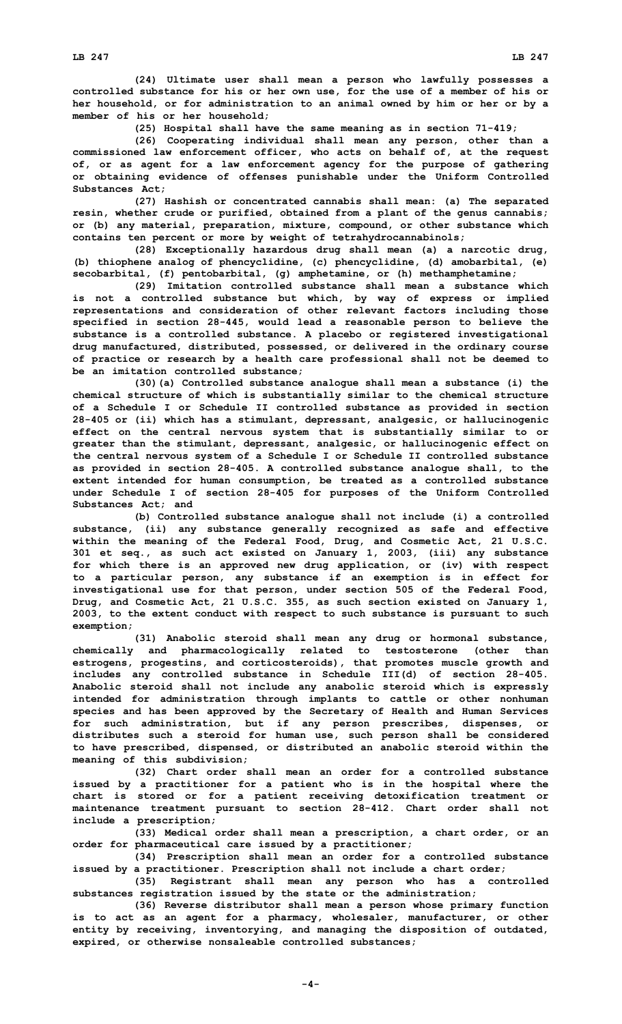**(24) Ultimate user shall mean <sup>a</sup> person who lawfully possesses <sup>a</sup> controlled substance for his or her own use, for the use of <sup>a</sup> member of his or her household, or for administration to an animal owned by him or her or by <sup>a</sup> member of his or her household;**

**(25) Hospital shall have the same meaning as in section 71-419;**

**(26) Cooperating individual shall mean any person, other than <sup>a</sup> commissioned law enforcement officer, who acts on behalf of, at the request of, or as agent for <sup>a</sup> law enforcement agency for the purpose of gathering or obtaining evidence of offenses punishable under the Uniform Controlled Substances Act;**

**(27) Hashish or concentrated cannabis shall mean: (a) The separated resin, whether crude or purified, obtained from <sup>a</sup> plant of the genus cannabis; or (b) any material, preparation, mixture, compound, or other substance which contains ten percent or more by weight of tetrahydrocannabinols;**

**(28) Exceptionally hazardous drug shall mean (a) <sup>a</sup> narcotic drug, (b) thiophene analog of phencyclidine, (c) phencyclidine, (d) amobarbital, (e) secobarbital, (f) pentobarbital, (g) amphetamine, or (h) methamphetamine;**

**(29) Imitation controlled substance shall mean <sup>a</sup> substance which is not <sup>a</sup> controlled substance but which, by way of express or implied representations and consideration of other relevant factors including those specified in section 28-445, would lead <sup>a</sup> reasonable person to believe the substance is <sup>a</sup> controlled substance. A placebo or registered investigational drug manufactured, distributed, possessed, or delivered in the ordinary course of practice or research by <sup>a</sup> health care professional shall not be deemed to be an imitation controlled substance;**

**(30)(a) Controlled substance analogue shall mean <sup>a</sup> substance (i) the chemical structure of which is substantially similar to the chemical structure of <sup>a</sup> Schedule I or Schedule II controlled substance as provided in section 28-405 or (ii) which has <sup>a</sup> stimulant, depressant, analgesic, or hallucinogenic effect on the central nervous system that is substantially similar to or greater than the stimulant, depressant, analgesic, or hallucinogenic effect on the central nervous system of <sup>a</sup> Schedule I or Schedule II controlled substance as provided in section 28-405. <sup>A</sup> controlled substance analogue shall, to the extent intended for human consumption, be treated as <sup>a</sup> controlled substance under Schedule <sup>I</sup> of section 28-405 for purposes of the Uniform Controlled Substances Act; and**

**(b) Controlled substance analogue shall not include (i) <sup>a</sup> controlled substance, (ii) any substance generally recognized as safe and effective within the meaning of the Federal Food, Drug, and Cosmetic Act, 21 U.S.C. 301 et seq., as such act existed on January 1, 2003, (iii) any substance for which there is an approved new drug application, or (iv) with respect to <sup>a</sup> particular person, any substance if an exemption is in effect for investigational use for that person, under section 505 of the Federal Food, Drug, and Cosmetic Act, 21 U.S.C. 355, as such section existed on January 1, 2003, to the extent conduct with respect to such substance is pursuant to such exemption;**

**(31) Anabolic steroid shall mean any drug or hormonal substance, chemically and pharmacologically related to testosterone (other than estrogens, progestins, and corticosteroids), that promotes muscle growth and includes any controlled substance in Schedule III(d) of section 28-405. Anabolic steroid shall not include any anabolic steroid which is expressly intended for administration through implants to cattle or other nonhuman species and has been approved by the Secretary of Health and Human Services for such administration, but if any person prescribes, dispenses, or distributes such <sup>a</sup> steroid for human use, such person shall be considered to have prescribed, dispensed, or distributed an anabolic steroid within the meaning of this subdivision;**

**(32) Chart order shall mean an order for <sup>a</sup> controlled substance issued by <sup>a</sup> practitioner for <sup>a</sup> patient who is in the hospital where the chart is stored or for <sup>a</sup> patient receiving detoxification treatment or maintenance treatment pursuant to section 28-412. Chart order shall not include <sup>a</sup> prescription;**

**(33) Medical order shall mean <sup>a</sup> prescription, <sup>a</sup> chart order, or an order for pharmaceutical care issued by <sup>a</sup> practitioner;**

**(34) Prescription shall mean an order for <sup>a</sup> controlled substance issued by <sup>a</sup> practitioner. Prescription shall not include <sup>a</sup> chart order;**

**(35) Registrant shall mean any person who has <sup>a</sup> controlled substances registration issued by the state or the administration;**

**(36) Reverse distributor shall mean <sup>a</sup> person whose primary function is to act as an agent for <sup>a</sup> pharmacy, wholesaler, manufacturer, or other entity by receiving, inventorying, and managing the disposition of outdated, expired, or otherwise nonsaleable controlled substances;**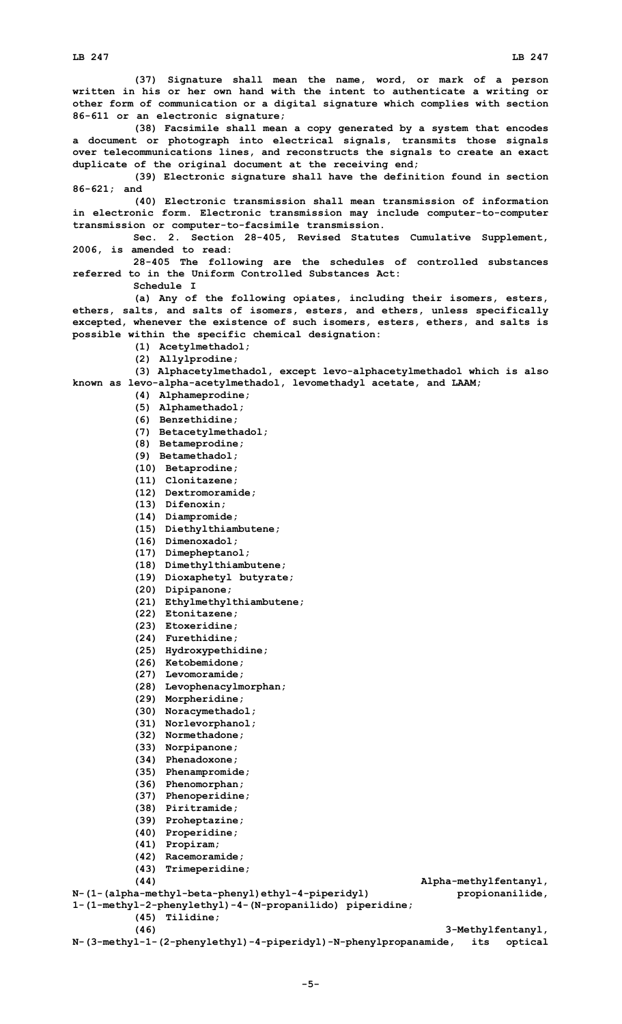**(37) Signature shall mean the name, word, or mark of <sup>a</sup> person written in his or her own hand with the intent to authenticate <sup>a</sup> writing or other form of communication or <sup>a</sup> digital signature which complies with section 86-611 or an electronic signature;**

**(38) Facsimile shall mean <sup>a</sup> copy generated by <sup>a</sup> system that encodes <sup>a</sup> document or photograph into electrical signals, transmits those signals over telecommunications lines, and reconstructs the signals to create an exact duplicate of the original document at the receiving end;**

**(39) Electronic signature shall have the definition found in section 86-621; and**

**(40) Electronic transmission shall mean transmission of information in electronic form. Electronic transmission may include computer-to-computer transmission or computer-to-facsimile transmission.**

**Sec. 2. Section 28-405, Revised Statutes Cumulative Supplement, 2006, is amended to read:**

**28-405 The following are the schedules of controlled substances referred to in the Uniform Controlled Substances Act:**

**Schedule I**

**(a) Any of the following opiates, including their isomers, esters, ethers, salts, and salts of isomers, esters, and ethers, unless specifically excepted, whenever the existence of such isomers, esters, ethers, and salts is possible within the specific chemical designation:**

- **(1) Acetylmethadol;**
- **(2) Allylprodine;**

**(3) Alphacetylmethadol, except levo-alphacetylmethadol which is also known as levo-alpha-acetylmethadol, levomethadyl acetate, and LAAM;**

- **(4) Alphameprodine;**
- **(5) Alphamethadol;**
- **(6) Benzethidine;**
- **(7) Betacetylmethadol;**
- **(8) Betameprodine;**
- **(9) Betamethadol;**
- **(10) Betaprodine;**
- **(11) Clonitazene;**
- **(12) Dextromoramide;**
- **(13) Difenoxin;**
- **(14) Diampromide;**
- **(15) Diethylthiambutene;**
- **(16) Dimenoxadol;**
- **(17) Dimepheptanol;**
- **(18) Dimethylthiambutene;**
- **(19) Dioxaphetyl butyrate;**
- **(20) Dipipanone;**
- **(21) Ethylmethylthiambutene;**
- **(22) Etonitazene;**
- **(23) Etoxeridine;**
- **(24) Furethidine;**
- **(25) Hydroxypethidine;**
- **(26) Ketobemidone;**
- **(27) Levomoramide;**
- **(28) Levophenacylmorphan;**
- **(29) Morpheridine;**
- **(30) Noracymethadol;**
- **(31) Norlevorphanol;**
- **(32) Normethadone;**
- **(33) Norpipanone;**
- **(34) Phenadoxone;**
- **(35) Phenampromide;**
- **(36) Phenomorphan;**
- **(37) Phenoperidine;**
- **(38) Piritramide;**
- **(39) Proheptazine;**
- 
- **(40) Properidine;**
- **(41) Propiram;**
- **(42) Racemoramide;**
- **(43) Trimeperidine;**

**(44) Alpha-methylfentanyl, N-(1-(alpha-methyl-beta-phenyl)ethyl-4-piperidyl) propionanilide,**

```
1-(1-methyl-2-phenylethyl)-4-(N-propanilido) piperidine;
(45) Tilidine;
```
**(46) 3-Methylfentanyl,**

**N-(3-methyl-1-(2-phenylethyl)-4-piperidyl)-N-phenylpropanamide, its optical**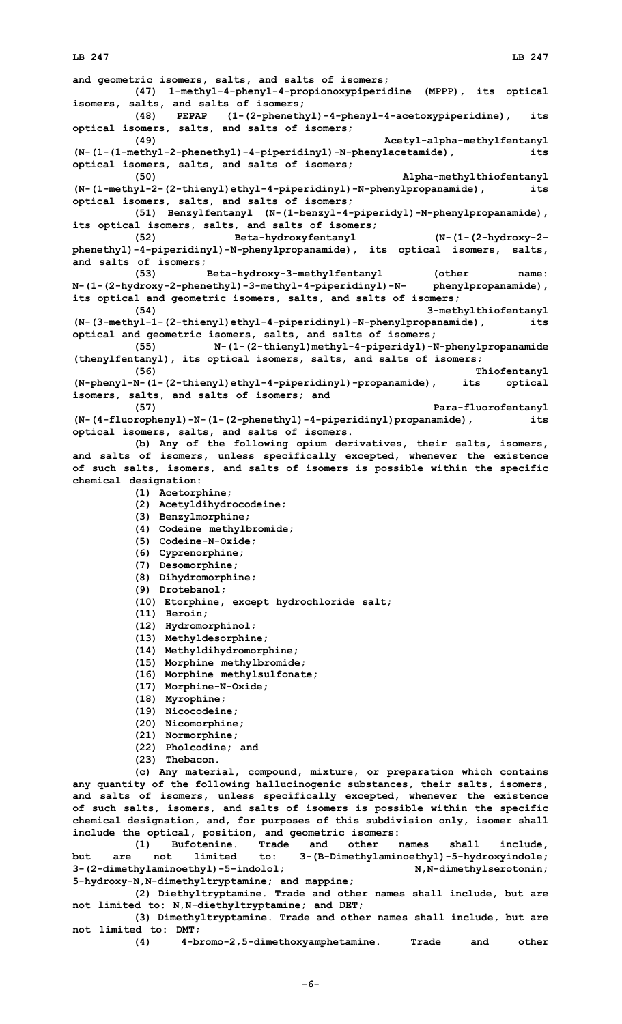### **LB 247 LB 247**

**and geometric isomers, salts, and salts of isomers; (47) 1-methyl-4-phenyl-4-propionoxypiperidine (MPPP), its optical isomers, salts, and salts of isomers; (48) PEPAP (1-(2-phenethyl)-4-phenyl-4-acetoxypiperidine), its optical isomers, salts, and salts of isomers; (49) Acetyl-alpha-methylfentanyl (N-(1-(1-methyl-2-phenethyl)-4-piperidinyl)-N-phenylacetamide), its optical isomers, salts, and salts of isomers; (50) Alpha-methylthiofentanyl (N-(1-methyl-2-(2-thienyl)ethyl-4-piperidinyl)-N-phenylpropanamide), its optical isomers, salts, and salts of isomers; (51) Benzylfentanyl (N-(1-benzyl-4-piperidyl)-N-phenylpropanamide), its optical isomers, salts, and salts of isomers; (52) Beta-hydroxyfentanyl (N-(1-(2-hydroxy-2 phenethyl)-4-piperidinyl)-N-phenylpropanamide), its optical isomers, salts, and salts of isomers; (53) Beta-hydroxy-3-methylfentanyl (other name: N-(1-(2-hydroxy-2-phenethyl)-3-methyl-4-piperidinyl)-N- phenylpropanamide), its optical and geometric isomers, salts, and salts of isomers; (54) 3-methylthiofentanyl (N-(3-methyl-1-(2-thienyl)ethyl-4-piperidinyl)-N-phenylpropanamide), its optical and geometric isomers, salts, and salts of isomers; (55) N-(1-(2-thienyl)methyl-4-piperidyl)-N-phenylpropanamide (thenylfentanyl), its optical isomers, salts, and salts of isomers; (56) Thiofentanyl (N-phenyl-N-(1-(2-thienyl)ethyl-4-piperidinyl)-propanamide), its optical isomers, salts, and salts of isomers; and (57) Para-fluorofentanyl** (N-(4-fluorophenyl)-N-(1-(2-phenethyl)-4-piperidinyl)propanamide), **optical isomers, salts, and salts of isomers. (b) Any of the following opium derivatives, their salts, isomers, and salts of isomers, unless specifically excepted, whenever the existence of such salts, isomers, and salts of isomers is possible within the specific chemical designation: (1) Acetorphine; (2) Acetyldihydrocodeine; (3) Benzylmorphine; (4) Codeine methylbromide; (5) Codeine-N-Oxide; (6) Cyprenorphine; (7) Desomorphine; (8) Dihydromorphine; (9) Drotebanol; (10) Etorphine, except hydrochloride salt; (11) Heroin; (12) Hydromorphinol; (13) Methyldesorphine; (14) Methyldihydromorphine; (15) Morphine methylbromide; (16) Morphine methylsulfonate; (17) Morphine-N-Oxide; (18) Myrophine; (19) Nicocodeine; (20) Nicomorphine; (21) Normorphine; (22) Pholcodine; and (23) Thebacon. (c) Any material, compound, mixture, or preparation which contains any quantity of the following hallucinogenic substances, their salts, isomers, and salts of isomers, unless specifically excepted, whenever the existence of such salts, isomers, and salts of isomers is possible within the specific chemical designation, and, for purposes of this subdivision only, isomer shall include the optical, position, and geometric isomers:**

**(1) Bufotenine. Trade and other names shall include, but are not limited to: 3-(B-Dimethylaminoethyl)-5-hydroxyindole; 3-(2-dimethylaminoethyl)-5-indolol; N,N-dimethylserotonin; 5-hydroxy-N,N-dimethyltryptamine; and mappine;**

**(2) Diethyltryptamine. Trade and other names shall include, but are not limited to: N,N-diethyltryptamine; and DET;**

**(3) Dimethyltryptamine. Trade and other names shall include, but are not limited to: DMT;**

**(4) 4-bromo-2,5-dimethoxyamphetamine. Trade and other**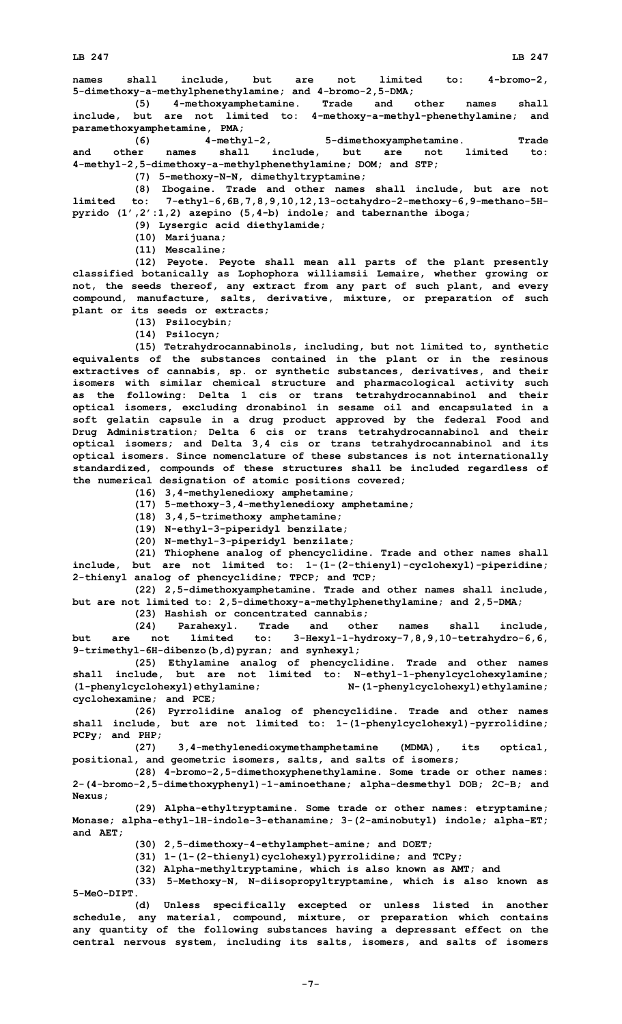**LB 247 LB 247**

**names shall include, but are not limited to: 4-bromo-2, 5-dimethoxy-a-methylphenethylamine; and 4-bromo-2,5-DMA;**

**(5) 4-methoxyamphetamine. Trade and other names shall include, but are not limited to: 4-methoxy-a-methyl-phenethylamine; and paramethoxyamphetamine, PMA;**

**(6) 4-methyl-2, 5-dimethoxyamphetamine. Trade and other names shall include, but are not limited to: 4-methyl-2,5-dimethoxy-a-methylphenethylamine; DOM; and STP;**

**(7) 5-methoxy-N-N, dimethyltryptamine;**

**(8) Ibogaine. Trade and other names shall include, but are not limited to: 7-ethyl-6,6B,7,8,9,10,12,13-octahydro-2-methoxy-6,9-methano-5Hpyrido (1',2':1,2) azepino (5,4-b) indole; and tabernanthe iboga;**

**(9) Lysergic acid diethylamide;**

**(10) Marijuana;**

**(11) Mescaline;**

**(12) Peyote. Peyote shall mean all parts of the plant presently classified botanically as Lophophora williamsii Lemaire, whether growing or not, the seeds thereof, any extract from any part of such plant, and every compound, manufacture, salts, derivative, mixture, or preparation of such plant or its seeds or extracts;**

**(13) Psilocybin;**

**(14) Psilocyn;**

**(15) Tetrahydrocannabinols, including, but not limited to, synthetic equivalents of the substances contained in the plant or in the resinous extractives of cannabis, sp. or synthetic substances, derivatives, and their isomers with similar chemical structure and pharmacological activity such as the following: Delta 1 cis or trans tetrahydrocannabinol and their optical isomers, excluding dronabinol in sesame oil and encapsulated in <sup>a</sup> soft gelatin capsule in <sup>a</sup> drug product approved by the federal Food and Drug Administration; Delta 6 cis or trans tetrahydrocannabinol and their optical isomers; and Delta 3,4 cis or trans tetrahydrocannabinol and its optical isomers. Since nomenclature of these substances is not internationally standardized, compounds of these structures shall be included regardless of the numerical designation of atomic positions covered;**

**(16) 3,4-methylenedioxy amphetamine;**

**(17) 5-methoxy-3,4-methylenedioxy amphetamine;**

**(18) 3,4,5-trimethoxy amphetamine;**

**(19) N-ethyl-3-piperidyl benzilate;**

**(20) N-methyl-3-piperidyl benzilate;**

**(21) Thiophene analog of phencyclidine. Trade and other names shall include, but are not limited to: 1-(1-(2-thienyl)-cyclohexyl)-piperidine; 2-thienyl analog of phencyclidine; TPCP; and TCP;**

**(22) 2,5-dimethoxyamphetamine. Trade and other names shall include, but are not limited to: 2,5-dimethoxy-a-methylphenethylamine; and 2,5-DMA;**

**(23) Hashish or concentrated cannabis;**

**(24) Parahexyl. Trade and other names shall include, but are not limited to: 3-Hexyl-1-hydroxy-7,8,9,10-tetrahydro-6,6, 9-trimethyl-6H-dibenzo(b,d)pyran; and synhexyl;**

**(25) Ethylamine analog of phencyclidine. Trade and other names shall include, but are not limited to: N-ethyl-1-phenylcyclohexylamine; (1-phenylcyclohexyl)ethylamine; N-(1-phenylcyclohexyl)ethylamine; cyclohexamine; and PCE;**

**(26) Pyrrolidine analog of phencyclidine. Trade and other names shall include, but are not limited to: 1-(1-phenylcyclohexyl)-pyrrolidine; PCPy; and PHP;**

**(27) 3,4-methylenedioxymethamphetamine (MDMA), its optical, positional, and geometric isomers, salts, and salts of isomers;**

**(28) 4-bromo-2,5-dimethoxyphenethylamine. Some trade or other names: 2-(4-bromo-2,5-dimethoxyphenyl)-1-aminoethane; alpha-desmethyl DOB; 2C-B; and Nexus;**

**(29) Alpha-ethyltryptamine. Some trade or other names: etryptamine; Monase; alpha-ethyl-lH-indole-3-ethanamine; 3-(2-aminobutyl) indole; alpha-ET; and AET;**

**(30) 2,5-dimethoxy-4-ethylamphet-amine; and DOET;**

**(31) 1-(1-(2-thienyl)cyclohexyl)pyrrolidine; and TCPy;**

**(32) Alpha-methyltryptamine, which is also known as AMT; and**

**(33) 5-Methoxy-N, N-diisopropyltryptamine, which is also known as 5-MeO-DIPT.**

**(d) Unless specifically excepted or unless listed in another schedule, any material, compound, mixture, or preparation which contains any quantity of the following substances having <sup>a</sup> depressant effect on the central nervous system, including its salts, isomers, and salts of isomers**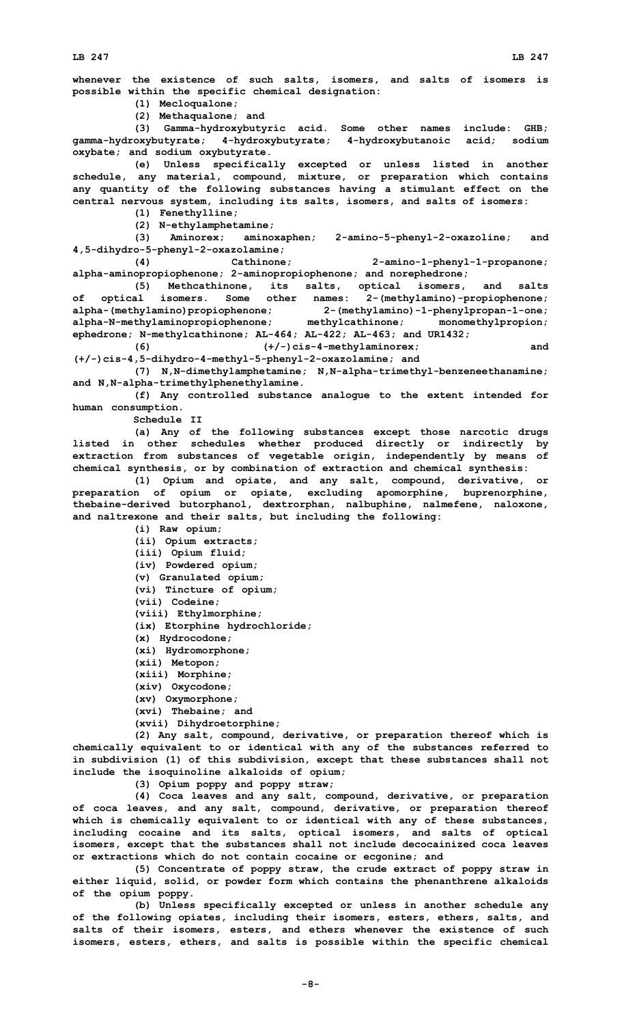**whenever the existence of such salts, isomers, and salts of isomers is possible within the specific chemical designation:**

**(1) Mecloqualone;**

**(2) Methaqualone; and**

**(3) Gamma-hydroxybutyric acid. Some other names include: GHB; gamma-hydroxybutyrate; 4-hydroxybutyrate; 4-hydroxybutanoic acid; sodium oxybate; and sodium oxybutyrate.**

**(e) Unless specifically excepted or unless listed in another schedule, any material, compound, mixture, or preparation which contains any quantity of the following substances having <sup>a</sup> stimulant effect on the central nervous system, including its salts, isomers, and salts of isomers:**

**(1) Fenethylline;**

**(2) N-ethylamphetamine;**

**(3) Aminorex; aminoxaphen; 2-amino-5-phenyl-2-oxazoline; and 4,5-dihydro-5-phenyl-2-oxazolamine;**

**(4) Cathinone; 2-amino-1-phenyl-1-propanone; alpha-aminopropiophenone; 2-aminopropiophenone; and norephedrone;**

**(5) Methcathinone, its salts, optical isomers, and salts of optical isomers. Some other names: 2-(methylamino)-propiophenone; alpha-(methylamino)propiophenone; 2-(methylamino)-1-phenylpropan-1-one; alpha-N-methylaminopropiophenone; methylcathinone; monomethylpropion; ephedrone; N-methylcathinone; AL-464; AL-422; AL-463; and UR1432;**

**(6) (+/-)cis-4-methylaminorex; and (+/-)cis-4,5-dihydro-4-methyl-5-phenyl-2-oxazolamine; and**

**(7) N,N-dimethylamphetamine; N,N-alpha-trimethyl-benzeneethanamine; and N,N-alpha-trimethylphenethylamine.**

**(f) Any controlled substance analogue to the extent intended for human consumption.**

**Schedule II**

**(a) Any of the following substances except those narcotic drugs listed in other schedules whether produced directly or indirectly by extraction from substances of vegetable origin, independently by means of chemical synthesis, or by combination of extraction and chemical synthesis:**

**(1) Opium and opiate, and any salt, compound, derivative, or preparation of opium or opiate, excluding apomorphine, buprenorphine, thebaine-derived butorphanol, dextrorphan, nalbuphine, nalmefene, naloxone, and naltrexone and their salts, but including the following:**

**(i) Raw opium; (ii) Opium extracts; (iii) Opium fluid; (iv) Powdered opium; (v) Granulated opium; (vi) Tincture of opium; (vii) Codeine; (viii) Ethylmorphine; (ix) Etorphine hydrochloride; (x) Hydrocodone; (xi) Hydromorphone; (xii) Metopon; (xiii) Morphine; (xiv) Oxycodone; (xv) Oxymorphone; (xvi) Thebaine; and (xvii) Dihydroetorphine;**

**(2) Any salt, compound, derivative, or preparation thereof which is chemically equivalent to or identical with any of the substances referred to in subdivision (1) of this subdivision, except that these substances shall not include the isoquinoline alkaloids of opium;**

**(3) Opium poppy and poppy straw;**

**(4) Coca leaves and any salt, compound, derivative, or preparation of coca leaves, and any salt, compound, derivative, or preparation thereof which is chemically equivalent to or identical with any of these substances, including cocaine and its salts, optical isomers, and salts of optical isomers, except that the substances shall not include decocainized coca leaves or extractions which do not contain cocaine or ecgonine; and**

**(5) Concentrate of poppy straw, the crude extract of poppy straw in either liquid, solid, or powder form which contains the phenanthrene alkaloids of the opium poppy.**

**(b) Unless specifically excepted or unless in another schedule any of the following opiates, including their isomers, esters, ethers, salts, and salts of their isomers, esters, and ethers whenever the existence of such isomers, esters, ethers, and salts is possible within the specific chemical**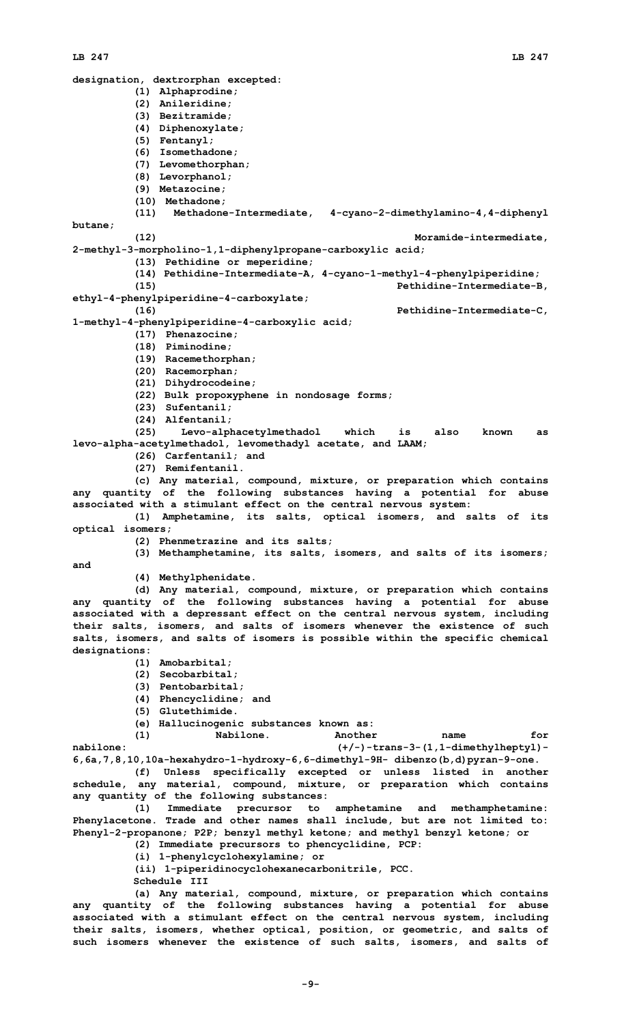## **LB 247 LB 247**

**designation, dextrorphan excepted: (1) Alphaprodine; (2) Anileridine; (3) Bezitramide; (4) Diphenoxylate; (5) Fentanyl; (6) Isomethadone; (7) Levomethorphan; (8) Levorphanol; (9) Metazocine; (10) Methadone; (11) Methadone-Intermediate, 4-cyano-2-dimethylamino-4,4-diphenyl butane; (12) Moramide-intermediate, 2-methyl-3-morpholino-1,1-diphenylpropane-carboxylic acid; (13) Pethidine or meperidine; (14) Pethidine-Intermediate-A, 4-cyano-1-methyl-4-phenylpiperidine; (15) Pethidine-Intermediate-B, ethyl-4-phenylpiperidine-4-carboxylate; (16) Pethidine-Intermediate-C, 1-methyl-4-phenylpiperidine-4-carboxylic acid; (17) Phenazocine; (18) Piminodine; (19) Racemethorphan; (20) Racemorphan; (21) Dihydrocodeine; (22) Bulk propoxyphene in nondosage forms; (23) Sufentanil; (24) Alfentanil; (25) Levo-alphacetylmethadol which is also known as levo-alpha-acetylmethadol, levomethadyl acetate, and LAAM; (26) Carfentanil; and (27) Remifentanil. (c) Any material, compound, mixture, or preparation which contains any quantity of the following substances having <sup>a</sup> potential for abuse associated with <sup>a</sup> stimulant effect on the central nervous system: (1) Amphetamine, its salts, optical isomers, and salts of its optical isomers; (2) Phenmetrazine and its salts; (3) Methamphetamine, its salts, isomers, and salts of its isomers; and (4) Methylphenidate. (d) Any material, compound, mixture, or preparation which contains any quantity of the following substances having <sup>a</sup> potential for abuse associated with <sup>a</sup> depressant effect on the central nervous system, including their salts, isomers, and salts of isomers whenever the existence of such salts, isomers, and salts of isomers is possible within the specific chemical designations: (1) Amobarbital; (2) Secobarbital; (3) Pentobarbital; (4) Phencyclidine; and (5) Glutethimide. (e) Hallucinogenic substances known as: (1) Nabilone. Another name for nabilone: (+/-)-trans-3-(1,1-dimethylheptyl)- 6,6a,7,8,10,10a-hexahydro-1-hydroxy-6,6-dimethyl-9H- dibenzo(b,d)pyran-9-one. (f) Unless specifically excepted or unless listed in another schedule, any material, compound, mixture, or preparation which contains any quantity of the following substances: (1) Immediate precursor to amphetamine and methamphetamine: Phenylacetone. Trade and other names shall include, but are not limited to: Phenyl-2-propanone; P2P; benzyl methyl ketone; and methyl benzyl ketone; or (2) Immediate precursors to phencyclidine, PCP: (i) 1-phenylcyclohexylamine; or (ii) 1-piperidinocyclohexanecarbonitrile, PCC. Schedule III (a) Any material, compound, mixture, or preparation which contains**

**any quantity of the following substances having <sup>a</sup> potential for abuse associated with <sup>a</sup> stimulant effect on the central nervous system, including their salts, isomers, whether optical, position, or geometric, and salts of such isomers whenever the existence of such salts, isomers, and salts of**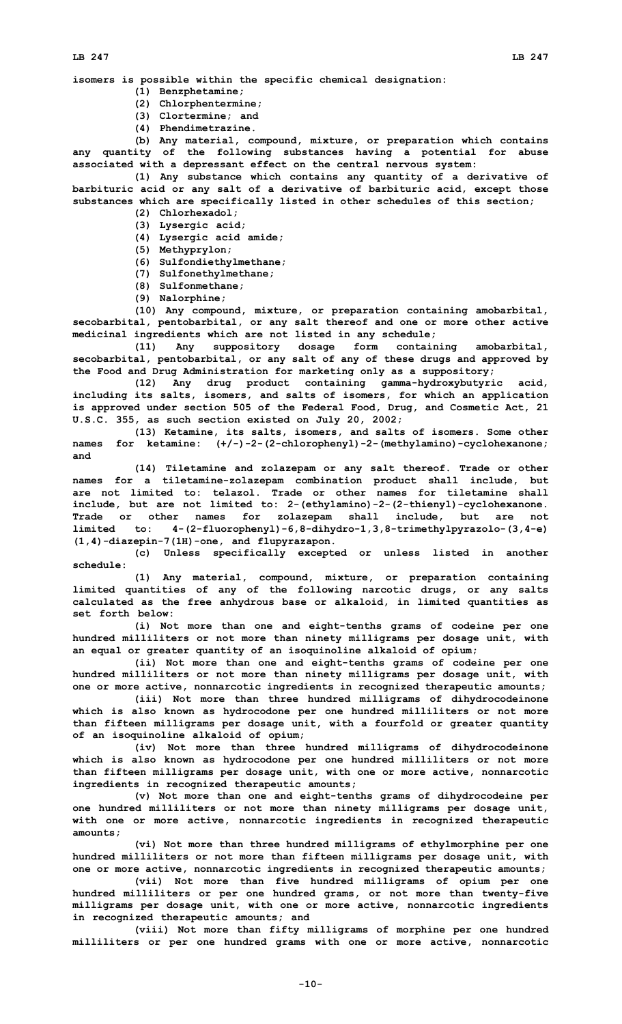**isomers is possible within the specific chemical designation:**

- **(1) Benzphetamine;**
- **(2) Chlorphentermine;**
- **(3) Clortermine; and**
- **(4) Phendimetrazine.**

**(b) Any material, compound, mixture, or preparation which contains any quantity of the following substances having <sup>a</sup> potential for abuse associated with <sup>a</sup> depressant effect on the central nervous system:**

**(1) Any substance which contains any quantity of <sup>a</sup> derivative of barbituric acid or any salt of <sup>a</sup> derivative of barbituric acid, except those substances which are specifically listed in other schedules of this section;**

- **(2) Chlorhexadol;**
- **(3) Lysergic acid;**
- **(4) Lysergic acid amide;**
- **(5) Methyprylon;**
- **(6) Sulfondiethylmethane;**
- **(7) Sulfonethylmethane;**
- **(8) Sulfonmethane;**
- **(9) Nalorphine;**

**(10) Any compound, mixture, or preparation containing amobarbital, secobarbital, pentobarbital, or any salt thereof and one or more other active medicinal ingredients which are not listed in any schedule;**

**(11) Any suppository dosage form containing amobarbital, secobarbital, pentobarbital, or any salt of any of these drugs and approved by the Food and Drug Administration for marketing only as <sup>a</sup> suppository;**

**(12) Any drug product containing gamma-hydroxybutyric acid, including its salts, isomers, and salts of isomers, for which an application is approved under section 505 of the Federal Food, Drug, and Cosmetic Act, 21 U.S.C. 355, as such section existed on July 20, 2002;**

**(13) Ketamine, its salts, isomers, and salts of isomers. Some other names for ketamine: (+/-)-2-(2-chlorophenyl)-2-(methylamino)-cyclohexanone; and**

**(14) Tiletamine and zolazepam or any salt thereof. Trade or other names for <sup>a</sup> tiletamine-zolazepam combination product shall include, but are not limited to: telazol. Trade or other names for tiletamine shall include, but are not limited to: 2-(ethylamino)-2-(2-thienyl)-cyclohexanone. Trade or other names for zolazepam shall include, but are not limited to: 4-(2-fluorophenyl)-6,8-dihydro-1,3,8-trimethylpyrazolo-(3,4-e) (1,4)-diazepin-7(1H)-one, and flupyrazapon.**

**(c) Unless specifically excepted or unless listed in another schedule:**

**(1) Any material, compound, mixture, or preparation containing limited quantities of any of the following narcotic drugs, or any salts calculated as the free anhydrous base or alkaloid, in limited quantities as set forth below:**

**(i) Not more than one and eight-tenths grams of codeine per one hundred milliliters or not more than ninety milligrams per dosage unit, with an equal or greater quantity of an isoquinoline alkaloid of opium;**

**(ii) Not more than one and eight-tenths grams of codeine per one hundred milliliters or not more than ninety milligrams per dosage unit, with one or more active, nonnarcotic ingredients in recognized therapeutic amounts;**

**(iii) Not more than three hundred milligrams of dihydrocodeinone which is also known as hydrocodone per one hundred milliliters or not more than fifteen milligrams per dosage unit, with <sup>a</sup> fourfold or greater quantity of an isoquinoline alkaloid of opium;**

**(iv) Not more than three hundred milligrams of dihydrocodeinone which is also known as hydrocodone per one hundred milliliters or not more than fifteen milligrams per dosage unit, with one or more active, nonnarcotic ingredients in recognized therapeutic amounts;**

**(v) Not more than one and eight-tenths grams of dihydrocodeine per one hundred milliliters or not more than ninety milligrams per dosage unit, with one or more active, nonnarcotic ingredients in recognized therapeutic amounts;**

**(vi) Not more than three hundred milligrams of ethylmorphine per one hundred milliliters or not more than fifteen milligrams per dosage unit, with one or more active, nonnarcotic ingredients in recognized therapeutic amounts;**

**(vii) Not more than five hundred milligrams of opium per one hundred milliliters or per one hundred grams, or not more than twenty-five milligrams per dosage unit, with one or more active, nonnarcotic ingredients in recognized therapeutic amounts; and**

**(viii) Not more than fifty milligrams of morphine per one hundred milliliters or per one hundred grams with one or more active, nonnarcotic**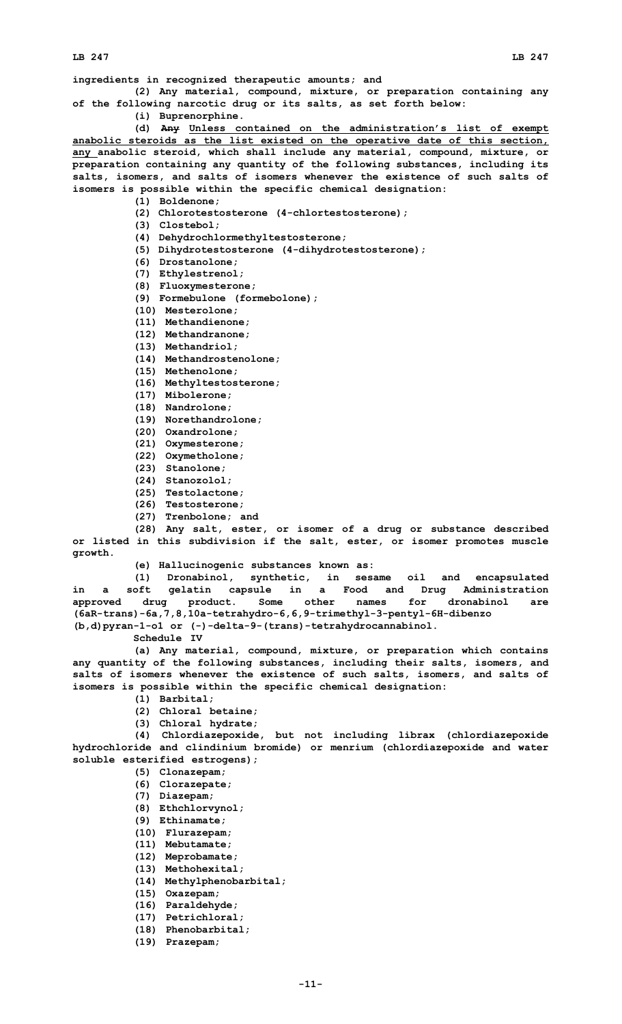**ingredients in recognized therapeutic amounts; and**

- **(2) Any material, compound, mixture, or preparation containing any of the following narcotic drug or its salts, as set forth below:**
	- **(i) Buprenorphine.**

**(d) Any Unless contained on the administration's list of exempt anabolic steroids as the list existed on the operative date of this section, any anabolic steroid, which shall include any material, compound, mixture, or preparation containing any quantity of the following substances, including its salts, isomers, and salts of isomers whenever the existence of such salts of isomers is possible within the specific chemical designation:**

**(1) Boldenone;**

**(2) Chlorotestosterone (4-chlortestosterone);**

**(3) Clostebol;**

- **(4) Dehydrochlormethyltestosterone;**
- **(5) Dihydrotestosterone (4-dihydrotestosterone);**
- **(6) Drostanolone;**
- **(7) Ethylestrenol;**

**(8) Fluoxymesterone;**

- **(9) Formebulone (formebolone);**
- **(10) Mesterolone;**
- **(11) Methandienone;**
- **(12) Methandranone;**
- **(13) Methandriol;**
- **(14) Methandrostenolone;**
- **(15) Methenolone;**
- **(16) Methyltestosterone;**
- **(17) Mibolerone;**
- **(18) Nandrolone;**
- **(19) Norethandrolone;**
- **(20) Oxandrolone;**
- **(21) Oxymesterone;**
- **(22) Oxymetholone;**
- **(23) Stanolone;**
- **(24) Stanozolol;**
- **(25) Testolactone;**
- **(26) Testosterone;**
- **(27) Trenbolone; and**

**(28) Any salt, ester, or isomer of <sup>a</sup> drug or substance described or listed in this subdivision if the salt, ester, or isomer promotes muscle growth.**

**(e) Hallucinogenic substances known as:**

**(1) Dronabinol, synthetic, in sesame oil and encapsulated in <sup>a</sup> soft gelatin capsule in <sup>a</sup> Food and Drug Administration approved drug product. Some other names for dronabinol are (6aR-trans)-6a,7,8,10a-tetrahydro-6,6,9-trimethyl-3-pentyl-6H-dibenzo (b,d)pyran-1-o1 or (-)-delta-9-(trans)-tetrahydrocannabinol.**

**Schedule IV**

**(a) Any material, compound, mixture, or preparation which contains any quantity of the following substances, including their salts, isomers, and salts of isomers whenever the existence of such salts, isomers, and salts of isomers is possible within the specific chemical designation:**

- **(1) Barbital;**
- **(2) Chloral betaine;**
- **(3) Chloral hydrate;**

**(4) Chlordiazepoxide, but not including librax (chlordiazepoxide hydrochloride and clindinium bromide) or menrium (chlordiazepoxide and water soluble esterified estrogens);**

- **(5) Clonazepam;**
- **(6) Clorazepate;**
- **(7) Diazepam;**
- **(8) Ethchlorvynol;**
- **(9) Ethinamate;**
- **(10) Flurazepam;**
- **(11) Mebutamate;**
- **(12) Meprobamate;**
- **(13) Methohexital;**
- **(14) Methylphenobarbital;**
- **(15) Oxazepam;**
- **(16) Paraldehyde;**
- **(17) Petrichloral;**
- **(18) Phenobarbital;**
- **(19) Prazepam;**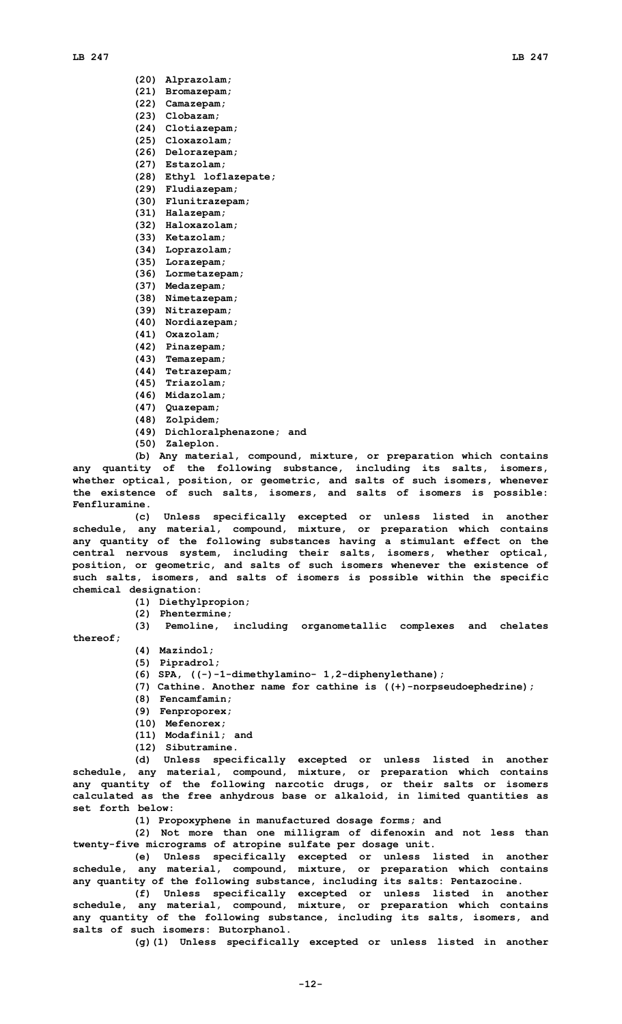#### **LB 247 LB 247**

- **(20) Alprazolam;**
- **(21) Bromazepam;**
- **(22) Camazepam;**
- **(23) Clobazam;**
- **(24) Clotiazepam;**
- **(25) Cloxazolam;**
- **(26) Delorazepam;**
- **(27) Estazolam;**
- **(28) Ethyl loflazepate;**
- **(29) Fludiazepam;**
- **(30) Flunitrazepam;**
- **(31) Halazepam;**
- **(32) Haloxazolam;**
- **(33) Ketazolam;**
- **(34) Loprazolam;**
- **(35) Lorazepam; (36) Lormetazepam;**
- **(37) Medazepam;**
- 
- **(38) Nimetazepam;**
- **(39) Nitrazepam;**
- **(40) Nordiazepam;**
- **(41) Oxazolam; (42) Pinazepam;**
- 
- **(43) Temazepam;**
- **(44) Tetrazepam;**
- **(45) Triazolam;**
- **(46) Midazolam;**
- **(47) Quazepam;**
- **(48) Zolpidem;**
- **(49) Dichloralphenazone; and**
- **(50) Zaleplon.**

**(b) Any material, compound, mixture, or preparation which contains any quantity of the following substance, including its salts, isomers, whether optical, position, or geometric, and salts of such isomers, whenever the existence of such salts, isomers, and salts of isomers is possible: Fenfluramine.**

**(c) Unless specifically excepted or unless listed in another schedule, any material, compound, mixture, or preparation which contains any quantity of the following substances having <sup>a</sup> stimulant effect on the central nervous system, including their salts, isomers, whether optical, position, or geometric, and salts of such isomers whenever the existence of such salts, isomers, and salts of isomers is possible within the specific chemical designation:**

- **(1) Diethylpropion;**
- **(2) Phentermine;**
- **(3) Pemoline, including organometallic complexes and chelates**

**thereof;**

- **(4) Mazindol;**
- **(5) Pipradrol;**
- **(6) SPA, ((-)-1-dimethylamino- 1,2-diphenylethane);**
- **(7) Cathine. Another name for cathine is ((+)-norpseudoephedrine);**
- **(8) Fencamfamin;**
- **(9) Fenproporex;**
- **(10) Mefenorex;**
- **(11) Modafinil; and**
- **(12) Sibutramine.**

**(d) Unless specifically excepted or unless listed in another schedule, any material, compound, mixture, or preparation which contains any quantity of the following narcotic drugs, or their salts or isomers calculated as the free anhydrous base or alkaloid, in limited quantities as set forth below:**

**(1) Propoxyphene in manufactured dosage forms; and**

**(2) Not more than one milligram of difenoxin and not less than twenty-five micrograms of atropine sulfate per dosage unit.**

**(e) Unless specifically excepted or unless listed in another schedule, any material, compound, mixture, or preparation which contains any quantity of the following substance, including its salts: Pentazocine.**

**(f) Unless specifically excepted or unless listed in another schedule, any material, compound, mixture, or preparation which contains any quantity of the following substance, including its salts, isomers, and salts of such isomers: Butorphanol.**

**(g)(1) Unless specifically excepted or unless listed in another**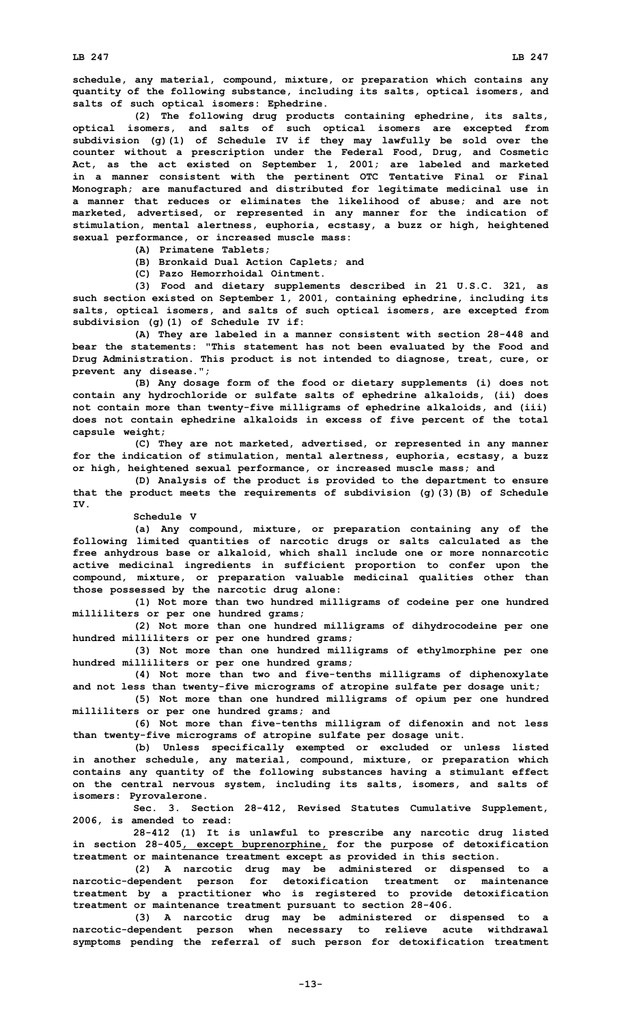**schedule, any material, compound, mixture, or preparation which contains any quantity of the following substance, including its salts, optical isomers, and salts of such optical isomers: Ephedrine.**

**(2) The following drug products containing ephedrine, its salts, optical isomers, and salts of such optical isomers are excepted from subdivision (g)(1) of Schedule IV if they may lawfully be sold over the counter without <sup>a</sup> prescription under the Federal Food, Drug, and Cosmetic Act, as the act existed on September 1, 2001; are labeled and marketed in <sup>a</sup> manner consistent with the pertinent OTC Tentative Final or Final Monograph; are manufactured and distributed for legitimate medicinal use in <sup>a</sup> manner that reduces or eliminates the likelihood of abuse; and are not marketed, advertised, or represented in any manner for the indication of stimulation, mental alertness, euphoria, ecstasy, <sup>a</sup> buzz or high, heightened sexual performance, or increased muscle mass:**

- **(A) Primatene Tablets;**
- **(B) Bronkaid Dual Action Caplets; and**
- **(C) Pazo Hemorrhoidal Ointment.**

**(3) Food and dietary supplements described in 21 U.S.C. 321, as such section existed on September 1, 2001, containing ephedrine, including its salts, optical isomers, and salts of such optical isomers, are excepted from subdivision (g)(1) of Schedule IV if:**

**(A) They are labeled in <sup>a</sup> manner consistent with section 28-448 and bear the statements: "This statement has not been evaluated by the Food and Drug Administration. This product is not intended to diagnose, treat, cure, or prevent any disease.";**

**(B) Any dosage form of the food or dietary supplements (i) does not contain any hydrochloride or sulfate salts of ephedrine alkaloids, (ii) does not contain more than twenty-five milligrams of ephedrine alkaloids, and (iii) does not contain ephedrine alkaloids in excess of five percent of the total capsule weight;**

**(C) They are not marketed, advertised, or represented in any manner for the indication of stimulation, mental alertness, euphoria, ecstasy, <sup>a</sup> buzz or high, heightened sexual performance, or increased muscle mass; and**

**(D) Analysis of the product is provided to the department to ensure that the product meets the requirements of subdivision (g)(3)(B) of Schedule IV.**

**Schedule V**

**(a) Any compound, mixture, or preparation containing any of the following limited quantities of narcotic drugs or salts calculated as the free anhydrous base or alkaloid, which shall include one or more nonnarcotic active medicinal ingredients in sufficient proportion to confer upon the compound, mixture, or preparation valuable medicinal qualities other than those possessed by the narcotic drug alone:**

**(1) Not more than two hundred milligrams of codeine per one hundred milliliters or per one hundred grams;**

**(2) Not more than one hundred milligrams of dihydrocodeine per one hundred milliliters or per one hundred grams;**

**(3) Not more than one hundred milligrams of ethylmorphine per one hundred milliliters or per one hundred grams;**

**(4) Not more than two and five-tenths milligrams of diphenoxylate and not less than twenty-five micrograms of atropine sulfate per dosage unit;**

**(5) Not more than one hundred milligrams of opium per one hundred milliliters or per one hundred grams; and**

**(6) Not more than five-tenths milligram of difenoxin and not less than twenty-five micrograms of atropine sulfate per dosage unit.**

**(b) Unless specifically exempted or excluded or unless listed in another schedule, any material, compound, mixture, or preparation which contains any quantity of the following substances having <sup>a</sup> stimulant effect on the central nervous system, including its salts, isomers, and salts of isomers: Pyrovalerone.**

**Sec. 3. Section 28-412, Revised Statutes Cumulative Supplement, 2006, is amended to read:**

**28-412 (1) It is unlawful to prescribe any narcotic drug listed in section 28-405, except buprenorphine, for the purpose of detoxification treatment or maintenance treatment except as provided in this section.**

**(2) <sup>A</sup> narcotic drug may be administered or dispensed to <sup>a</sup> narcotic-dependent person for detoxification treatment or maintenance treatment by <sup>a</sup> practitioner who is registered to provide detoxification treatment or maintenance treatment pursuant to section 28-406.**

**(3) <sup>A</sup> narcotic drug may be administered or dispensed to <sup>a</sup> narcotic-dependent person when necessary to relieve acute withdrawal symptoms pending the referral of such person for detoxification treatment**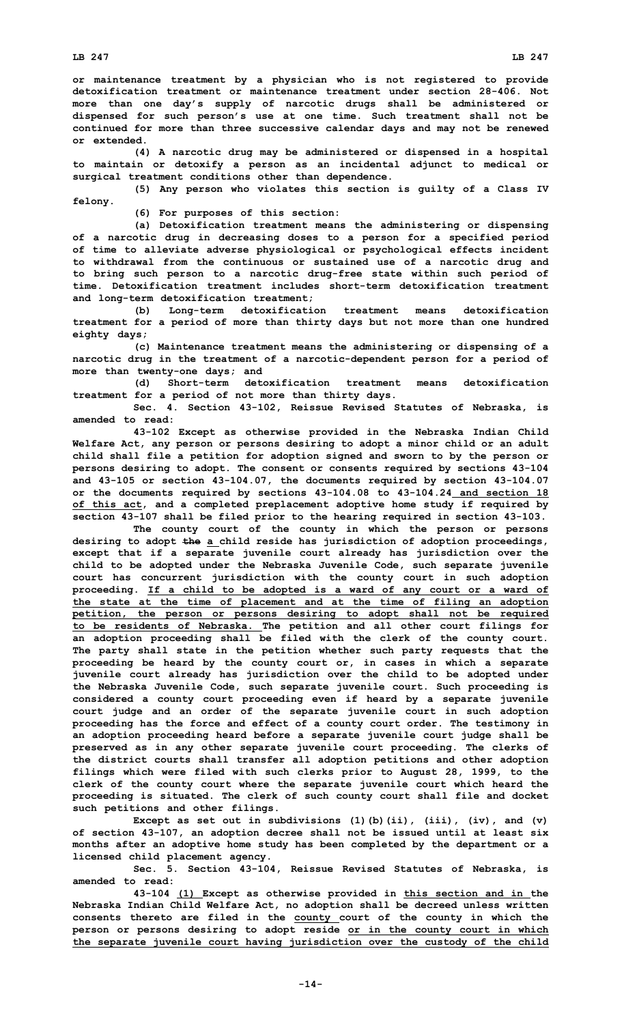**or maintenance treatment by <sup>a</sup> physician who is not registered to provide detoxification treatment or maintenance treatment under section 28-406. Not more than one day's supply of narcotic drugs shall be administered or dispensed for such person's use at one time. Such treatment shall not be continued for more than three successive calendar days and may not be renewed or extended.**

**(4) <sup>A</sup> narcotic drug may be administered or dispensed in <sup>a</sup> hospital to maintain or detoxify <sup>a</sup> person as an incidental adjunct to medical or surgical treatment conditions other than dependence.**

**(5) Any person who violates this section is guilty of <sup>a</sup> Class IV felony.**

**(6) For purposes of this section:**

**(a) Detoxification treatment means the administering or dispensing of <sup>a</sup> narcotic drug in decreasing doses to <sup>a</sup> person for <sup>a</sup> specified period of time to alleviate adverse physiological or psychological effects incident to withdrawal from the continuous or sustained use of <sup>a</sup> narcotic drug and to bring such person to <sup>a</sup> narcotic drug-free state within such period of time. Detoxification treatment includes short-term detoxification treatment and long-term detoxification treatment;**

**(b) Long-term detoxification treatment means detoxification treatment for <sup>a</sup> period of more than thirty days but not more than one hundred eighty days;**

**(c) Maintenance treatment means the administering or dispensing of <sup>a</sup> narcotic drug in the treatment of <sup>a</sup> narcotic-dependent person for <sup>a</sup> period of more than twenty-one days; and**

**(d) Short-term detoxification treatment means detoxification treatment for <sup>a</sup> period of not more than thirty days.**

**Sec. 4. Section 43-102, Reissue Revised Statutes of Nebraska, is amended to read:**

**43-102 Except as otherwise provided in the Nebraska Indian Child Welfare Act, any person or persons desiring to adopt <sup>a</sup> minor child or an adult child shall file <sup>a</sup> petition for adoption signed and sworn to by the person or persons desiring to adopt. The consent or consents required by sections 43-104 and 43-105 or section 43-104.07, the documents required by section 43-104.07 or the documents required by sections 43-104.08 to 43-104.24 and section 18 of this act, and <sup>a</sup> completed preplacement adoptive home study if required by section 43-107 shall be filed prior to the hearing required in section 43-103.**

**The county court of the county in which the person or persons desiring to adopt the <sup>a</sup> child reside has jurisdiction of adoption proceedings, except that if <sup>a</sup> separate juvenile court already has jurisdiction over the child to be adopted under the Nebraska Juvenile Code, such separate juvenile court has concurrent jurisdiction with the county court in such adoption proceeding. If <sup>a</sup> child to be adopted is <sup>a</sup> ward of any court or <sup>a</sup> ward of the state at the time of placement and at the time of filing an adoption petition, the person or persons desiring to adopt shall not be required to be residents of Nebraska. The petition and all other court filings for an adoption proceeding shall be filed with the clerk of the county court. The party shall state in the petition whether such party requests that the proceeding be heard by the county court or, in cases in which <sup>a</sup> separate juvenile court already has jurisdiction over the child to be adopted under the Nebraska Juvenile Code, such separate juvenile court. Such proceeding is considered <sup>a</sup> county court proceeding even if heard by <sup>a</sup> separate juvenile court judge and an order of the separate juvenile court in such adoption proceeding has the force and effect of <sup>a</sup> county court order. The testimony in an adoption proceeding heard before <sup>a</sup> separate juvenile court judge shall be preserved as in any other separate juvenile court proceeding. The clerks of the district courts shall transfer all adoption petitions and other adoption filings which were filed with such clerks prior to August 28, 1999, to the clerk of the county court where the separate juvenile court which heard the proceeding is situated. The clerk of such county court shall file and docket such petitions and other filings.**

**Except as set out in subdivisions (1)(b)(ii), (iii), (iv), and (v) of section 43-107, an adoption decree shall not be issued until at least six months after an adoptive home study has been completed by the department or <sup>a</sup> licensed child placement agency.**

**Sec. 5. Section 43-104, Reissue Revised Statutes of Nebraska, is amended to read:**

**43-104 (1) Except as otherwise provided in this section and in the Nebraska Indian Child Welfare Act, no adoption shall be decreed unless written consents thereto are filed in the county court of the county in which the person or persons desiring to adopt reside or in the county court in which the separate juvenile court having jurisdiction over the custody of the child**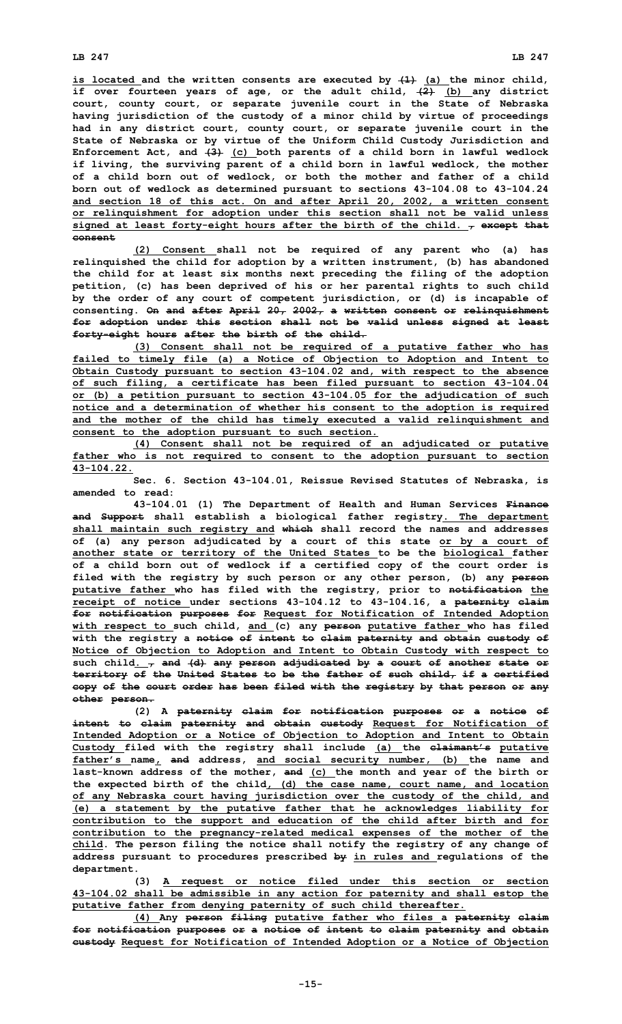**is located and the written consents are executed by (1) (a) the minor child, if over fourteen years of age, or the adult child, (2) (b) any district court, county court, or separate juvenile court in the State of Nebraska having jurisdiction of the custody of <sup>a</sup> minor child by virtue of proceedings had in any district court, county court, or separate juvenile court in the State of Nebraska or by virtue of the Uniform Child Custody Jurisdiction and Enforcement Act, and (3) (c) both parents of <sup>a</sup> child born in lawful wedlock if living, the surviving parent of <sup>a</sup> child born in lawful wedlock, the mother of <sup>a</sup> child born out of wedlock, or both the mother and father of <sup>a</sup> child born out of wedlock as determined pursuant to sections 43-104.08 to 43-104.24 and section 18 of this act. On and after April 20, 2002, <sup>a</sup> written consent or relinquishment for adoption under this section shall not be valid unless signed at least forty-eight hours after the birth of the child. , except that consent**

**(2) Consent shall not be required of any parent who (a) has relinquished the child for adoption by <sup>a</sup> written instrument, (b) has abandoned the child for at least six months next preceding the filing of the adoption petition, (c) has been deprived of his or her parental rights to such child by the order of any court of competent jurisdiction, or (d) is incapable of consenting. On and after April 20, 2002, <sup>a</sup> written consent or relinquishment for adoption under this section shall not be valid unless signed at least forty-eight hours after the birth of the child.**

**(3) Consent shall not be required of <sup>a</sup> putative father who has failed to timely file (a) <sup>a</sup> Notice of Objection to Adoption and Intent to Obtain Custody pursuant to section 43-104.02 and, with respect to the absence of such filing, <sup>a</sup> certificate has been filed pursuant to section 43-104.04 or (b) <sup>a</sup> petition pursuant to section 43-104.05 for the adjudication of such notice and <sup>a</sup> determination of whether his consent to the adoption is required and the mother of the child has timely executed <sup>a</sup> valid relinquishment and consent to the adoption pursuant to such section.**

**(4) Consent shall not be required of an adjudicated or putative father who is not required to consent to the adoption pursuant to section 43-104.22.**

**Sec. 6. Section 43-104.01, Reissue Revised Statutes of Nebraska, is amended to read:**

**43-104.01 (1) The Department of Health and Human Services Finance and Support shall establish <sup>a</sup> biological father registry. The department shall maintain such registry and which shall record the names and addresses of (a) any person adjudicated by <sup>a</sup> court of this state or by <sup>a</sup> court of another state or territory of the United States to be the biological father of <sup>a</sup> child born out of wedlock if <sup>a</sup> certified copy of the court order is filed with the registry by such person or any other person, (b) any person putative father who has filed with the registry, prior to notification the receipt of notice under sections 43-104.12 to 43-104.16, <sup>a</sup> paternity claim for notification purposes for Request for Notification of Intended Adoption with respect to such child, and (c) any person putative father who has filed with the registry <sup>a</sup> notice of intent to claim paternity and obtain custody of Notice of Objection to Adoption and Intent to Obtain Custody with respect to such child. , and (d) any person adjudicated by <sup>a</sup> court of another state or territory of the United States to be the father of such child, if <sup>a</sup> certified copy of the court order has been filed with the registry by that person or any other person.**

**(2) <sup>A</sup> paternity claim for notification purposes or <sup>a</sup> notice of intent to claim paternity and obtain custody Request for Notification of Intended Adoption or <sup>a</sup> Notice of Objection to Adoption and Intent to Obtain Custody filed with the registry shall include (a) the claimant's putative father's name, and address, and social security number, (b) the name and last-known address of the mother, and (c) the month and year of the birth or the expected birth of the child, (d) the case name, court name, and location of any Nebraska court having jurisdiction over the custody of the child, and (e) <sup>a</sup> statement by the putative father that he acknowledges liability for contribution to the support and education of the child after birth and for contribution to the pregnancy-related medical expenses of the mother of the child. The person filing the notice shall notify the registry of any change of address pursuant to procedures prescribed by in rules and regulations of the department.**

**(3) <sup>A</sup> request or notice filed under this section or section 43-104.02 shall be admissible in any action for paternity and shall estop the putative father from denying paternity of such child thereafter.**

**(4) Any person filing putative father who files <sup>a</sup> paternity claim for notification purposes or <sup>a</sup> notice of intent to claim paternity and obtain custody Request for Notification of Intended Adoption or <sup>a</sup> Notice of Objection**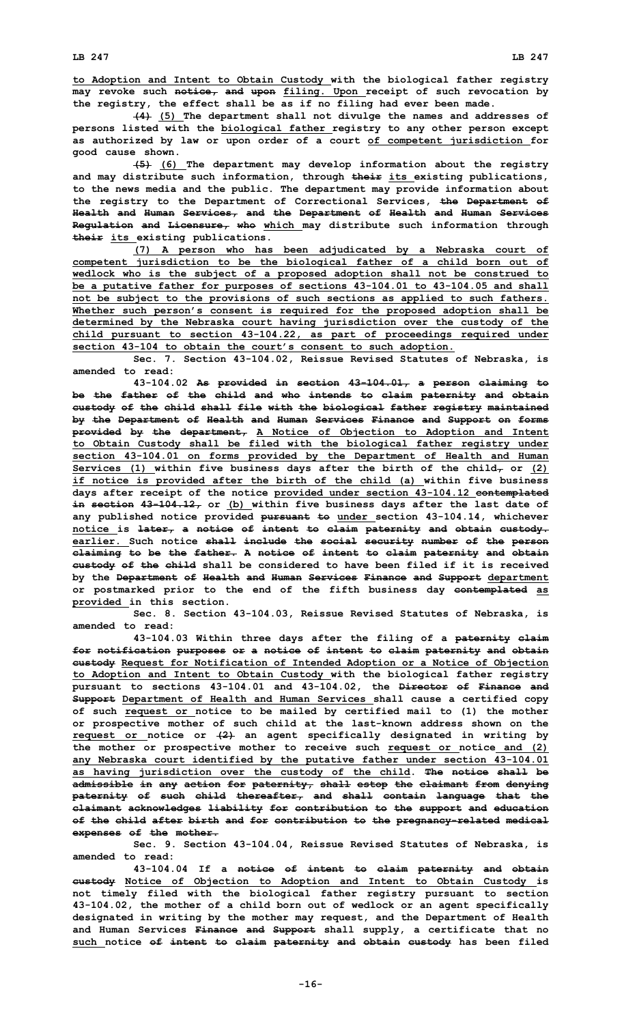**(4) (5) The department shall not divulge the names and addresses of persons listed with the biological father registry to any other person except as authorized by law or upon order of <sup>a</sup> court of competent jurisdiction for good cause shown.**

**(5) (6) The department may develop information about the registry and may distribute such information, through their its existing publications, to the news media and the public. The department may provide information about the registry to the Department of Correctional Services, the Department of Health and Human Services, and the Department of Health and Human Services Regulation and Licensure, who which may distribute such information through their its existing publications.**

**(7) <sup>A</sup> person who has been adjudicated by <sup>a</sup> Nebraska court of competent jurisdiction to be the biological father of <sup>a</sup> child born out of wedlock who is the subject of <sup>a</sup> proposed adoption shall not be construed to be <sup>a</sup> putative father for purposes of sections 43-104.01 to 43-104.05 and shall not be subject to the provisions of such sections as applied to such fathers. Whether such person's consent is required for the proposed adoption shall be determined by the Nebraska court having jurisdiction over the custody of the child pursuant to section 43-104.22, as part of proceedings required under section 43-104 to obtain the court's consent to such adoption.**

**Sec. 7. Section 43-104.02, Reissue Revised Statutes of Nebraska, is amended to read:**

**43-104.02 As provided in section 43-104.01, <sup>a</sup> person claiming to be the father of the child and who intends to claim paternity and obtain custody of the child shall file with the biological father registry maintained by the Department of Health and Human Services Finance and Support on forms provided by the department, A Notice of Objection to Adoption and Intent to Obtain Custody shall be filed with the biological father registry under section 43-104.01 on forms provided by the Department of Health and Human Services** (1) within five business days after the birth of the child<sub> $\tau$ </sub> or (2) **if notice is provided after the birth of the child (a) within five business days after receipt of the notice provided under section 43-104.12 contemplated in section 43-104.12, or (b) within five business days after the last date of any published notice provided pursuant to under section 43-104.14, whichever notice is later, <sup>a</sup> notice of intent to claim paternity and obtain custody. earlier. Such notice shall include the social security number of the person claiming to be the father. A notice of intent to claim paternity and obtain custody of the child shall be considered to have been filed if it is received by the Department of Health and Human Services Finance and Support department or postmarked prior to the end of the fifth business day contemplated as provided in this section.**

**Sec. 8. Section 43-104.03, Reissue Revised Statutes of Nebraska, is amended to read:**

**43-104.03 Within three days after the filing of <sup>a</sup> paternity claim for notification purposes or <sup>a</sup> notice of intent to claim paternity and obtain custody Request for Notification of Intended Adoption or <sup>a</sup> Notice of Objection to Adoption and Intent to Obtain Custody with the biological father registry pursuant to sections 43-104.01 and 43-104.02, the Director of Finance and Support Department of Health and Human Services shall cause <sup>a</sup> certified copy of such request or notice to be mailed by certified mail to (1) the mother or prospective mother of such child at the last-known address shown on the request or notice or (2) an agent specifically designated in writing by the mother or prospective mother to receive such request or notice and (2) any Nebraska court identified by the putative father under section 43-104.01 as having jurisdiction over the custody of the child. The notice shall be admissible in any action for paternity, shall estop the claimant from denying paternity of such child thereafter, and shall contain language that the claimant acknowledges liability for contribution to the support and education of the child after birth and for contribution to the pregnancy-related medical expenses of the mother.**

**Sec. 9. Section 43-104.04, Reissue Revised Statutes of Nebraska, is amended to read:**

**43-104.04 If <sup>a</sup> notice of intent to claim paternity and obtain custody Notice of Objection to Adoption and Intent to Obtain Custody is not timely filed with the biological father registry pursuant to section 43-104.02, the mother of <sup>a</sup> child born out of wedlock or an agent specifically designated in writing by the mother may request, and the Department of Health and Human Services Finance and Support shall supply, <sup>a</sup> certificate that no such notice of intent to claim paternity and obtain custody has been filed**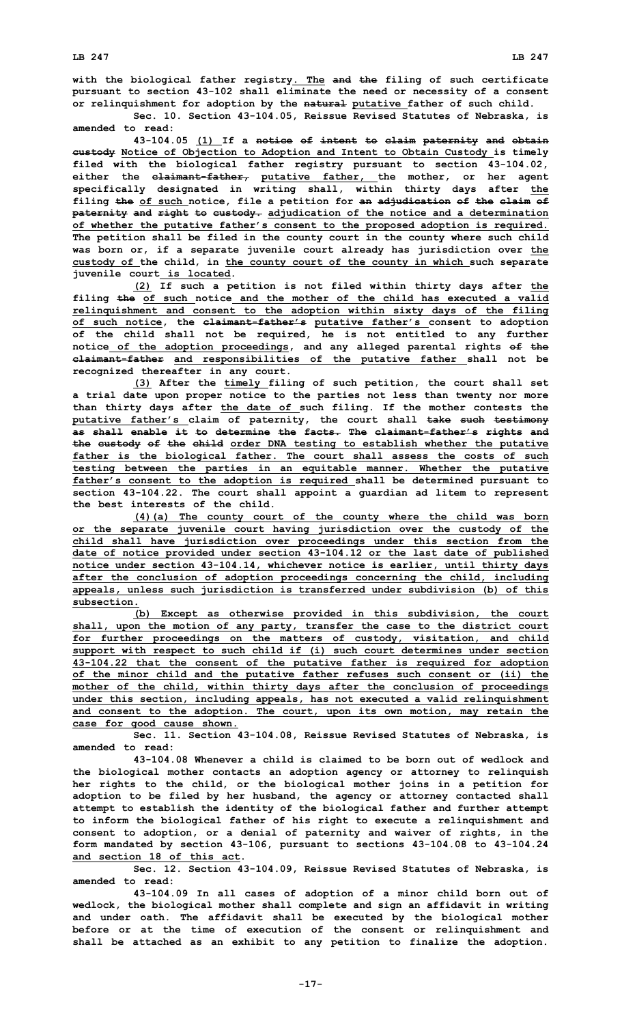**with the biological father registry. The and the filing of such certificate pursuant to section 43-102 shall eliminate the need or necessity of <sup>a</sup> consent or relinquishment for adoption by the natural putative father of such child.**

**Sec. 10. Section 43-104.05, Reissue Revised Statutes of Nebraska, is amended to read:**

**43-104.05 (1) If <sup>a</sup> notice of intent to claim paternity and obtain custody Notice of Objection to Adoption and Intent to Obtain Custody is timely filed with the biological father registry pursuant to section 43-104.02, either the claimant-father, putative father, the mother, or her agent specifically designated in writing shall, within thirty days after the filing the of such notice, file <sup>a</sup> petition for an adjudication of the claim of paternity and right to custody. adjudication of the notice and <sup>a</sup> determination of whether the putative father's consent to the proposed adoption is required. The petition shall be filed in the county court in the county where such child was born or, if <sup>a</sup> separate juvenile court already has jurisdiction over the custody of the child, in the county court of the county in which such separate juvenile court is located.**

**(2) If such <sup>a</sup> petition is not filed within thirty days after the filing the of such notice and the mother of the child has executed <sup>a</sup> valid relinquishment and consent to the adoption within sixty days of the filing of such notice, the claimant-father's putative father's consent to adoption of the child shall not be required, he is not entitled to any further notice of the adoption proceedings, and any alleged parental rights of the claimant-father and responsibilities of the putative father shall not be recognized thereafter in any court.**

**(3) After the timely filing of such petition, the court shall set <sup>a</sup> trial date upon proper notice to the parties not less than twenty nor more than thirty days after the date of such filing. If the mother contests the putative father's claim of paternity, the court shall take such testimony as shall enable it to determine the facts. The claimant-father's rights and the custody of the child order DNA testing to establish whether the putative father is the biological father. The court shall assess the costs of such testing between the parties in an equitable manner. Whether the putative father's consent to the adoption is required shall be determined pursuant to section 43-104.22. The court shall appoint <sup>a</sup> guardian ad litem to represent the best interests of the child.**

**(4)(a) The county court of the county where the child was born or the separate juvenile court having jurisdiction over the custody of the child shall have jurisdiction over proceedings under this section from the date of notice provided under section 43-104.12 or the last date of published notice under section 43-104.14, whichever notice is earlier, until thirty days after the conclusion of adoption proceedings concerning the child, including appeals, unless such jurisdiction is transferred under subdivision (b) of this subsection.**

**(b) Except as otherwise provided in this subdivision, the court shall, upon the motion of any party, transfer the case to the district court for further proceedings on the matters of custody, visitation, and child support with respect to such child if (i) such court determines under section 43-104.22 that the consent of the putative father is required for adoption of the minor child and the putative father refuses such consent or (ii) the mother of the child, within thirty days after the conclusion of proceedings under this section, including appeals, has not executed <sup>a</sup> valid relinquishment and consent to the adoption. The court, upon its own motion, may retain the case for good cause shown.**

**Sec. 11. Section 43-104.08, Reissue Revised Statutes of Nebraska, is amended to read:**

**43-104.08 Whenever a child is claimed to be born out of wedlock and the biological mother contacts an adoption agency or attorney to relinquish her rights to the child, or the biological mother joins in <sup>a</sup> petition for adoption to be filed by her husband, the agency or attorney contacted shall attempt to establish the identity of the biological father and further attempt to inform the biological father of his right to execute <sup>a</sup> relinquishment and consent to adoption, or <sup>a</sup> denial of paternity and waiver of rights, in the form mandated by section 43-106, pursuant to sections 43-104.08 to 43-104.24 and section 18 of this act.**

**Sec. 12. Section 43-104.09, Reissue Revised Statutes of Nebraska, is amended to read:**

**43-104.09 In all cases of adoption of <sup>a</sup> minor child born out of wedlock, the biological mother shall complete and sign an affidavit in writing and under oath. The affidavit shall be executed by the biological mother before or at the time of execution of the consent or relinquishment and shall be attached as an exhibit to any petition to finalize the adoption.**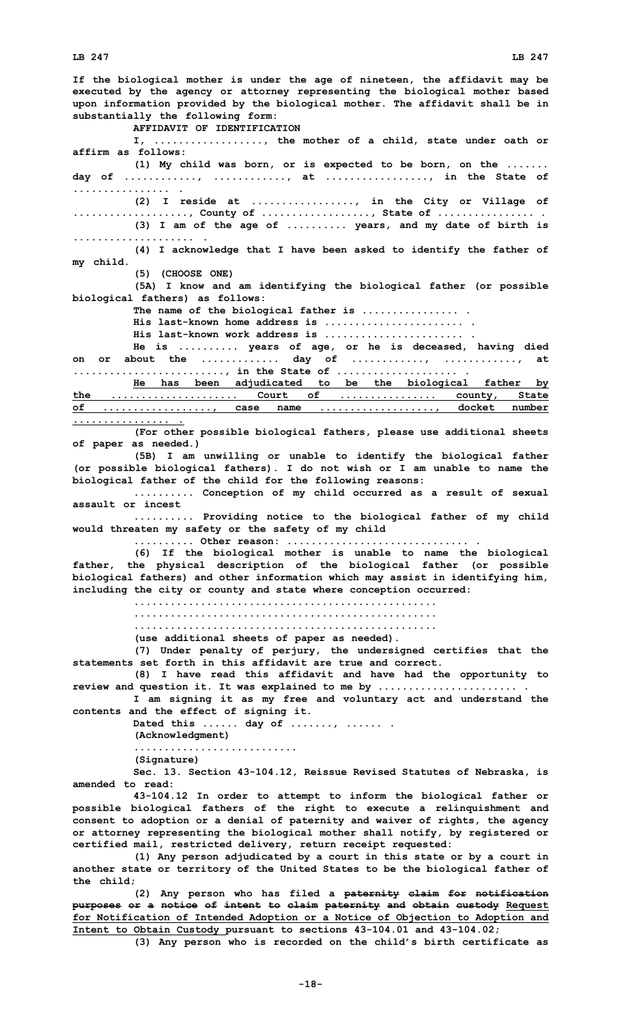**If the biological mother is under the age of nineteen, the affidavit may be executed by the agency or attorney representing the biological mother based upon information provided by the biological mother. The affidavit shall be in substantially the following form: AFFIDAVIT OF IDENTIFICATION I, .................., the mother of <sup>a</sup> child, state under oath or affirm as follows: (1) My child was born, or is expected to be born, on the ....... day of ............, ............, at ................., in the State of ................ . (2) <sup>I</sup> reside at ................., in the City or Village of ..................., County of .................., State of ................ . (3) <sup>I</sup> am of the age of .......... years, and my date of birth is .................... . (4) <sup>I</sup> acknowledge that <sup>I</sup> have been asked to identify the father of my child. (5) (CHOOSE ONE) (5A) <sup>I</sup> know and am identifying the biological father (or possible biological fathers) as follows: The name of the biological father is ................ . His last-known home address is ....................... . His last-known work address is ....................... . He is .......... years of age, or he is deceased, having died on or about the ............. day of ............, ............, at ........................., in the State of .................... . He has been adjudicated to be the biological father by the ..................... Court of ................ county, State of .................., case name ..................., docket number ................ . (For other possible biological fathers, please use additional sheets of paper as needed.) (5B) <sup>I</sup> am unwilling or unable to identify the biological father (or possible biological fathers). <sup>I</sup> do not wish or <sup>I</sup> am unable to name the biological father of the child for the following reasons: .......... Conception of my child occurred as <sup>a</sup> result of sexual assault or incest .......... Providing notice to the biological father of my child would threaten my safety or the safety of my child .......... Other reason: .............................. . (6) If the biological mother is unable to name the biological father, the physical description of the biological father (or possible biological fathers) and other information which may assist in identifying him, including the city or county and state where conception occurred: .................................................. .................................................. .................................................. (use additional sheets of paper as needed). (7) Under penalty of perjury, the undersigned certifies that the statements set forth in this affidavit are true and correct. (8) <sup>I</sup> have read this affidavit and have had the opportunity to review and question it. It was explained to me by ....................... . I am signing it as my free and voluntary act and understand the contents and the effect of signing it. Dated this ...... day of ......., ...... . (Acknowledgment) ........................... (Signature) Sec. 13. Section 43-104.12, Reissue Revised Statutes of Nebraska, is amended to read: 43-104.12 In order to attempt to inform the biological father or possible biological fathers of the right to execute <sup>a</sup> relinquishment and consent to adoption or <sup>a</sup> denial of paternity and waiver of rights, the agency or attorney representing the biological mother shall notify, by registered or certified mail, restricted delivery, return receipt requested: (1) Any person adjudicated by <sup>a</sup> court in this state or by <sup>a</sup> court in another state or territory of the United States to be the biological father of the child; (2) Any person who has filed <sup>a</sup> paternity claim for notification**

**purposes or <sup>a</sup> notice of intent to claim paternity and obtain custody Request for Notification of Intended Adoption or <sup>a</sup> Notice of Objection to Adoption and Intent to Obtain Custody pursuant to sections 43-104.01 and 43-104.02;**

**(3) Any person who is recorded on the child's birth certificate as**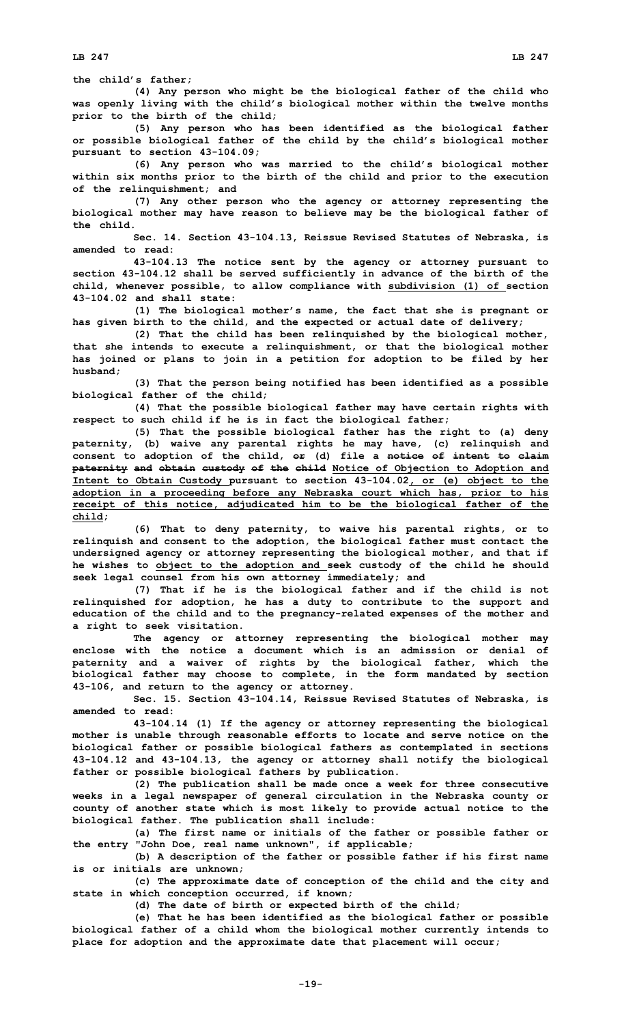**the child's father;**

**(4) Any person who might be the biological father of the child who was openly living with the child's biological mother within the twelve months prior to the birth of the child;**

**(5) Any person who has been identified as the biological father or possible biological father of the child by the child's biological mother pursuant to section 43-104.09;**

**(6) Any person who was married to the child's biological mother within six months prior to the birth of the child and prior to the execution of the relinquishment; and**

**(7) Any other person who the agency or attorney representing the biological mother may have reason to believe may be the biological father of the child.**

**Sec. 14. Section 43-104.13, Reissue Revised Statutes of Nebraska, is amended to read:**

**43-104.13 The notice sent by the agency or attorney pursuant to section 43-104.12 shall be served sufficiently in advance of the birth of the child, whenever possible, to allow compliance with subdivision (1) of section 43-104.02 and shall state:**

**(1) The biological mother's name, the fact that she is pregnant or has given birth to the child, and the expected or actual date of delivery;**

**(2) That the child has been relinquished by the biological mother, that she intends to execute <sup>a</sup> relinquishment, or that the biological mother has joined or plans to join in <sup>a</sup> petition for adoption to be filed by her husband;**

**(3) That the person being notified has been identified as <sup>a</sup> possible biological father of the child;**

**(4) That the possible biological father may have certain rights with respect to such child if he is in fact the biological father;**

**(5) That the possible biological father has the right to (a) deny paternity, (b) waive any parental rights he may have, (c) relinquish and consent to adoption of the child, or (d) file <sup>a</sup> notice of intent to claim paternity and obtain custody of the child Notice of Objection to Adoption and Intent to Obtain Custody pursuant to section 43-104.02, or (e) object to the adoption in <sup>a</sup> proceeding before any Nebraska court which has, prior to his receipt of this notice, adjudicated him to be the biological father of the child;**

**(6) That to deny paternity, to waive his parental rights, or to relinquish and consent to the adoption, the biological father must contact the undersigned agency or attorney representing the biological mother, and that if he wishes to object to the adoption and seek custody of the child he should seek legal counsel from his own attorney immediately; and**

**(7) That if he is the biological father and if the child is not relinquished for adoption, he has <sup>a</sup> duty to contribute to the support and education of the child and to the pregnancy-related expenses of the mother and <sup>a</sup> right to seek visitation.**

**The agency or attorney representing the biological mother may enclose with the notice a document which is an admission or denial of paternity and <sup>a</sup> waiver of rights by the biological father, which the biological father may choose to complete, in the form mandated by section 43-106, and return to the agency or attorney.**

**Sec. 15. Section 43-104.14, Reissue Revised Statutes of Nebraska, is amended to read:**

**43-104.14 (1) If the agency or attorney representing the biological mother is unable through reasonable efforts to locate and serve notice on the biological father or possible biological fathers as contemplated in sections 43-104.12 and 43-104.13, the agency or attorney shall notify the biological father or possible biological fathers by publication.**

**(2) The publication shall be made once <sup>a</sup> week for three consecutive weeks in <sup>a</sup> legal newspaper of general circulation in the Nebraska county or county of another state which is most likely to provide actual notice to the biological father. The publication shall include:**

**(a) The first name or initials of the father or possible father or the entry "John Doe, real name unknown", if applicable;**

**(b) <sup>A</sup> description of the father or possible father if his first name is or initials are unknown;**

**(c) The approximate date of conception of the child and the city and state in which conception occurred, if known;**

**(d) The date of birth or expected birth of the child;**

**(e) That he has been identified as the biological father or possible biological father of <sup>a</sup> child whom the biological mother currently intends to place for adoption and the approximate date that placement will occur;**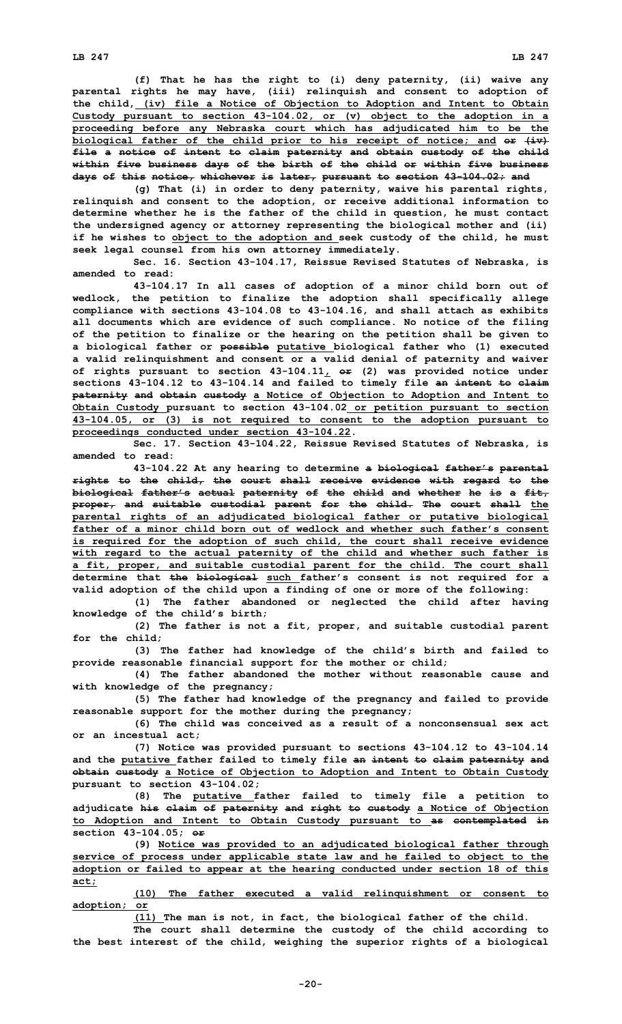**(f) That he has the right to (i) deny paternity, (ii) waive any parental rights he may have, (iii) relinquish and consent to adoption of the child, (iv) file <sup>a</sup> Notice of Objection to Adoption and Intent to Obtain Custody pursuant to section 43-104.02, or (v) object to the adoption in <sup>a</sup> proceeding before any Nebraska court which has adjudicated him to be the biological father of the child prior to his receipt of notice; and or (iv) file <sup>a</sup> notice of intent to claim paternity and obtain custody of the child within five business days of the birth of the child or within five business days of this notice, whichever is later, pursuant to section 43-104.02; and**

**(g) That (i) in order to deny paternity, waive his parental rights, relinquish and consent to the adoption, or receive additional information to determine whether he is the father of the child in question, he must contact the undersigned agency or attorney representing the biological mother and (ii) if he wishes to object to the adoption and seek custody of the child, he must seek legal counsel from his own attorney immediately.**

**Sec. 16. Section 43-104.17, Reissue Revised Statutes of Nebraska, is amended to read:**

**43-104.17 In all cases of adoption of <sup>a</sup> minor child born out of wedlock, the petition to finalize the adoption shall specifically allege compliance with sections 43-104.08 to 43-104.16, and shall attach as exhibits all documents which are evidence of such compliance. No notice of the filing of the petition to finalize or the hearing on the petition shall be given to <sup>a</sup> biological father or possible putative biological father who (1) executed <sup>a</sup> valid relinquishment and consent or <sup>a</sup> valid denial of paternity and waiver of rights pursuant to section 43-104.11, or (2) was provided notice under sections 43-104.12 to 43-104.14 and failed to timely file an intent to claim paternity and obtain custody <sup>a</sup> Notice of Objection to Adoption and Intent to Obtain Custody pursuant to section 43-104.02 or petition pursuant to section 43-104.05, or (3) is not required to consent to the adoption pursuant to proceedings conducted under section 43-104.22.**

**Sec. 17. Section 43-104.22, Reissue Revised Statutes of Nebraska, is amended to read:**

**43-104.22 At any hearing to determine <sup>a</sup> biological father's parental rights to the child, the court shall receive evidence with regard to the biological father's actual paternity of the child and whether he is <sup>a</sup> fit, proper, and suitable custodial parent for the child. The court shall the parental rights of an adjudicated biological father or putative biological father of a minor child born out of wedlock and whether such father's consent is required for the adoption of such child, the court shall receive evidence with regard to the actual paternity of the child and whether such father is <sup>a</sup> fit, proper, and suitable custodial parent for the child. The court shall determine that the biological such father's consent is not required for <sup>a</sup> valid adoption of the child upon <sup>a</sup> finding of one or more of the following:**

**(1) The father abandoned or neglected the child after having knowledge of the child's birth;**

**(2) The father is not <sup>a</sup> fit, proper, and suitable custodial parent for the child;**

**(3) The father had knowledge of the child's birth and failed to provide reasonable financial support for the mother or child;**

**(4) The father abandoned the mother without reasonable cause and with knowledge of the pregnancy;**

**(5) The father had knowledge of the pregnancy and failed to provide reasonable support for the mother during the pregnancy;**

**(6) The child was conceived as <sup>a</sup> result of <sup>a</sup> nonconsensual sex act or an incestual act;**

**(7) Notice was provided pursuant to sections 43-104.12 to 43-104.14 and the putative father failed to timely file an intent to claim paternity and obtain custody <sup>a</sup> Notice of Objection to Adoption and Intent to Obtain Custody pursuant to section 43-104.02;**

**(8) The putative father failed to timely file <sup>a</sup> petition to adjudicate his claim of paternity and right to custody <sup>a</sup> Notice of Objection to Adoption and Intent to Obtain Custody pursuant to as contemplated in section 43-104.05; or**

**(9) Notice was provided to an adjudicated biological father through service of process under applicable state law and he failed to object to the adoption or failed to appear at the hearing conducted under section 18 of this act;**

**(10) The father executed <sup>a</sup> valid relinquishment or consent to adoption; or**

**(11) The man is not, in fact, the biological father of the child.**

**The court shall determine the custody of the child according to the best interest of the child, weighing the superior rights of <sup>a</sup> biological**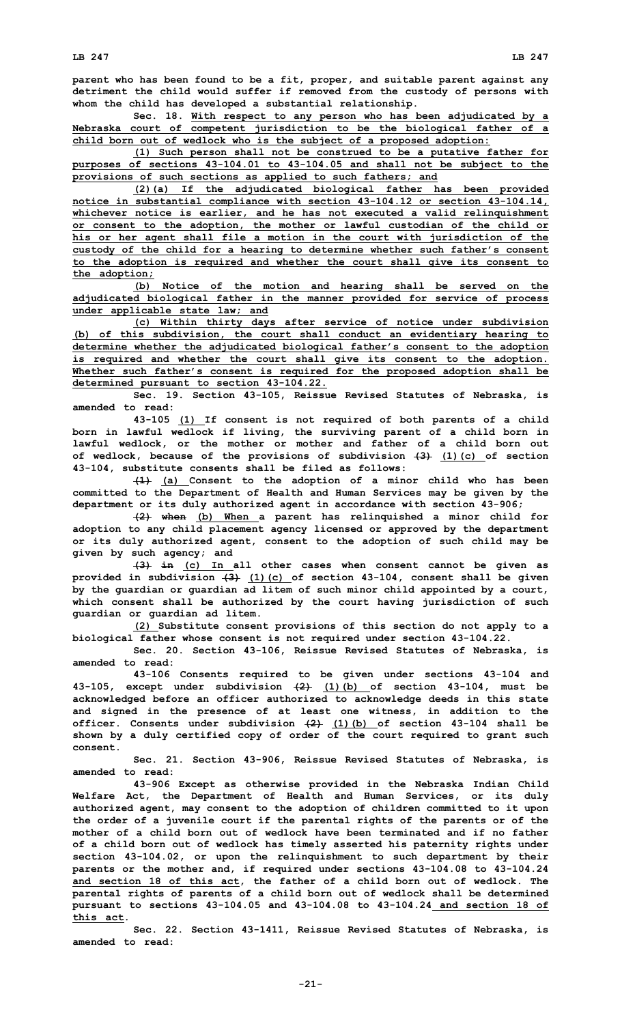**parent who has been found to be <sup>a</sup> fit, proper, and suitable parent against any detriment the child would suffer if removed from the custody of persons with whom the child has developed <sup>a</sup> substantial relationship.**

**Sec. 18. With respect to any person who has been adjudicated by <sup>a</sup> Nebraska court of competent jurisdiction to be the biological father of <sup>a</sup> child born out of wedlock who is the subject of <sup>a</sup> proposed adoption:**

**(1) Such person shall not be construed to be <sup>a</sup> putative father for purposes of sections 43-104.01 to 43-104.05 and shall not be subject to the provisions of such sections as applied to such fathers; and**

**(2)(a) If the adjudicated biological father has been provided notice in substantial compliance with section 43-104.12 or section 43-104.14, whichever notice is earlier, and he has not executed <sup>a</sup> valid relinquishment or consent to the adoption, the mother or lawful custodian of the child or his or her agent shall file <sup>a</sup> motion in the court with jurisdiction of the custody of the child for <sup>a</sup> hearing to determine whether such father's consent to the adoption is required and whether the court shall give its consent to the adoption;**

**(b) Notice of the motion and hearing shall be served on the adjudicated biological father in the manner provided for service of process under applicable state law; and**

**(c) Within thirty days after service of notice under subdivision (b) of this subdivision, the court shall conduct an evidentiary hearing to determine whether the adjudicated biological father's consent to the adoption is required and whether the court shall give its consent to the adoption. Whether such father's consent is required for the proposed adoption shall be determined pursuant to section 43-104.22.**

**Sec. 19. Section 43-105, Reissue Revised Statutes of Nebraska, is amended to read:**

**43-105 (1) If consent is not required of both parents of <sup>a</sup> child born in lawful wedlock if living, the surviving parent of <sup>a</sup> child born in lawful wedlock, or the mother or mother and father of <sup>a</sup> child born out of wedlock, because of the provisions of subdivision (3) (1)(c) of section 43-104, substitute consents shall be filed as follows:**

**(1) (a) Consent to the adoption of <sup>a</sup> minor child who has been committed to the Department of Health and Human Services may be given by the department or its duly authorized agent in accordance with section 43-906;**

**(2) when (b) When <sup>a</sup> parent has relinquished <sup>a</sup> minor child for adoption to any child placement agency licensed or approved by the department or its duly authorized agent, consent to the adoption of such child may be given by such agency; and**

**(3) in (c) In all other cases when consent cannot be given as provided in subdivision (3) (1)(c) of section 43-104, consent shall be given by the guardian or guardian ad litem of such minor child appointed by <sup>a</sup> court, which consent shall be authorized by the court having jurisdiction of such guardian or guardian ad litem.**

**(2) Substitute consent provisions of this section do not apply to <sup>a</sup> biological father whose consent is not required under section 43-104.22.**

**Sec. 20. Section 43-106, Reissue Revised Statutes of Nebraska, is amended to read:**

**43-106 Consents required to be given under sections 43-104 and 43-105, except under subdivision (2) (1)(b) of section 43-104, must be acknowledged before an officer authorized to acknowledge deeds in this state and signed in the presence of at least one witness, in addition to the officer. Consents under subdivision (2) (1)(b) of section 43-104 shall be shown by <sup>a</sup> duly certified copy of order of the court required to grant such consent.**

**Sec. 21. Section 43-906, Reissue Revised Statutes of Nebraska, is amended to read:**

**43-906 Except as otherwise provided in the Nebraska Indian Child Welfare Act, the Department of Health and Human Services, or its duly authorized agent, may consent to the adoption of children committed to it upon the order of <sup>a</sup> juvenile court if the parental rights of the parents or of the mother of a child born out of wedlock have been terminated and if no father of <sup>a</sup> child born out of wedlock has timely asserted his paternity rights under section 43-104.02, or upon the relinquishment to such department by their parents or the mother and, if required under sections 43-104.08 to 43-104.24 and section 18 of this act, the father of <sup>a</sup> child born out of wedlock. The parental rights of parents of <sup>a</sup> child born out of wedlock shall be determined pursuant to sections 43-104.05 and 43-104.08 to 43-104.24 and section 18 of this act.**

**Sec. 22. Section 43-1411, Reissue Revised Statutes of Nebraska, is amended to read:**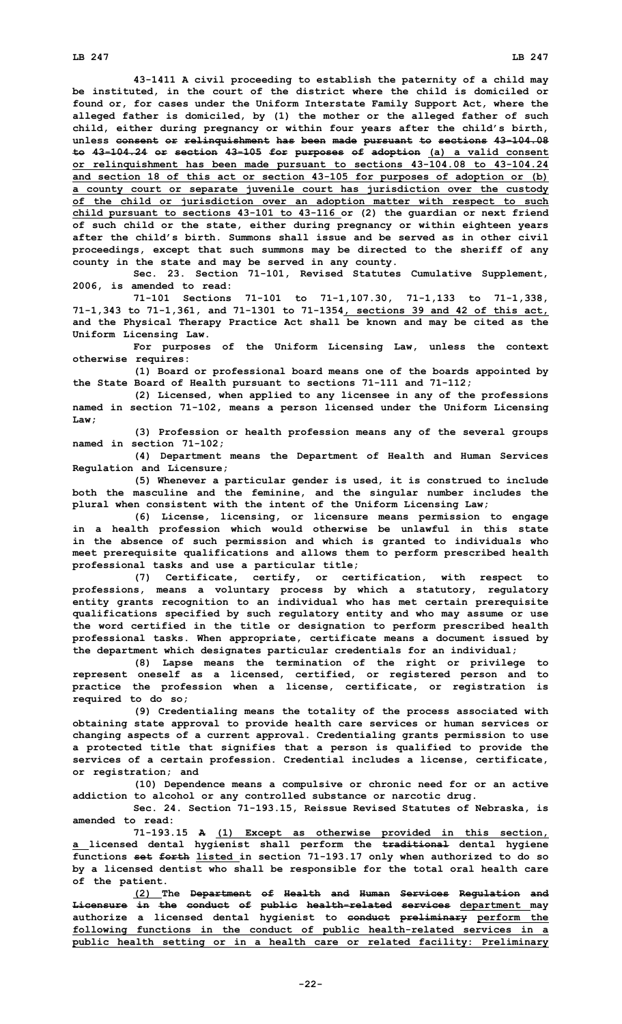**43-1411 <sup>A</sup> civil proceeding to establish the paternity of <sup>a</sup> child may be instituted, in the court of the district where the child is domiciled or found or, for cases under the Uniform Interstate Family Support Act, where the alleged father is domiciled, by (1) the mother or the alleged father of such child, either during pregnancy or within four years after the child's birth, unless consent or relinquishment has been made pursuant to sections 43-104.08 to 43-104.24 or section 43-105 for purposes of adoption (a) <sup>a</sup> valid consent or relinquishment has been made pursuant to sections 43-104.08 to 43-104.24 and section 18 of this act or section 43-105 for purposes of adoption or (b) <sup>a</sup> county court or separate juvenile court has jurisdiction over the custody of the child or jurisdiction over an adoption matter with respect to such child pursuant to sections 43-101 to 43-116 or (2) the guardian or next friend of such child or the state, either during pregnancy or within eighteen years after the child's birth. Summons shall issue and be served as in other civil proceedings, except that such summons may be directed to the sheriff of any county in the state and may be served in any county.**

**Sec. 23. Section 71-101, Revised Statutes Cumulative Supplement, 2006, is amended to read:**

**71-101 Sections 71-101 to 71-1,107.30, 71-1,133 to 71-1,338, 71-1,343 to 71-1,361, and 71-1301 to 71-1354, sections 39 and 42 of this act, and the Physical Therapy Practice Act shall be known and may be cited as the Uniform Licensing Law.**

**For purposes of the Uniform Licensing Law, unless the context otherwise requires:**

**(1) Board or professional board means one of the boards appointed by the State Board of Health pursuant to sections 71-111 and 71-112;**

**(2) Licensed, when applied to any licensee in any of the professions named in section 71-102, means <sup>a</sup> person licensed under the Uniform Licensing Law;**

**(3) Profession or health profession means any of the several groups named in section 71-102;**

**(4) Department means the Department of Health and Human Services Regulation and Licensure;**

**(5) Whenever <sup>a</sup> particular gender is used, it is construed to include both the masculine and the feminine, and the singular number includes the plural when consistent with the intent of the Uniform Licensing Law;**

**(6) License, licensing, or licensure means permission to engage in <sup>a</sup> health profession which would otherwise be unlawful in this state in the absence of such permission and which is granted to individuals who meet prerequisite qualifications and allows them to perform prescribed health professional tasks and use <sup>a</sup> particular title;**

**(7) Certificate, certify, or certification, with respect to professions, means <sup>a</sup> voluntary process by which <sup>a</sup> statutory, regulatory entity grants recognition to an individual who has met certain prerequisite qualifications specified by such regulatory entity and who may assume or use the word certified in the title or designation to perform prescribed health professional tasks. When appropriate, certificate means <sup>a</sup> document issued by the department which designates particular credentials for an individual;**

**(8) Lapse means the termination of the right or privilege to represent oneself as <sup>a</sup> licensed, certified, or registered person and to practice the profession when <sup>a</sup> license, certificate, or registration is required to do so;**

**(9) Credentialing means the totality of the process associated with obtaining state approval to provide health care services or human services or changing aspects of <sup>a</sup> current approval. Credentialing grants permission to use <sup>a</sup> protected title that signifies that <sup>a</sup> person is qualified to provide the services of <sup>a</sup> certain profession. Credential includes <sup>a</sup> license, certificate, or registration; and**

**(10) Dependence means <sup>a</sup> compulsive or chronic need for or an active addiction to alcohol or any controlled substance or narcotic drug.**

**Sec. 24. Section 71-193.15, Reissue Revised Statutes of Nebraska, is amended to read:**

**71-193.15 <sup>A</sup> (1) Except as otherwise provided in this section, <sup>a</sup> licensed dental hygienist shall perform the traditional dental hygiene functions set forth listed in section 71-193.17 only when authorized to do so by <sup>a</sup> licensed dentist who shall be responsible for the total oral health care of the patient.**

**(2) The Department of Health and Human Services Regulation and Licensure in the conduct of public health-related services department may authorize <sup>a</sup> licensed dental hygienist to conduct preliminary perform the following functions in the conduct of public health-related services in <sup>a</sup> public health setting or in <sup>a</sup> health care or related facility: Preliminary**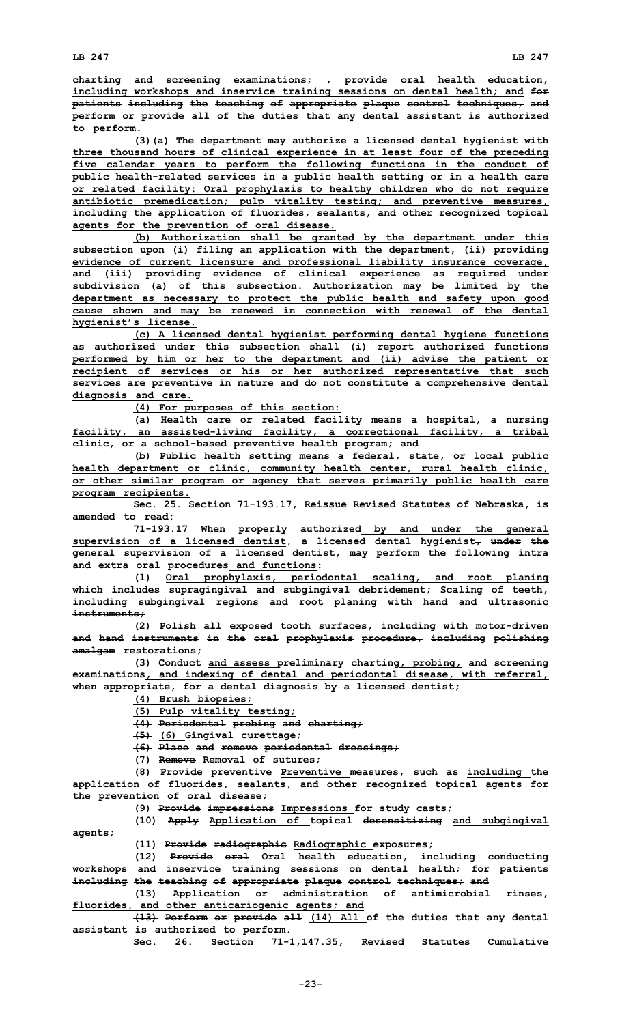**charting and screening examinations; , provide oral health education, including workshops and inservice training sessions on dental health; and for patients including the teaching of appropriate plaque control techniques, and perform or provide all of the duties that any dental assistant is authorized to perform.**

**(3)(a) The department may authorize <sup>a</sup> licensed dental hygienist with three thousand hours of clinical experience in at least four of the preceding five calendar years to perform the following functions in the conduct of public health-related services in <sup>a</sup> public health setting or in <sup>a</sup> health care or related facility: Oral prophylaxis to healthy children who do not require antibiotic premedication; pulp vitality testing; and preventive measures, including the application of fluorides, sealants, and other recognized topical agents for the prevention of oral disease.**

**(b) Authorization shall be granted by the department under this subsection upon (i) filing an application with the department, (ii) providing evidence of current licensure and professional liability insurance coverage, and (iii) providing evidence of clinical experience as required under subdivision (a) of this subsection. Authorization may be limited by the department as necessary to protect the public health and safety upon good cause shown and may be renewed in connection with renewal of the dental hygienist's license.**

**(c) <sup>A</sup> licensed dental hygienist performing dental hygiene functions as authorized under this subsection shall (i) report authorized functions performed by him or her to the department and (ii) advise the patient or recipient of services or his or her authorized representative that such services are preventive in nature and do not constitute <sup>a</sup> comprehensive dental diagnosis and care.**

**(4) For purposes of this section:**

**(a) Health care or related facility means <sup>a</sup> hospital, <sup>a</sup> nursing facility, an assisted-living facility, <sup>a</sup> correctional facility, <sup>a</sup> tribal clinic, or <sup>a</sup> school-based preventive health program; and**

**(b) Public health setting means <sup>a</sup> federal, state, or local public health department or clinic, community health center, rural health clinic, or other similar program or agency that serves primarily public health care program recipients.**

**Sec. 25. Section 71-193.17, Reissue Revised Statutes of Nebraska, is amended to read:**

**71-193.17 When properly authorized by and under the general supervision of <sup>a</sup> licensed dentist, <sup>a</sup> licensed dental hygienist, under the general supervision of <sup>a</sup> licensed dentist, may perform the following intra and extra oral procedures and functions:**

**(1) Oral prophylaxis, periodontal scaling, and root planing which includes supragingival and subgingival debridement; Scaling of teeth, including subgingival regions and root planing with hand and ultrasonic instruments;**

**(2) Polish all exposed tooth surfaces, including with motor-driven and hand instruments in the oral prophylaxis procedure, including polishing amalgam restorations;**

**(3) Conduct and assess preliminary charting, probing, and screening examinations, and indexing of dental and periodontal disease, with referral, when appropriate, for <sup>a</sup> dental diagnosis by <sup>a</sup> licensed dentist;**

**(4) Brush biopsies;**

**(5) Pulp vitality testing;**

**(4) Periodontal probing and charting;**

**(5) (6) Gingival curettage;**

**(6) Place and remove periodontal dressings;**

**(7) Remove Removal of sutures;**

**(8) Provide preventive Preventive measures, such as including the application of fluorides, sealants, and other recognized topical agents for the prevention of oral disease;**

**(9) Provide impressions Impressions for study casts;**

**(10) Apply Application of topical desensitizing and subgingival agents;**

**(11) Provide radiographic Radiographic exposures;**

**(12) Provide oral Oral health education, including conducting workshops and inservice training sessions on dental health; for patients including the teaching of appropriate plaque control techniques; and**

**(13) Application or administration of antimicrobial rinses, fluorides, and other anticariogenic agents; and**

**(13) Perform or provide all (14) All of the duties that any dental assistant is authorized to perform.**

**Sec. 26. Section 71-1,147.35, Revised Statutes Cumulative**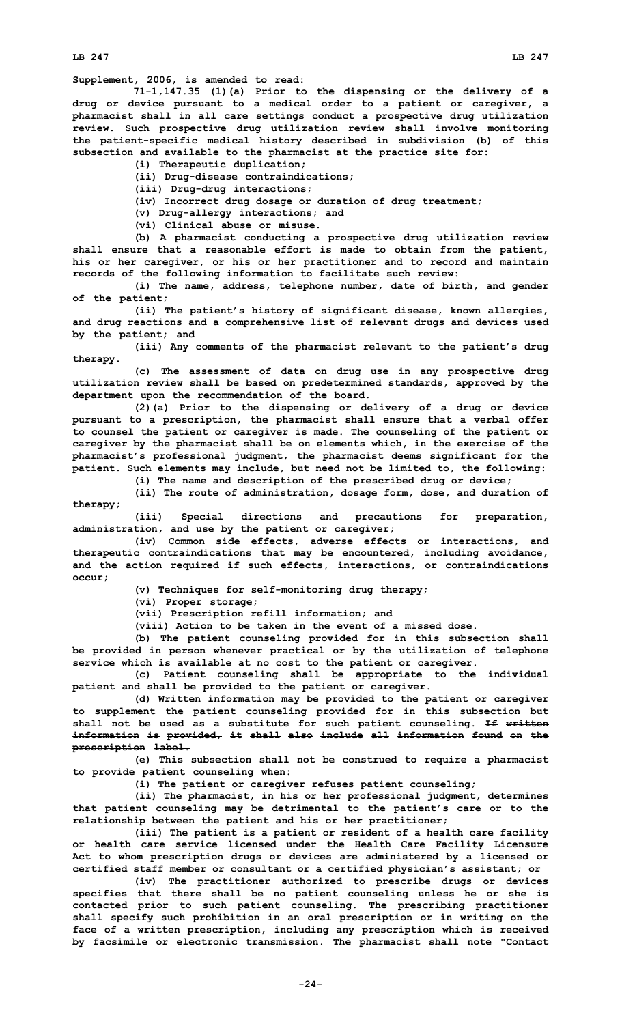**LB 247 LB 247**

**Supplement, 2006, is amended to read:**

**71-1,147.35 (1)(a) Prior to the dispensing or the delivery of <sup>a</sup> drug or device pursuant to <sup>a</sup> medical order to <sup>a</sup> patient or caregiver, <sup>a</sup> pharmacist shall in all care settings conduct <sup>a</sup> prospective drug utilization review. Such prospective drug utilization review shall involve monitoring the patient-specific medical history described in subdivision (b) of this subsection and available to the pharmacist at the practice site for:**

**(i) Therapeutic duplication;**

**(ii) Drug-disease contraindications;**

**(iii) Drug-drug interactions;**

**(iv) Incorrect drug dosage or duration of drug treatment;**

**(v) Drug-allergy interactions; and**

**(vi) Clinical abuse or misuse.**

**(b) <sup>A</sup> pharmacist conducting <sup>a</sup> prospective drug utilization review shall ensure that <sup>a</sup> reasonable effort is made to obtain from the patient, his or her caregiver, or his or her practitioner and to record and maintain records of the following information to facilitate such review:**

**(i) The name, address, telephone number, date of birth, and gender of the patient;**

**(ii) The patient's history of significant disease, known allergies, and drug reactions and <sup>a</sup> comprehensive list of relevant drugs and devices used by the patient; and**

**(iii) Any comments of the pharmacist relevant to the patient's drug therapy.**

**(c) The assessment of data on drug use in any prospective drug utilization review shall be based on predetermined standards, approved by the department upon the recommendation of the board.**

**(2)(a) Prior to the dispensing or delivery of <sup>a</sup> drug or device pursuant to <sup>a</sup> prescription, the pharmacist shall ensure that <sup>a</sup> verbal offer to counsel the patient or caregiver is made. The counseling of the patient or caregiver by the pharmacist shall be on elements which, in the exercise of the pharmacist's professional judgment, the pharmacist deems significant for the patient. Such elements may include, but need not be limited to, the following:**

**(i) The name and description of the prescribed drug or device;**

**(ii) The route of administration, dosage form, dose, and duration of therapy;**

**(iii) Special directions and precautions for preparation, administration, and use by the patient or caregiver;**

**(iv) Common side effects, adverse effects or interactions, and therapeutic contraindications that may be encountered, including avoidance, and the action required if such effects, interactions, or contraindications occur;**

**(v) Techniques for self-monitoring drug therapy;**

**(vi) Proper storage;**

**(vii) Prescription refill information; and**

**(viii) Action to be taken in the event of <sup>a</sup> missed dose.**

**(b) The patient counseling provided for in this subsection shall be provided in person whenever practical or by the utilization of telephone service which is available at no cost to the patient or caregiver.**

**(c) Patient counseling shall be appropriate to the individual patient and shall be provided to the patient or caregiver.**

**(d) Written information may be provided to the patient or caregiver to supplement the patient counseling provided for in this subsection but shall not be used as <sup>a</sup> substitute for such patient counseling. If written information is provided, it shall also include all information found on the prescription label.**

**(e) This subsection shall not be construed to require <sup>a</sup> pharmacist to provide patient counseling when:**

**(i) The patient or caregiver refuses patient counseling;**

**(ii) The pharmacist, in his or her professional judgment, determines that patient counseling may be detrimental to the patient's care or to the relationship between the patient and his or her practitioner;**

**(iii) The patient is <sup>a</sup> patient or resident of <sup>a</sup> health care facility or health care service licensed under the Health Care Facility Licensure Act to whom prescription drugs or devices are administered by <sup>a</sup> licensed or certified staff member or consultant or <sup>a</sup> certified physician's assistant; or**

**(iv) The practitioner authorized to prescribe drugs or devices specifies that there shall be no patient counseling unless he or she is contacted prior to such patient counseling. The prescribing practitioner shall specify such prohibition in an oral prescription or in writing on the face of <sup>a</sup> written prescription, including any prescription which is received by facsimile or electronic transmission. The pharmacist shall note "Contact**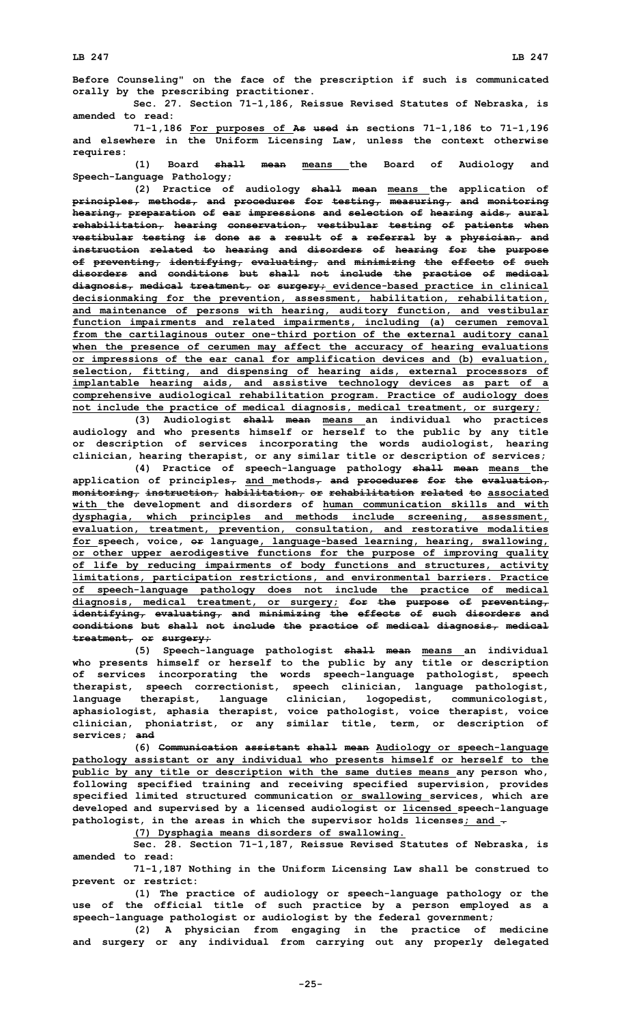**Before Counseling" on the face of the prescription if such is communicated orally by the prescribing practitioner.**

**Sec. 27. Section 71-1,186, Reissue Revised Statutes of Nebraska, is amended to read:**

**71-1,186 For purposes of As used in sections 71-1,186 to 71-1,196 and elsewhere in the Uniform Licensing Law, unless the context otherwise requires:**

**(1) Board shall mean means the Board of Audiology and Speech-Language Pathology;**

**(2) Practice of audiology shall mean means the application of principles, methods, and procedures for testing, measuring, and monitoring hearing, preparation of ear impressions and selection of hearing aids, aural rehabilitation, hearing conservation, vestibular testing of patients when vestibular testing is done as <sup>a</sup> result of <sup>a</sup> referral by <sup>a</sup> physician, and instruction related to hearing and disorders of hearing for the purpose of preventing, identifying, evaluating, and minimizing the effects of such disorders and conditions but shall not include the practice of medical diagnosis, medical treatment, or surgery; evidence-based practice in clinical decisionmaking for the prevention, assessment, habilitation, rehabilitation, and maintenance of persons with hearing, auditory function, and vestibular function impairments and related impairments, including (a) cerumen removal from the cartilaginous outer one-third portion of the external auditory canal when the presence of cerumen may affect the accuracy of hearing evaluations or impressions of the ear canal for amplification devices and (b) evaluation, selection, fitting, and dispensing of hearing aids, external processors of implantable hearing aids, and assistive technology devices as part of <sup>a</sup> comprehensive audiological rehabilitation program. Practice of audiology does not include the practice of medical diagnosis, medical treatment, or surgery;**

**(3) Audiologist shall mean means an individual who practices audiology and who presents himself or herself to the public by any title or description of services incorporating the words audiologist, hearing clinician, hearing therapist, or any similar title or description of services;**

**(4) Practice of speech-language pathology shall mean means the application of principles, and methods, and procedures for the evaluation, monitoring, instruction, habilitation, or rehabilitation related to associated with the development and disorders of human communication skills and with dysphagia, which principles and methods include screening, assessment, evaluation, treatment, prevention, consultation, and restorative modalities for speech, voice, or language, language-based learning, hearing, swallowing, or other upper aerodigestive functions for the purpose of improving quality of life by reducing impairments of body functions and structures, activity limitations, participation restrictions, and environmental barriers. Practice of speech-language pathology does not include the practice of medical diagnosis, medical treatment, or surgery; for the purpose of preventing, identifying, evaluating, and minimizing the effects of such disorders and conditions but shall not include the practice of medical diagnosis, medical treatment, or surgery;**

**(5) Speech-language pathologist shall mean means an individual who presents himself or herself to the public by any title or description of services incorporating the words speech-language pathologist, speech therapist, speech correctionist, speech clinician, language pathologist, language therapist, language clinician, logopedist, communicologist, aphasiologist, aphasia therapist, voice pathologist, voice therapist, voice clinician, phoniatrist, or any similar title, term, or description of services; and**

**(6) Communication assistant shall mean Audiology or speech-language pathology assistant or any individual who presents himself or herself to the public by any title or description with the same duties means any person who, following specified training and receiving specified supervision, provides specified limited structured communication or swallowing services, which are developed and supervised by <sup>a</sup> licensed audiologist or licensed speech-language pathologist, in the areas in which the supervisor holds licenses; and .**

**(7) Dysphagia means disorders of swallowing.**

**Sec. 28. Section 71-1,187, Reissue Revised Statutes of Nebraska, is amended to read:**

**71-1,187 Nothing in the Uniform Licensing Law shall be construed to prevent or restrict:**

**(1) The practice of audiology or speech-language pathology or the use of the official title of such practice by <sup>a</sup> person employed as <sup>a</sup> speech-language pathologist or audiologist by the federal government;**

**(2) <sup>A</sup> physician from engaging in the practice of medicine and surgery or any individual from carrying out any properly delegated**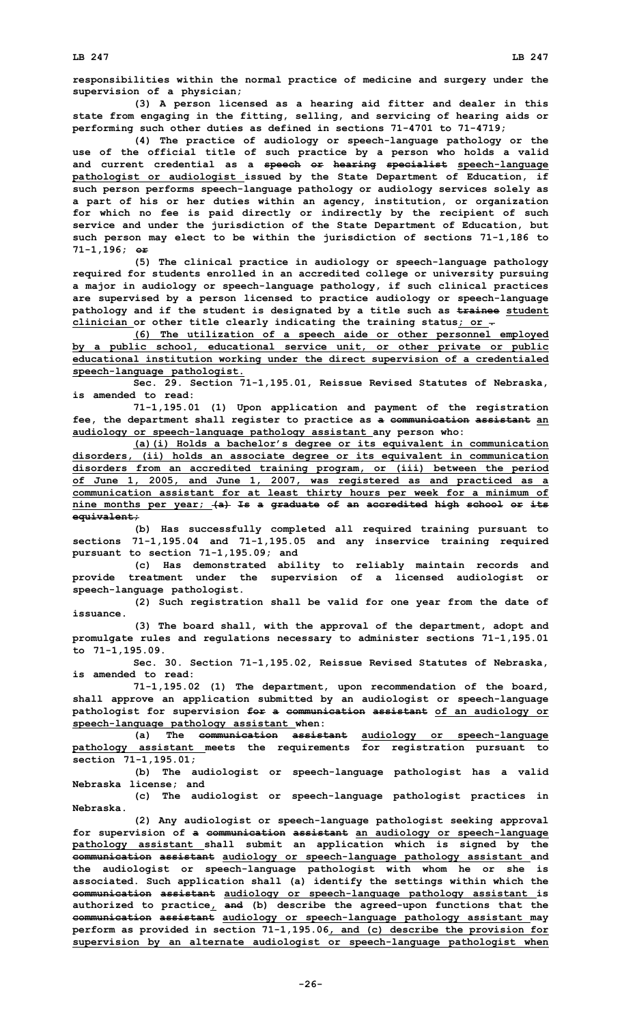**responsibilities within the normal practice of medicine and surgery under the supervision of <sup>a</sup> physician;**

**(3) <sup>A</sup> person licensed as <sup>a</sup> hearing aid fitter and dealer in this state from engaging in the fitting, selling, and servicing of hearing aids or performing such other duties as defined in sections 71-4701 to 71-4719;**

**(4) The practice of audiology or speech-language pathology or the use of the official title of such practice by <sup>a</sup> person who holds <sup>a</sup> valid and current credential as <sup>a</sup> speech or hearing specialist speech-language pathologist or audiologist issued by the State Department of Education, if such person performs speech-language pathology or audiology services solely as <sup>a</sup> part of his or her duties within an agency, institution, or organization for which no fee is paid directly or indirectly by the recipient of such service and under the jurisdiction of the State Department of Education, but such person may elect to be within the jurisdiction of sections 71-1,186 to 71-1,196; or**

**(5) The clinical practice in audiology or speech-language pathology required for students enrolled in an accredited college or university pursuing <sup>a</sup> major in audiology or speech-language pathology, if such clinical practices are supervised by <sup>a</sup> person licensed to practice audiology or speech-language pathology and if the student is designated by <sup>a</sup> title such as trainee student clinician or other title clearly indicating the training status; or .**

**(6) The utilization of <sup>a</sup> speech aide or other personnel employed by <sup>a</sup> public school, educational service unit, or other private or public educational institution working under the direct supervision of <sup>a</sup> credentialed speech-language pathologist.**

**Sec. 29. Section 71-1,195.01, Reissue Revised Statutes of Nebraska, is amended to read:**

**71-1,195.01 (1) Upon application and payment of the registration fee, the department shall register to practice as <sup>a</sup> communication assistant an audiology or speech-language pathology assistant any person who:**

**(a)(i) Holds <sup>a</sup> bachelor's degree or its equivalent in communication disorders, (ii) holds an associate degree or its equivalent in communication disorders from an accredited training program, or (iii) between the period of June 1, 2005, and June 1, 2007, was registered as and practiced as <sup>a</sup> communication assistant for at least thirty hours per week for <sup>a</sup> minimum of nine months per year; (a) Is <sup>a</sup> graduate of an accredited high school or its equivalent;**

**(b) Has successfully completed all required training pursuant to sections 71-1,195.04 and 71-1,195.05 and any inservice training required pursuant to section 71-1,195.09; and**

**(c) Has demonstrated ability to reliably maintain records and provide treatment under the supervision of <sup>a</sup> licensed audiologist or speech-language pathologist.**

**(2) Such registration shall be valid for one year from the date of issuance.**

**(3) The board shall, with the approval of the department, adopt and promulgate rules and regulations necessary to administer sections 71-1,195.01 to 71-1,195.09.**

**Sec. 30. Section 71-1,195.02, Reissue Revised Statutes of Nebraska, is amended to read:**

**71-1,195.02 (1) The department, upon recommendation of the board, shall approve an application submitted by an audiologist or speech-language pathologist for supervision for <sup>a</sup> communication assistant of an audiology or speech-language pathology assistant when:**

**(a) The communication assistant audiology or speech-language pathology assistant meets the requirements for registration pursuant to section 71-1,195.01;**

**(b) The audiologist or speech-language pathologist has <sup>a</sup> valid Nebraska license; and**

**(c) The audiologist or speech-language pathologist practices in Nebraska.**

**(2) Any audiologist or speech-language pathologist seeking approval for supervision of <sup>a</sup> communication assistant an audiology or speech-language pathology assistant shall submit an application which is signed by the communication assistant audiology or speech-language pathology assistant and the audiologist or speech-language pathologist with whom he or she is associated. Such application shall (a) identify the settings within which the communication assistant audiology or speech-language pathology assistant is authorized to practice, and (b) describe the agreed-upon functions that the communication assistant audiology or speech-language pathology assistant may perform as provided in section 71-1,195.06, and (c) describe the provision for supervision by an alternate audiologist or speech-language pathologist when**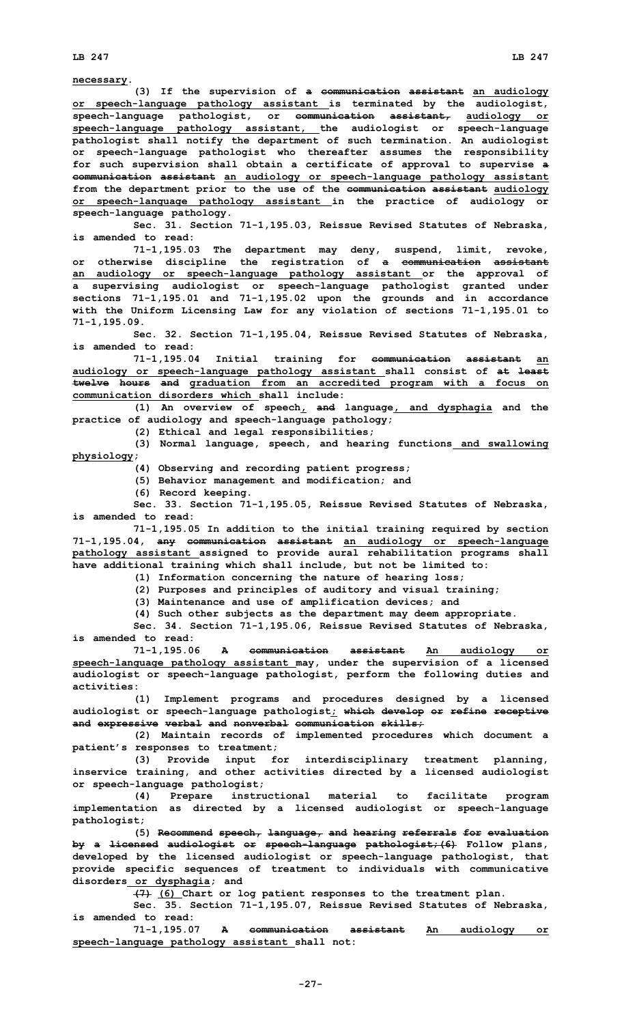**necessary.**

**(3) If the supervision of <sup>a</sup> communication assistant an audiology or speech-language pathology assistant is terminated by the audiologist, speech-language pathologist, or communication assistant, audiology or speech-language pathology assistant, the audiologist or speech-language pathologist shall notify the department of such termination. An audiologist or speech-language pathologist who thereafter assumes the responsibility for such supervision shall obtain <sup>a</sup> certificate of approval to supervise <sup>a</sup> communication assistant an audiology or speech-language pathology assistant from the department prior to the use of the communication assistant audiology or speech-language pathology assistant in the practice of audiology or speech-language pathology.**

**Sec. 31. Section 71-1,195.03, Reissue Revised Statutes of Nebraska, is amended to read:**

**71-1,195.03 The department may deny, suspend, limit, revoke, or otherwise discipline the registration of <sup>a</sup> communication assistant an audiology or speech-language pathology assistant or the approval of <sup>a</sup> supervising audiologist or speech-language pathologist granted under sections 71-1,195.01 and 71-1,195.02 upon the grounds and in accordance with the Uniform Licensing Law for any violation of sections 71-1,195.01 to 71-1,195.09.**

**Sec. 32. Section 71-1,195.04, Reissue Revised Statutes of Nebraska, is amended to read:**

**71-1,195.04 Initial training for communication assistant an audiology or speech-language pathology assistant shall consist of at least twelve hours and graduation from an accredited program with <sup>a</sup> focus on communication disorders which shall include:**

**(1) An overview of speech, and language, and dysphagia and the practice of audiology and speech-language pathology;**

**(2) Ethical and legal responsibilities;**

**(3) Normal language, speech, and hearing functions and swallowing physiology;**

**(4) Observing and recording patient progress;**

**(5) Behavior management and modification; and**

**(6) Record keeping.**

**Sec. 33. Section 71-1,195.05, Reissue Revised Statutes of Nebraska, is amended to read:**

**71-1,195.05 In addition to the initial training required by section 71-1,195.04, any communication assistant an audiology or speech-language pathology assistant assigned to provide aural rehabilitation programs shall have additional training which shall include, but not be limited to:**

**(1) Information concerning the nature of hearing loss;**

**(2) Purposes and principles of auditory and visual training;**

**(3) Maintenance and use of amplification devices; and**

**(4) Such other subjects as the department may deem appropriate.**

**Sec. 34. Section 71-1,195.06, Reissue Revised Statutes of Nebraska, is amended to read:**

**71-1,195.06 <sup>A</sup> communication assistant An audiology or speech-language pathology assistant may, under the supervision of <sup>a</sup> licensed audiologist or speech-language pathologist, perform the following duties and activities:**

**(1) Implement programs and procedures designed by <sup>a</sup> licensed audiologist or speech-language pathologist; which develop or refine receptive and expressive verbal and nonverbal communication skills;**

**(2) Maintain records of implemented procedures which document <sup>a</sup> patient's responses to treatment;**

**(3) Provide input for interdisciplinary treatment planning, inservice training, and other activities directed by <sup>a</sup> licensed audiologist or speech-language pathologist;**

**(4) Prepare instructional material to facilitate program implementation as directed by <sup>a</sup> licensed audiologist or speech-language pathologist;**

**(5) Recommend speech, language, and hearing referrals for evaluation by <sup>a</sup> licensed audiologist or speech-language pathologist;(6) Follow plans, developed by the licensed audiologist or speech-language pathologist, that provide specific sequences of treatment to individuals with communicative disorders or dysphagia; and**

**(7) (6) Chart or log patient responses to the treatment plan.**

**Sec. 35. Section 71-1,195.07, Reissue Revised Statutes of Nebraska, is amended to read:**

**71-1,195.07 <sup>A</sup> communication assistant An audiology or speech-language pathology assistant shall not:**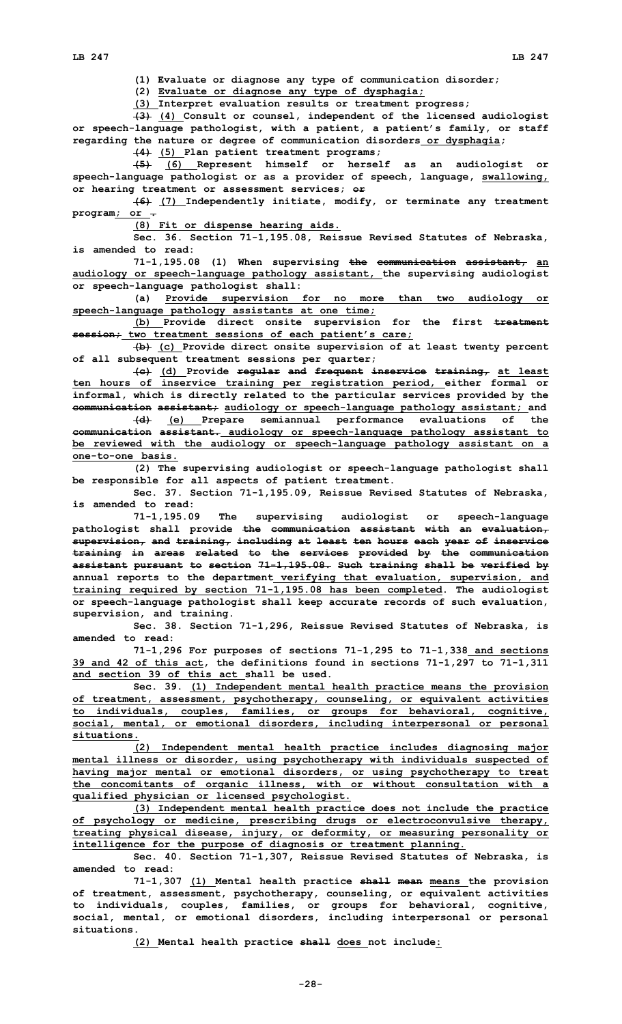**(1) Evaluate or diagnose any type of communication disorder;**

**(2) Evaluate or diagnose any type of dysphagia;**

**(3) Interpret evaluation results or treatment progress;**

**(3) (4) Consult or counsel, independent of the licensed audiologist or speech-language pathologist, with <sup>a</sup> patient, <sup>a</sup> patient's family, or staff regarding the nature or degree of communication disorders or dysphagia;**

**(4) (5) Plan patient treatment programs;**

**(5) (6) Represent himself or herself as an audiologist or speech-language pathologist or as <sup>a</sup> provider of speech, language, swallowing, or hearing treatment or assessment services; or**

**(6) (7) Independently initiate, modify, or terminate any treatment program; or .**

**(8) Fit or dispense hearing aids.**

**Sec. 36. Section 71-1,195.08, Reissue Revised Statutes of Nebraska, is amended to read:**

**71-1,195.08 (1) When supervising the communication assistant, an audiology or speech-language pathology assistant, the supervising audiologist or speech-language pathologist shall:**

**(a) Provide supervision for no more than two audiology or speech-language pathology assistants at one time;**

**(b) Provide direct onsite supervision for the first treatment session; two treatment sessions of each patient's care;**

**(b) (c) Provide direct onsite supervision of at least twenty percent of all subsequent treatment sessions per quarter;**

**(c) (d) Provide regular and frequent inservice training, at least ten hours of inservice training per registration period, either formal or informal, which is directly related to the particular services provided by the communication assistant; audiology or speech-language pathology assistant; and**

**(d) (e) Prepare semiannual performance evaluations of the communication assistant. audiology or speech-language pathology assistant to be reviewed with the audiology or speech-language pathology assistant on <sup>a</sup> one-to-one basis.**

**(2) The supervising audiologist or speech-language pathologist shall be responsible for all aspects of patient treatment.**

**Sec. 37. Section 71-1,195.09, Reissue Revised Statutes of Nebraska, is amended to read:**

**71-1,195.09 The supervising audiologist or speech-language pathologist shall provide the communication assistant with an evaluation, supervision, and training, including at least ten hours each year of inservice training in areas related to the services provided by the communication assistant pursuant to section 71-1,195.08. Such training shall be verified by annual reports to the department verifying that evaluation, supervision, and training required by section 71-1,195.08 has been completed. The audiologist or speech-language pathologist shall keep accurate records of such evaluation, supervision, and training.**

**Sec. 38. Section 71-1,296, Reissue Revised Statutes of Nebraska, is amended to read:**

**71-1,296 For purposes of sections 71-1,295 to 71-1,338 and sections 39 and 42 of this act, the definitions found in sections 71-1,297 to 71-1,311 and section 39 of this act shall be used.**

**Sec. 39. (1) Independent mental health practice means the provision of treatment, assessment, psychotherapy, counseling, or equivalent activities to individuals, couples, families, or groups for behavioral, cognitive, social, mental, or emotional disorders, including interpersonal or personal situations.**

**(2) Independent mental health practice includes diagnosing major mental illness or disorder, using psychotherapy with individuals suspected of having major mental or emotional disorders, or using psychotherapy to treat the concomitants of organic illness, with or without consultation with <sup>a</sup> qualified physician or licensed psychologist.**

**(3) Independent mental health practice does not include the practice of psychology or medicine, prescribing drugs or electroconvulsive therapy, treating physical disease, injury, or deformity, or measuring personality or intelligence for the purpose of diagnosis or treatment planning.**

**Sec. 40. Section 71-1,307, Reissue Revised Statutes of Nebraska, is amended to read:**

**71-1,307 (1) Mental health practice shall mean means the provision of treatment, assessment, psychotherapy, counseling, or equivalent activities to individuals, couples, families, or groups for behavioral, cognitive, social, mental, or emotional disorders, including interpersonal or personal situations.**

**(2) Mental health practice shall does not include:**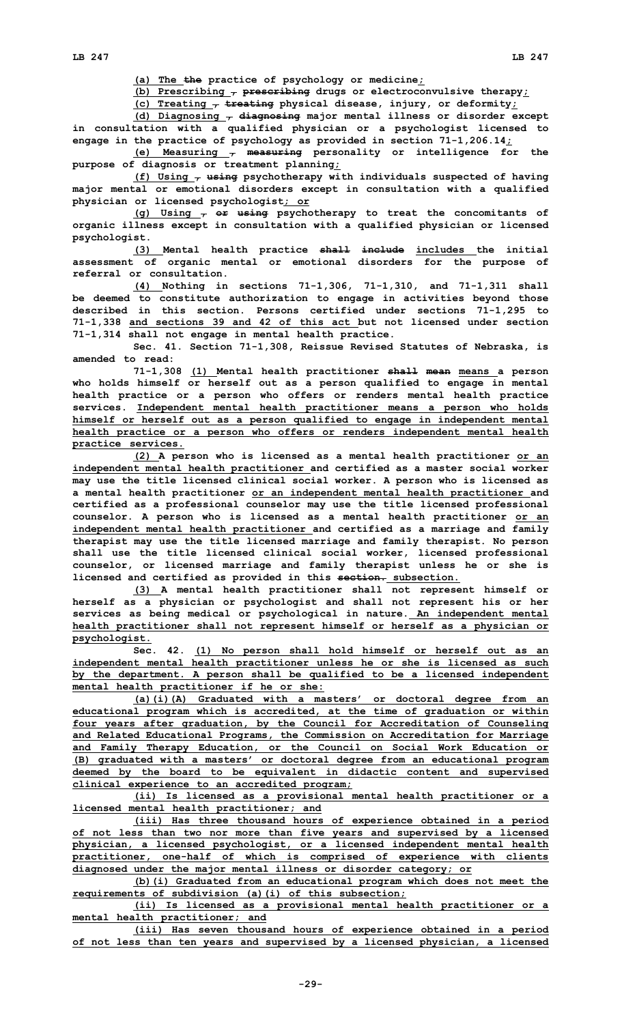**(a) The the practice of psychology or medicine;**

**(b) Prescribing , prescribing drugs or electroconvulsive therapy;**

**(c) Treating , treating physical disease, injury, or deformity;**

**(d) Diagnosing , diagnosing major mental illness or disorder except in consultation with <sup>a</sup> qualified physician or <sup>a</sup> psychologist licensed to engage in the practice of psychology as provided in section 71-1,206.14;**

**(e) Measuring , measuring personality or intelligence for the purpose of diagnosis or treatment planning;**

**(f) Using , using psychotherapy with individuals suspected of having major mental or emotional disorders except in consultation with <sup>a</sup> qualified physician or licensed psychologist; or**

**(g) Using , or using psychotherapy to treat the concomitants of organic illness except in consultation with <sup>a</sup> qualified physician or licensed psychologist.**

**(3) Mental health practice shall include includes the initial assessment of organic mental or emotional disorders for the purpose of referral or consultation.**

**(4) Nothing in sections 71-1,306, 71-1,310, and 71-1,311 shall be deemed to constitute authorization to engage in activities beyond those described in this section. Persons certified under sections 71-1,295 to 71-1,338 and sections 39 and 42 of this act but not licensed under section 71-1,314 shall not engage in mental health practice.**

**Sec. 41. Section 71-1,308, Reissue Revised Statutes of Nebraska, is amended to read:**

**71-1,308 (1) Mental health practitioner shall mean means <sup>a</sup> person who holds himself or herself out as <sup>a</sup> person qualified to engage in mental health practice or <sup>a</sup> person who offers or renders mental health practice services. Independent mental health practitioner means <sup>a</sup> person who holds himself or herself out as <sup>a</sup> person qualified to engage in independent mental health practice or <sup>a</sup> person who offers or renders independent mental health practice services.**

**(2) <sup>A</sup> person who is licensed as <sup>a</sup> mental health practitioner or an independent mental health practitioner and certified as <sup>a</sup> master social worker may use the title licensed clinical social worker. A person who is licensed as <sup>a</sup> mental health practitioner or an independent mental health practitioner and certified as <sup>a</sup> professional counselor may use the title licensed professional counselor. A person who is licensed as <sup>a</sup> mental health practitioner or an independent mental health practitioner and certified as <sup>a</sup> marriage and family therapist may use the title licensed marriage and family therapist. No person shall use the title licensed clinical social worker, licensed professional counselor, or licensed marriage and family therapist unless he or she is licensed and certified as provided in this section. subsection.**

**(3) <sup>A</sup> mental health practitioner shall not represent himself or herself as <sup>a</sup> physician or psychologist and shall not represent his or her services as being medical or psychological in nature. An independent mental health practitioner shall not represent himself or herself as <sup>a</sup> physician or psychologist.**

**Sec. 42. (1) No person shall hold himself or herself out as an independent mental health practitioner unless he or she is licensed as such by the department. A person shall be qualified to be <sup>a</sup> licensed independent mental health practitioner if he or she:**

**(a)(i)(A) Graduated with <sup>a</sup> masters' or doctoral degree from an educational program which is accredited, at the time of graduation or within four years after graduation, by the Council for Accreditation of Counseling and Related Educational Programs, the Commission on Accreditation for Marriage and Family Therapy Education, or the Council on Social Work Education or (B) graduated with <sup>a</sup> masters' or doctoral degree from an educational program deemed by the board to be equivalent in didactic content and supervised clinical experience to an accredited program;**

**(ii) Is licensed as <sup>a</sup> provisional mental health practitioner or <sup>a</sup> licensed mental health practitioner; and**

**(iii) Has three thousand hours of experience obtained in <sup>a</sup> period of not less than two nor more than five years and supervised by <sup>a</sup> licensed physician, <sup>a</sup> licensed psychologist, or <sup>a</sup> licensed independent mental health practitioner, one-half of which is comprised of experience with clients diagnosed under the major mental illness or disorder category; or**

**(b)(i) Graduated from an educational program which does not meet the requirements of subdivision (a)(i) of this subsection;**

**(ii) Is licensed as <sup>a</sup> provisional mental health practitioner or <sup>a</sup> mental health practitioner; and**

**(iii) Has seven thousand hours of experience obtained in <sup>a</sup> period of not less than ten years and supervised by <sup>a</sup> licensed physician, <sup>a</sup> licensed**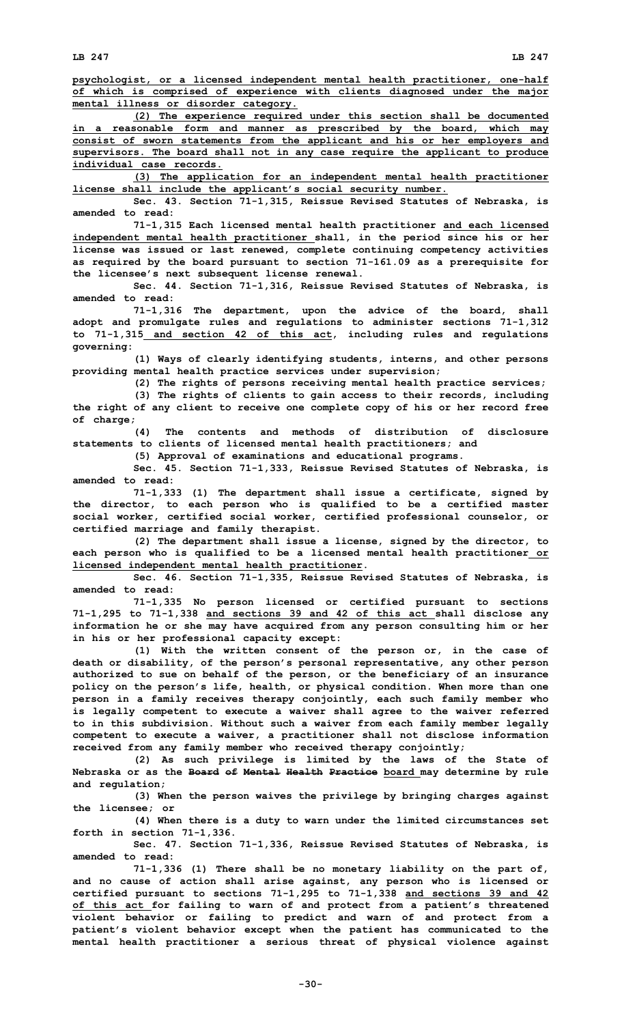**psychologist, or <sup>a</sup> licensed independent mental health practitioner, one-half of which is comprised of experience with clients diagnosed under the major mental illness or disorder category.**

**(2) The experience required under this section shall be documented in <sup>a</sup> reasonable form and manner as prescribed by the board, which may consist of sworn statements from the applicant and his or her employers and supervisors. The board shall not in any case require the applicant to produce individual case records.**

**(3) The application for an independent mental health practitioner license shall include the applicant's social security number.**

**Sec. 43. Section 71-1,315, Reissue Revised Statutes of Nebraska, is amended to read:**

**71-1,315 Each licensed mental health practitioner and each licensed independent mental health practitioner shall, in the period since his or her license was issued or last renewed, complete continuing competency activities as required by the board pursuant to section 71-161.09 as <sup>a</sup> prerequisite for the licensee's next subsequent license renewal.**

**Sec. 44. Section 71-1,316, Reissue Revised Statutes of Nebraska, is amended to read:**

**71-1,316 The department, upon the advice of the board, shall adopt and promulgate rules and regulations to administer sections 71-1,312 to 71-1,315 and section 42 of this act, including rules and regulations governing:**

**(1) Ways of clearly identifying students, interns, and other persons providing mental health practice services under supervision;**

**(2) The rights of persons receiving mental health practice services;**

**(3) The rights of clients to gain access to their records, including the right of any client to receive one complete copy of his or her record free of charge;**

**(4) The contents and methods of distribution of disclosure statements to clients of licensed mental health practitioners; and**

**(5) Approval of examinations and educational programs.**

**Sec. 45. Section 71-1,333, Reissue Revised Statutes of Nebraska, is amended to read:**

**71-1,333 (1) The department shall issue <sup>a</sup> certificate, signed by the director, to each person who is qualified to be <sup>a</sup> certified master social worker, certified social worker, certified professional counselor, or certified marriage and family therapist.**

**(2) The department shall issue <sup>a</sup> license, signed by the director, to each person who is qualified to be <sup>a</sup> licensed mental health practitioner or licensed independent mental health practitioner.**

**Sec. 46. Section 71-1,335, Reissue Revised Statutes of Nebraska, is amended to read:**

**71-1,335 No person licensed or certified pursuant to sections 71-1,295 to 71-1,338 and sections 39 and 42 of this act shall disclose any information he or she may have acquired from any person consulting him or her in his or her professional capacity except:**

**(1) With the written consent of the person or, in the case of death or disability, of the person's personal representative, any other person authorized to sue on behalf of the person, or the beneficiary of an insurance policy on the person's life, health, or physical condition. When more than one person in <sup>a</sup> family receives therapy conjointly, each such family member who is legally competent to execute <sup>a</sup> waiver shall agree to the waiver referred to in this subdivision. Without such <sup>a</sup> waiver from each family member legally competent to execute <sup>a</sup> waiver, <sup>a</sup> practitioner shall not disclose information received from any family member who received therapy conjointly;**

**(2) As such privilege is limited by the laws of the State of Nebraska or as the Board of Mental Health Practice board may determine by rule and regulation;**

**(3) When the person waives the privilege by bringing charges against the licensee; or**

**(4) When there is <sup>a</sup> duty to warn under the limited circumstances set forth in section 71-1,336.**

**Sec. 47. Section 71-1,336, Reissue Revised Statutes of Nebraska, is amended to read:**

**71-1,336 (1) There shall be no monetary liability on the part of, and no cause of action shall arise against, any person who is licensed or certified pursuant to sections 71-1,295 to 71-1,338 and sections 39 and 42 of this act for failing to warn of and protect from <sup>a</sup> patient's threatened violent behavior or failing to predict and warn of and protect from <sup>a</sup> patient's violent behavior except when the patient has communicated to the mental health practitioner <sup>a</sup> serious threat of physical violence against**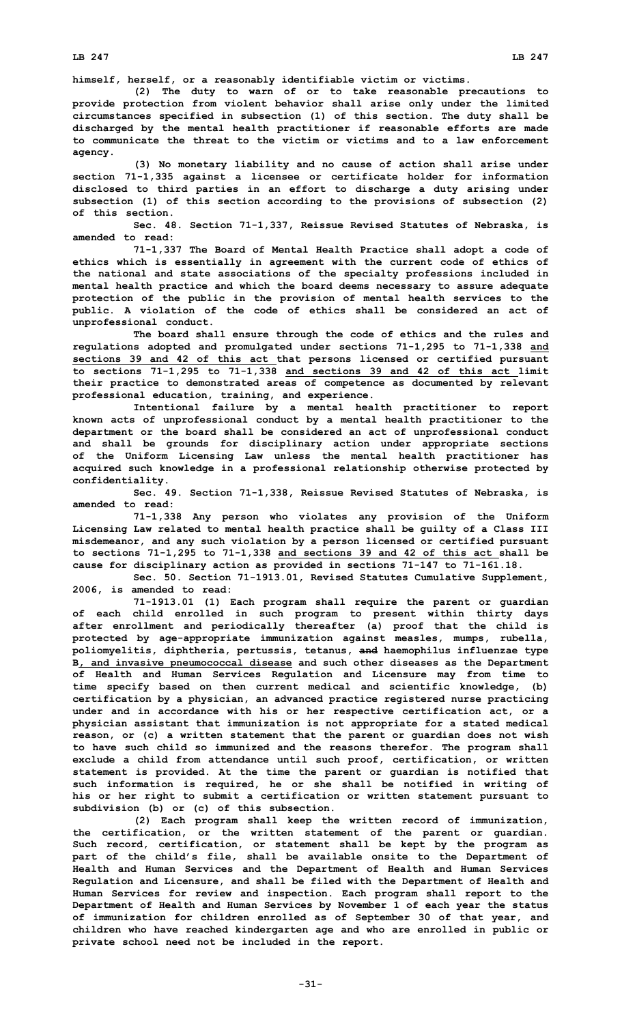**himself, herself, or <sup>a</sup> reasonably identifiable victim or victims.**

**(2) The duty to warn of or to take reasonable precautions to provide protection from violent behavior shall arise only under the limited circumstances specified in subsection (1) of this section. The duty shall be discharged by the mental health practitioner if reasonable efforts are made to communicate the threat to the victim or victims and to a law enforcement agency.**

**(3) No monetary liability and no cause of action shall arise under section 71-1,335 against <sup>a</sup> licensee or certificate holder for information disclosed to third parties in an effort to discharge <sup>a</sup> duty arising under subsection (1) of this section according to the provisions of subsection (2) of this section.**

**Sec. 48. Section 71-1,337, Reissue Revised Statutes of Nebraska, is amended to read:**

**71-1,337 The Board of Mental Health Practice shall adopt <sup>a</sup> code of ethics which is essentially in agreement with the current code of ethics of the national and state associations of the specialty professions included in mental health practice and which the board deems necessary to assure adequate protection of the public in the provision of mental health services to the public. A violation of the code of ethics shall be considered an act of unprofessional conduct.**

**The board shall ensure through the code of ethics and the rules and regulations adopted and promulgated under sections 71-1,295 to 71-1,338 and sections 39 and 42 of this act that persons licensed or certified pursuant to sections 71-1,295 to 71-1,338 and sections 39 and 42 of this act limit their practice to demonstrated areas of competence as documented by relevant professional education, training, and experience.**

**Intentional failure by <sup>a</sup> mental health practitioner to report known acts of unprofessional conduct by <sup>a</sup> mental health practitioner to the department or the board shall be considered an act of unprofessional conduct and shall be grounds for disciplinary action under appropriate sections of the Uniform Licensing Law unless the mental health practitioner has acquired such knowledge in <sup>a</sup> professional relationship otherwise protected by confidentiality.**

**Sec. 49. Section 71-1,338, Reissue Revised Statutes of Nebraska, is amended to read:**

**71-1,338 Any person who violates any provision of the Uniform Licensing Law related to mental health practice shall be guilty of <sup>a</sup> Class III misdemeanor, and any such violation by <sup>a</sup> person licensed or certified pursuant to sections 71-1,295 to 71-1,338 and sections 39 and 42 of this act shall be cause for disciplinary action as provided in sections 71-147 to 71-161.18.**

**Sec. 50. Section 71-1913.01, Revised Statutes Cumulative Supplement, 2006, is amended to read:**

**71-1913.01 (1) Each program shall require the parent or guardian of each child enrolled in such program to present within thirty days after enrollment and periodically thereafter (a) proof that the child is protected by age-appropriate immunization against measles, mumps, rubella, poliomyelitis, diphtheria, pertussis, tetanus, and haemophilus influenzae type B, and invasive pneumococcal disease and such other diseases as the Department of Health and Human Services Regulation and Licensure may from time to time specify based on then current medical and scientific knowledge, (b) certification by <sup>a</sup> physician, an advanced practice registered nurse practicing under and in accordance with his or her respective certification act, or <sup>a</sup> physician assistant that immunization is not appropriate for <sup>a</sup> stated medical reason, or (c) <sup>a</sup> written statement that the parent or guardian does not wish to have such child so immunized and the reasons therefor. The program shall exclude <sup>a</sup> child from attendance until such proof, certification, or written statement is provided. At the time the parent or guardian is notified that such information is required, he or she shall be notified in writing of his or her right to submit <sup>a</sup> certification or written statement pursuant to subdivision (b) or (c) of this subsection.**

**(2) Each program shall keep the written record of immunization, the certification, or the written statement of the parent or guardian. Such record, certification, or statement shall be kept by the program as part of the child's file, shall be available onsite to the Department of Health and Human Services and the Department of Health and Human Services Regulation and Licensure, and shall be filed with the Department of Health and Human Services for review and inspection. Each program shall report to the Department of Health and Human Services by November 1 of each year the status of immunization for children enrolled as of September 30 of that year, and children who have reached kindergarten age and who are enrolled in public or private school need not be included in the report.**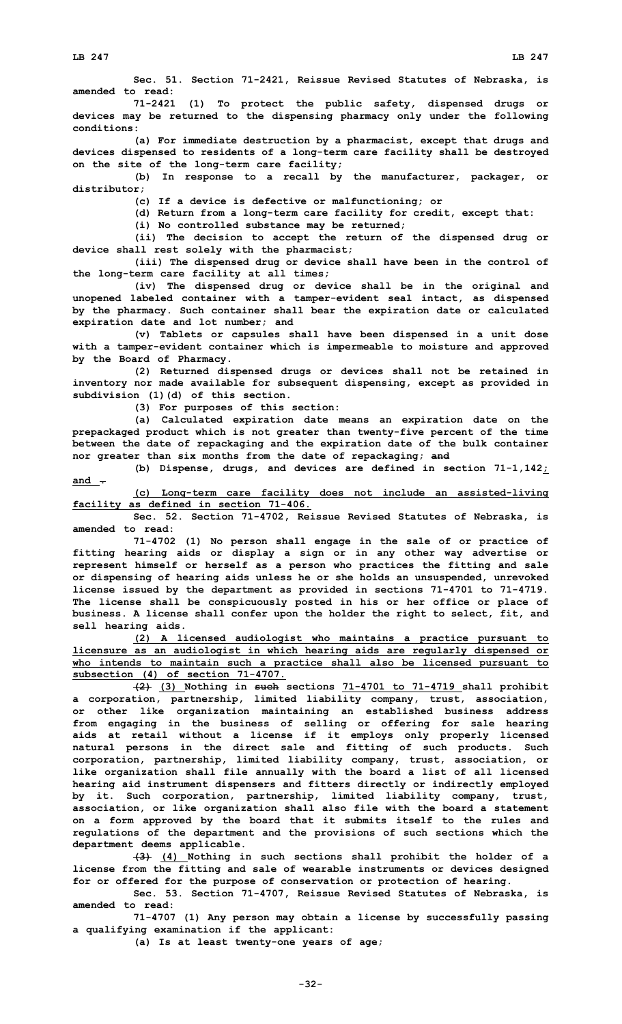**Sec. 51. Section 71-2421, Reissue Revised Statutes of Nebraska, is amended to read:**

**71-2421 (1) To protect the public safety, dispensed drugs or devices may be returned to the dispensing pharmacy only under the following conditions:**

**(a) For immediate destruction by <sup>a</sup> pharmacist, except that drugs and devices dispensed to residents of <sup>a</sup> long-term care facility shall be destroyed on the site of the long-term care facility;**

**(b) In response to <sup>a</sup> recall by the manufacturer, packager, or distributor;**

**(c) If <sup>a</sup> device is defective or malfunctioning; or**

**(d) Return from <sup>a</sup> long-term care facility for credit, except that:**

**(i) No controlled substance may be returned;**

**(ii) The decision to accept the return of the dispensed drug or device shall rest solely with the pharmacist;**

**(iii) The dispensed drug or device shall have been in the control of the long-term care facility at all times;**

**(iv) The dispensed drug or device shall be in the original and unopened labeled container with <sup>a</sup> tamper-evident seal intact, as dispensed by the pharmacy. Such container shall bear the expiration date or calculated expiration date and lot number; and**

**(v) Tablets or capsules shall have been dispensed in <sup>a</sup> unit dose with <sup>a</sup> tamper-evident container which is impermeable to moisture and approved by the Board of Pharmacy.**

**(2) Returned dispensed drugs or devices shall not be retained in inventory nor made available for subsequent dispensing, except as provided in subdivision (1)(d) of this section.**

**(3) For purposes of this section:**

**(a) Calculated expiration date means an expiration date on the prepackaged product which is not greater than twenty-five percent of the time between the date of repackaging and the expiration date of the bulk container nor greater than six months from the date of repackaging; and**

**(b) Dispense, drugs, and devices are defined in section 71-1,142; and .**

**(c) Long-term care facility does not include an assisted-living facility as defined in section 71-406.**

**Sec. 52. Section 71-4702, Reissue Revised Statutes of Nebraska, is amended to read:**

**71-4702 (1) No person shall engage in the sale of or practice of fitting hearing aids or display <sup>a</sup> sign or in any other way advertise or represent himself or herself as <sup>a</sup> person who practices the fitting and sale or dispensing of hearing aids unless he or she holds an unsuspended, unrevoked license issued by the department as provided in sections 71-4701 to 71-4719. The license shall be conspicuously posted in his or her office or place of business. A license shall confer upon the holder the right to select, fit, and sell hearing aids.**

**(2) <sup>A</sup> licensed audiologist who maintains <sup>a</sup> practice pursuant to licensure as an audiologist in which hearing aids are regularly dispensed or who intends to maintain such <sup>a</sup> practice shall also be licensed pursuant to subsection (4) of section 71-4707.**

**(2) (3) Nothing in such sections 71-4701 to 71-4719 shall prohibit <sup>a</sup> corporation, partnership, limited liability company, trust, association, or other like organization maintaining an established business address from engaging in the business of selling or offering for sale hearing aids at retail without <sup>a</sup> license if it employs only properly licensed natural persons in the direct sale and fitting of such products. Such corporation, partnership, limited liability company, trust, association, or like organization shall file annually with the board <sup>a</sup> list of all licensed hearing aid instrument dispensers and fitters directly or indirectly employed by it. Such corporation, partnership, limited liability company, trust, association, or like organization shall also file with the board <sup>a</sup> statement on <sup>a</sup> form approved by the board that it submits itself to the rules and regulations of the department and the provisions of such sections which the department deems applicable.**

**(3) (4) Nothing in such sections shall prohibit the holder of <sup>a</sup> license from the fitting and sale of wearable instruments or devices designed for or offered for the purpose of conservation or protection of hearing.**

**Sec. 53. Section 71-4707, Reissue Revised Statutes of Nebraska, is amended to read:**

**71-4707 (1) Any person may obtain <sup>a</sup> license by successfully passing <sup>a</sup> qualifying examination if the applicant:**

**(a) Is at least twenty-one years of age;**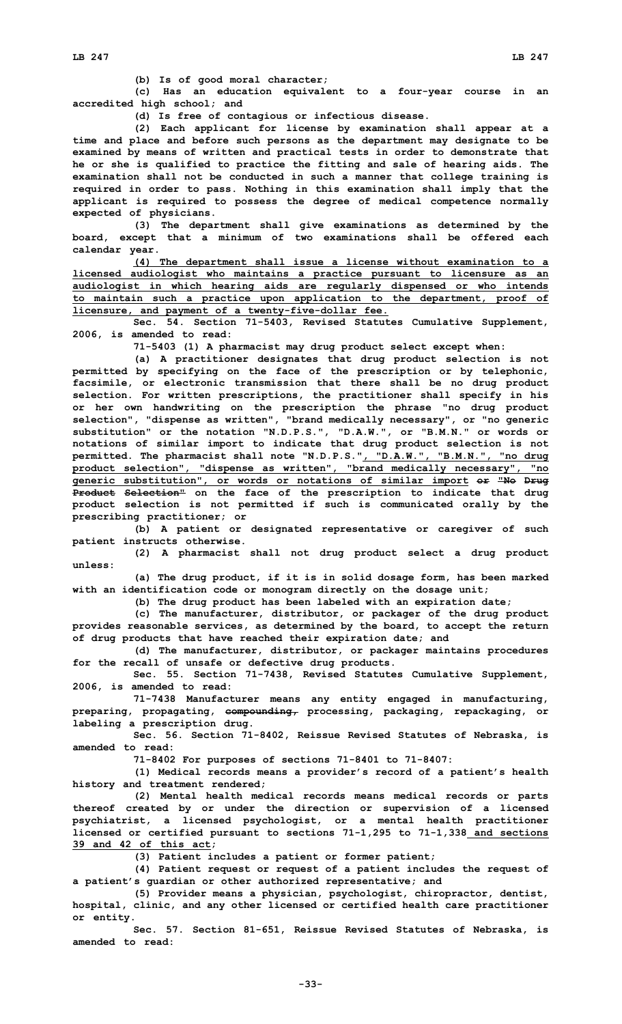**(b) Is of good moral character;**

**(c) Has an education equivalent to <sup>a</sup> four-year course in an accredited high school; and**

**(d) Is free of contagious or infectious disease.**

**(2) Each applicant for license by examination shall appear at <sup>a</sup> time and place and before such persons as the department may designate to be examined by means of written and practical tests in order to demonstrate that he or she is qualified to practice the fitting and sale of hearing aids. The examination shall not be conducted in such <sup>a</sup> manner that college training is required in order to pass. Nothing in this examination shall imply that the applicant is required to possess the degree of medical competence normally expected of physicians.**

**(3) The department shall give examinations as determined by the board, except that <sup>a</sup> minimum of two examinations shall be offered each calendar year.**

**(4) The department shall issue <sup>a</sup> license without examination to <sup>a</sup> licensed audiologist who maintains <sup>a</sup> practice pursuant to licensure as an audiologist in which hearing aids are regularly dispensed or who intends to maintain such <sup>a</sup> practice upon application to the department, proof of licensure, and payment of <sup>a</sup> twenty-five-dollar fee.**

**Sec. 54. Section 71-5403, Revised Statutes Cumulative Supplement, 2006, is amended to read:**

**71-5403 (1) <sup>A</sup> pharmacist may drug product select except when:**

**(a) <sup>A</sup> practitioner designates that drug product selection is not permitted by specifying on the face of the prescription or by telephonic, facsimile, or electronic transmission that there shall be no drug product selection. For written prescriptions, the practitioner shall specify in his or her own handwriting on the prescription the phrase "no drug product selection", "dispense as written", "brand medically necessary", or "no generic substitution" or the notation "N.D.P.S.", "D.A.W.", or "B.M.N." or words or notations of similar import to indicate that drug product selection is not permitted. The pharmacist shall note "N.D.P.S.", "D.A.W.", "B.M.N.", "no drug product selection", "dispense as written", "brand medically necessary", "no generic substitution", or words or notations of similar import or "No Drug Product Selection" on the face of the prescription to indicate that drug product selection is not permitted if such is communicated orally by the prescribing practitioner; or**

**(b) <sup>A</sup> patient or designated representative or caregiver of such patient instructs otherwise.**

**(2) <sup>A</sup> pharmacist shall not drug product select <sup>a</sup> drug product unless:**

**(a) The drug product, if it is in solid dosage form, has been marked with an identification code or monogram directly on the dosage unit;**

**(b) The drug product has been labeled with an expiration date;**

**(c) The manufacturer, distributor, or packager of the drug product provides reasonable services, as determined by the board, to accept the return of drug products that have reached their expiration date; and**

**(d) The manufacturer, distributor, or packager maintains procedures for the recall of unsafe or defective drug products.**

**Sec. 55. Section 71-7438, Revised Statutes Cumulative Supplement, 2006, is amended to read:**

**71-7438 Manufacturer means any entity engaged in manufacturing, preparing, propagating, compounding, processing, packaging, repackaging, or labeling <sup>a</sup> prescription drug.**

**Sec. 56. Section 71-8402, Reissue Revised Statutes of Nebraska, is amended to read:**

**71-8402 For purposes of sections 71-8401 to 71-8407:**

**(1) Medical records means <sup>a</sup> provider's record of <sup>a</sup> patient's health history and treatment rendered;**

**(2) Mental health medical records means medical records or parts thereof created by or under the direction or supervision of <sup>a</sup> licensed psychiatrist, <sup>a</sup> licensed psychologist, or <sup>a</sup> mental health practitioner licensed or certified pursuant to sections 71-1,295 to 71-1,338 and sections 39 and 42 of this act;**

**(3) Patient includes <sup>a</sup> patient or former patient;**

**(4) Patient request or request of <sup>a</sup> patient includes the request of <sup>a</sup> patient's guardian or other authorized representative; and**

**(5) Provider means <sup>a</sup> physician, psychologist, chiropractor, dentist, hospital, clinic, and any other licensed or certified health care practitioner or entity.**

**Sec. 57. Section 81-651, Reissue Revised Statutes of Nebraska, is amended to read:**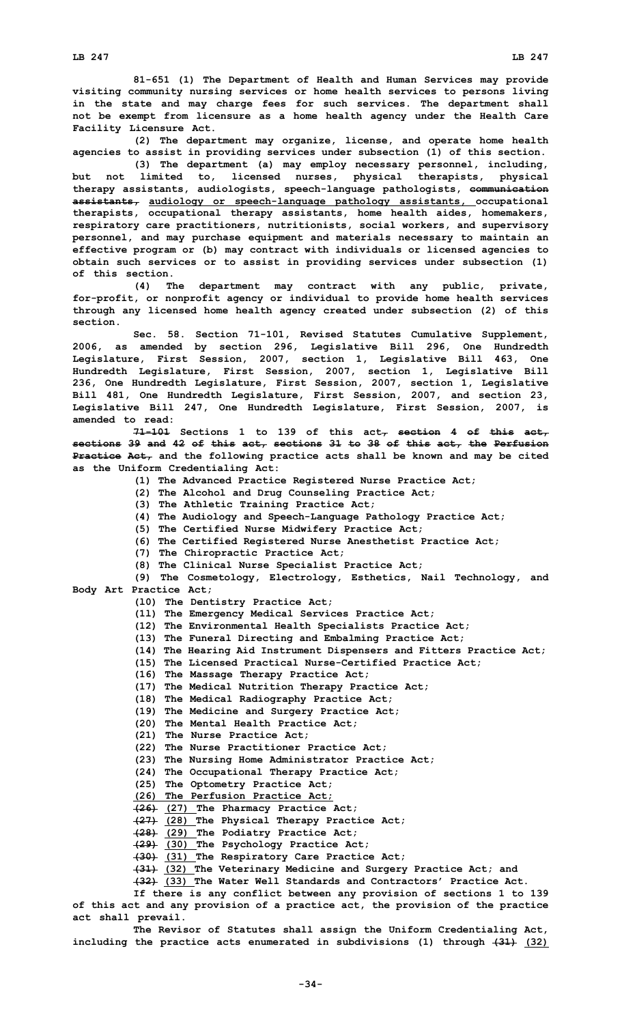**81-651 (1) The Department of Health and Human Services may provide visiting community nursing services or home health services to persons living in the state and may charge fees for such services. The department shall not be exempt from licensure as <sup>a</sup> home health agency under the Health Care Facility Licensure Act.**

**(2) The department may organize, license, and operate home health agencies to assist in providing services under subsection (1) of this section.**

**(3) The department (a) may employ necessary personnel, including, but not limited to, licensed nurses, physical therapists, physical therapy assistants, audiologists, speech-language pathologists, communication assistants, audiology or speech-language pathology assistants, occupational therapists, occupational therapy assistants, home health aides, homemakers, respiratory care practitioners, nutritionists, social workers, and supervisory personnel, and may purchase equipment and materials necessary to maintain an effective program or (b) may contract with individuals or licensed agencies to obtain such services or to assist in providing services under subsection (1) of this section.**

**(4) The department may contract with any public, private, for-profit, or nonprofit agency or individual to provide home health services through any licensed home health agency created under subsection (2) of this section.**

**Sec. 58. Section 71-101, Revised Statutes Cumulative Supplement, 2006, as amended by section 296, Legislative Bill 296, One Hundredth Legislature, First Session, 2007, section 1, Legislative Bill 463, One Hundredth Legislature, First Session, 2007, section 1, Legislative Bill 236, One Hundredth Legislature, First Session, 2007, section 1, Legislative Bill 481, One Hundredth Legislature, First Session, 2007, and section 23, Legislative Bill 247, One Hundredth Legislature, First Session, 2007, is amended to read:**

**71-101 Sections 1 to 139 of this act, section 4 of this act, sections 39 and 42 of this act, sections 31 to 38 of this act, the Perfusion Practice Act, and the following practice acts shall be known and may be cited as the Uniform Credentialing Act:**

- **(1) The Advanced Practice Registered Nurse Practice Act;**
- **(2) The Alcohol and Drug Counseling Practice Act;**
- **(3) The Athletic Training Practice Act;**
- **(4) The Audiology and Speech-Language Pathology Practice Act;**
- **(5) The Certified Nurse Midwifery Practice Act;**
- **(6) The Certified Registered Nurse Anesthetist Practice Act;**
- **(7) The Chiropractic Practice Act;**
	- **(8) The Clinical Nurse Specialist Practice Act;**

**(9) The Cosmetology, Electrology, Esthetics, Nail Technology, and Body Art Practice Act;**

- **(l0) The Dentistry Practice Act;**
- **(1l) The Emergency Medical Services Practice Act;**
- **(12) The Environmental Health Specialists Practice Act;**
- **(13) The Funeral Directing and Embalming Practice Act;**
- **(14) The Hearing Aid Instrument Dispensers and Fitters Practice Act;**
- **(15) The Licensed Practical Nurse-Certified Practice Act;**
- **(16) The Massage Therapy Practice Act;**
- **(17) The Medical Nutrition Therapy Practice Act;**
- **(18) The Medical Radiography Practice Act;**
- **(19) The Medicine and Surgery Practice Act;**
- **(20) The Mental Health Practice Act;**
- **(21) The Nurse Practice Act;**
- **(22) The Nurse Practitioner Practice Act;**
- **(23) The Nursing Home Administrator Practice Act;**
- **(24) The Occupational Therapy Practice Act;**
- **(25) The Optometry Practice Act;**
- **(26) The Perfusion Practice Act;**

**(26) (27) The Pharmacy Practice Act;**

- **(27) (28) The Physical Therapy Practice Act;**
- **(28) (29) The Podiatry Practice Act;**
- **(29) (30) The Psychology Practice Act;**
- **(30) (31) The Respiratory Care Practice Act;**
- **(31) (32) The Veterinary Medicine and Surgery Practice Act; and**

**(32) (33) The Water Well Standards and Contractors' Practice Act.**

**If there is any conflict between any provision of sections 1 to 139 of this act and any provision of <sup>a</sup> practice act, the provision of the practice act shall prevail.**

**The Revisor of Statutes shall assign the Uniform Credentialing Act, including the practice acts enumerated in subdivisions (1) through (31) (32)**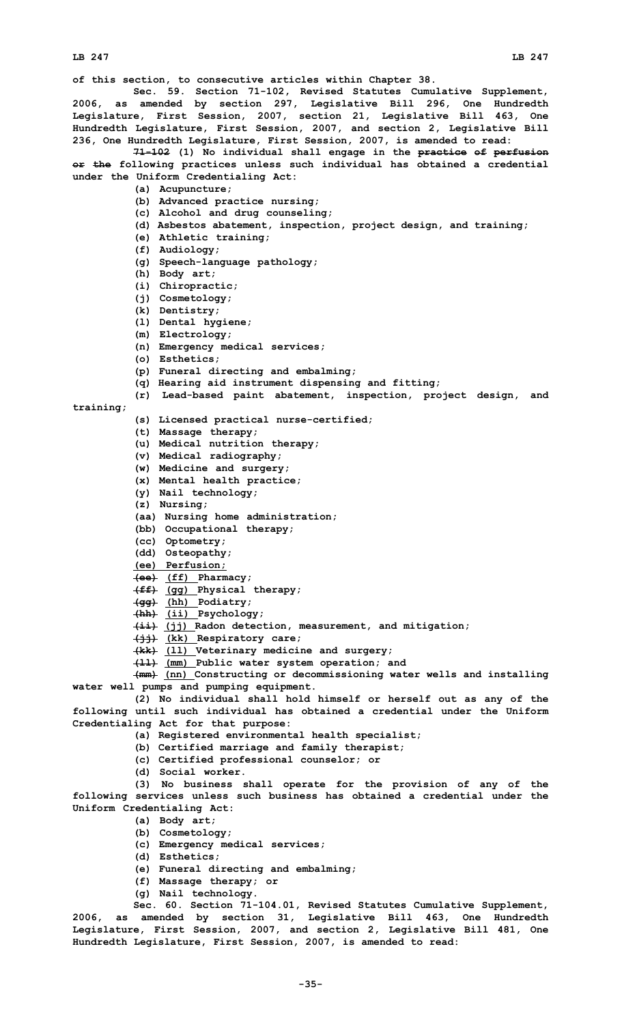**of this section, to consecutive articles within Chapter 38.**

**Sec. 59. Section 71-102, Revised Statutes Cumulative Supplement, 2006, as amended by section 297, Legislative Bill 296, One Hundredth Legislature, First Session, 2007, section 21, Legislative Bill 463, One Hundredth Legislature, First Session, 2007, and section 2, Legislative Bill 236, One Hundredth Legislature, First Session, 2007, is amended to read:**

**71-102 (1) No individual shall engage in the practice of perfusion or the following practices unless such individual has obtained <sup>a</sup> credential under the Uniform Credentialing Act:**

- **(a) Acupuncture;**
- **(b) Advanced practice nursing;**
- **(c) Alcohol and drug counseling;**
- **(d) Asbestos abatement, inspection, project design, and training;**
- **(e) Athletic training;**
- **(f) Audiology;**
- **(g) Speech-language pathology;**
- **(h) Body art;**
- **(i) Chiropractic;**
- **(j) Cosmetology;**
- **(k) Dentistry;**
- **(l) Dental hygiene;**
- **(m) Electrology;**
- **(n) Emergency medical services;**
- **(o) Esthetics;**
- **(p) Funeral directing and embalming;**
- **(q) Hearing aid instrument dispensing and fitting;**
- **(r) Lead-based paint abatement, inspection, project design, and**

**training;**

- 
- **(s) Licensed practical nurse-certified;**
- **(t) Massage therapy;**
- **(u) Medical nutrition therapy;**
- **(v) Medical radiography;**
- **(w) Medicine and surgery;**
- **(x) Mental health practice;**
- **(y) Nail technology;**
- **(z) Nursing;**
- **(aa) Nursing home administration;**
- **(bb) Occupational therapy;**
- **(cc) Optometry;**
- **(dd) Osteopathy;**
- **(ee) Perfusion;**
- **(ee) (ff) Pharmacy;**
- **(ff) (gg) Physical therapy;**
- **(gg) (hh) Podiatry;**
- **(hh) (ii) Psychology;**
- **(ii) (jj) Radon detection, measurement, and mitigation;**
- **(jj) (kk) Respiratory care;**
- **(kk) (ll) Veterinary medicine and surgery;**
- **(ll) (mm) Public water system operation; and**

**(mm) (nn) Constructing or decommissioning water wells and installing water well pumps and pumping equipment.**

**(2) No individual shall hold himself or herself out as any of the following until such individual has obtained <sup>a</sup> credential under the Uniform Credentialing Act for that purpose:**

- **(a) Registered environmental health specialist;**
- **(b) Certified marriage and family therapist;**
- **(c) Certified professional counselor; or**
- **(d) Social worker.**

**(3) No business shall operate for the provision of any of the following services unless such business has obtained <sup>a</sup> credential under the Uniform Credentialing Act:**

- **(a) Body art;**
- **(b) Cosmetology;**
- **(c) Emergency medical services;**
- **(d) Esthetics;**
- **(e) Funeral directing and embalming;**
- **(f) Massage therapy; or**
- **(g) Nail technology.**

**Sec. 60. Section 71-104.01, Revised Statutes Cumulative Supplement, 2006, as amended by section 31, Legislative Bill 463, One Hundredth Legislature, First Session, 2007, and section 2, Legislative Bill 481, One Hundredth Legislature, First Session, 2007, is amended to read:**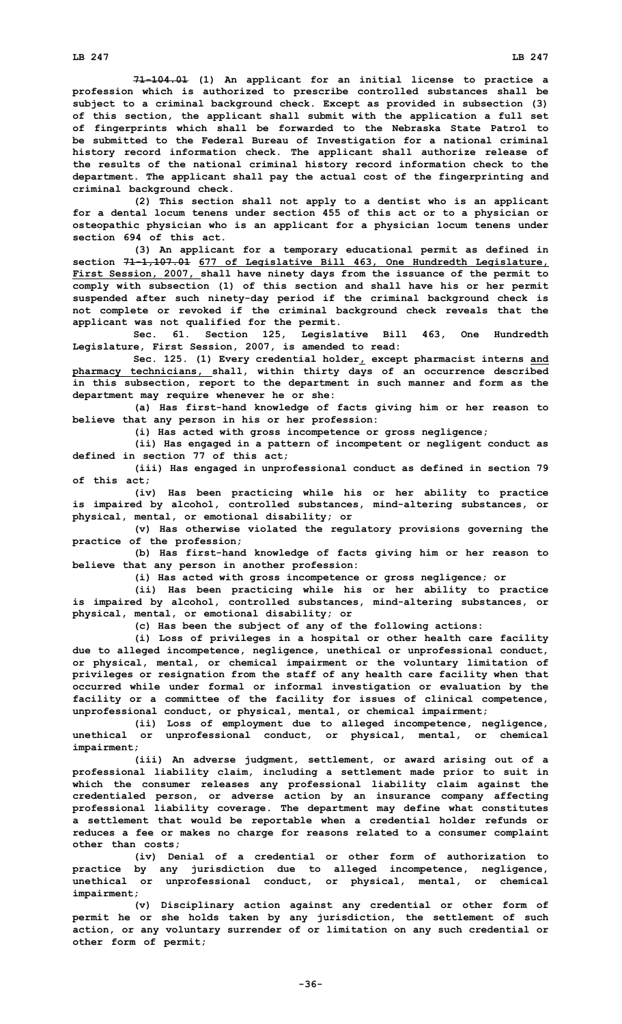**71-104.01 (1) An applicant for an initial license to practice <sup>a</sup> profession which is authorized to prescribe controlled substances shall be subject to <sup>a</sup> criminal background check. Except as provided in subsection (3) of this section, the applicant shall submit with the application <sup>a</sup> full set of fingerprints which shall be forwarded to the Nebraska State Patrol to be submitted to the Federal Bureau of Investigation for <sup>a</sup> national criminal history record information check. The applicant shall authorize release of the results of the national criminal history record information check to the department. The applicant shall pay the actual cost of the fingerprinting and criminal background check.**

**(2) This section shall not apply to <sup>a</sup> dentist who is an applicant for <sup>a</sup> dental locum tenens under section 455 of this act or to <sup>a</sup> physician or osteopathic physician who is an applicant for <sup>a</sup> physician locum tenens under section 694 of this act.**

**(3) An applicant for <sup>a</sup> temporary educational permit as defined in section 71-1,107.01 677 of Legislative Bill 463, One Hundredth Legislature, First Session, 2007, shall have ninety days from the issuance of the permit to comply with subsection (1) of this section and shall have his or her permit suspended after such ninety-day period if the criminal background check is not complete or revoked if the criminal background check reveals that the applicant was not qualified for the permit.**

**Sec. 61. Section 125, Legislative Bill 463, One Hundredth Legislature, First Session, 2007, is amended to read:**

**Sec. 125. (1) Every credential holder, except pharmacist interns and pharmacy technicians, shall, within thirty days of an occurrence described in this subsection, report to the department in such manner and form as the department may require whenever he or she:**

**(a) Has first-hand knowledge of facts giving him or her reason to believe that any person in his or her profession:**

**(i) Has acted with gross incompetence or gross negligence;**

**(ii) Has engaged in <sup>a</sup> pattern of incompetent or negligent conduct as defined in section 77 of this act;**

**(iii) Has engaged in unprofessional conduct as defined in section 79 of this act;**

**(iv) Has been practicing while his or her ability to practice is impaired by alcohol, controlled substances, mind-altering substances, or physical, mental, or emotional disability; or**

**(v) Has otherwise violated the regulatory provisions governing the practice of the profession;**

**(b) Has first-hand knowledge of facts giving him or her reason to believe that any person in another profession:**

**(i) Has acted with gross incompetence or gross negligence; or**

**(ii) Has been practicing while his or her ability to practice is impaired by alcohol, controlled substances, mind-altering substances, or physical, mental, or emotional disability; or**

**(c) Has been the subject of any of the following actions:**

**(i) Loss of privileges in <sup>a</sup> hospital or other health care facility due to alleged incompetence, negligence, unethical or unprofessional conduct, or physical, mental, or chemical impairment or the voluntary limitation of privileges or resignation from the staff of any health care facility when that occurred while under formal or informal investigation or evaluation by the facility or <sup>a</sup> committee of the facility for issues of clinical competence, unprofessional conduct, or physical, mental, or chemical impairment;**

**(ii) Loss of employment due to alleged incompetence, negligence, unethical or unprofessional conduct, or physical, mental, or chemical impairment;**

**(iii) An adverse judgment, settlement, or award arising out of <sup>a</sup> professional liability claim, including <sup>a</sup> settlement made prior to suit in which the consumer releases any professional liability claim against the credentialed person, or adverse action by an insurance company affecting professional liability coverage. The department may define what constitutes <sup>a</sup> settlement that would be reportable when <sup>a</sup> credential holder refunds or reduces <sup>a</sup> fee or makes no charge for reasons related to <sup>a</sup> consumer complaint other than costs;**

**(iv) Denial of <sup>a</sup> credential or other form of authorization to practice by any jurisdiction due to alleged incompetence, negligence, unethical or unprofessional conduct, or physical, mental, or chemical impairment;**

**(v) Disciplinary action against any credential or other form of permit he or she holds taken by any jurisdiction, the settlement of such action, or any voluntary surrender of or limitation on any such credential or other form of permit;**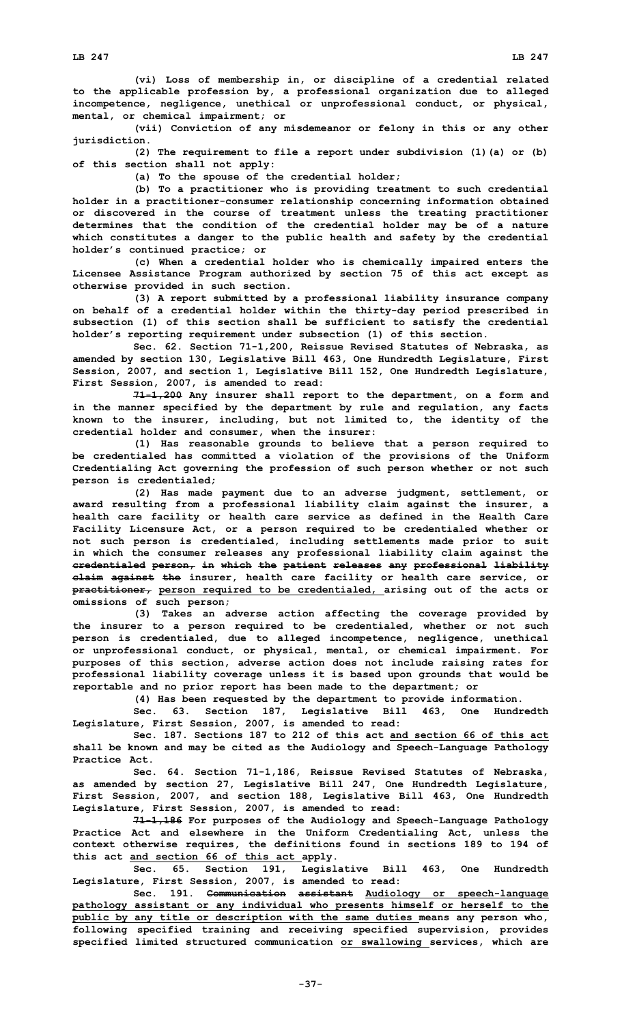**(vi) Loss of membership in, or discipline of <sup>a</sup> credential related to the applicable profession by, <sup>a</sup> professional organization due to alleged incompetence, negligence, unethical or unprofessional conduct, or physical, mental, or chemical impairment; or**

**(vii) Conviction of any misdemeanor or felony in this or any other jurisdiction.**

**(2) The requirement to file <sup>a</sup> report under subdivision (1)(a) or (b) of this section shall not apply:**

**(a) To the spouse of the credential holder;**

**(b) To <sup>a</sup> practitioner who is providing treatment to such credential holder in <sup>a</sup> practitioner-consumer relationship concerning information obtained or discovered in the course of treatment unless the treating practitioner determines that the condition of the credential holder may be of <sup>a</sup> nature which constitutes <sup>a</sup> danger to the public health and safety by the credential holder's continued practice; or**

**(c) When <sup>a</sup> credential holder who is chemically impaired enters the Licensee Assistance Program authorized by section 75 of this act except as otherwise provided in such section.**

**(3) <sup>A</sup> report submitted by <sup>a</sup> professional liability insurance company on behalf of <sup>a</sup> credential holder within the thirty-day period prescribed in subsection (1) of this section shall be sufficient to satisfy the credential holder's reporting requirement under subsection (1) of this section.**

**Sec. 62. Section 71-1,200, Reissue Revised Statutes of Nebraska, as amended by section 130, Legislative Bill 463, One Hundredth Legislature, First Session, 2007, and section 1, Legislative Bill 152, One Hundredth Legislature, First Session, 2007, is amended to read:**

**71-1,200 Any insurer shall report to the department, on <sup>a</sup> form and in the manner specified by the department by rule and regulation, any facts known to the insurer, including, but not limited to, the identity of the credential holder and consumer, when the insurer:**

**(1) Has reasonable grounds to believe that <sup>a</sup> person required to be credentialed has committed <sup>a</sup> violation of the provisions of the Uniform Credentialing Act governing the profession of such person whether or not such person is credentialed;**

**(2) Has made payment due to an adverse judgment, settlement, or award resulting from <sup>a</sup> professional liability claim against the insurer, <sup>a</sup> health care facility or health care service as defined in the Health Care Facility Licensure Act, or <sup>a</sup> person required to be credentialed whether or not such person is credentialed, including settlements made prior to suit in which the consumer releases any professional liability claim against the credentialed person, in which the patient releases any professional liability claim against the insurer, health care facility or health care service, or practitioner, person required to be credentialed, arising out of the acts or omissions of such person;**

**(3) Takes an adverse action affecting the coverage provided by the insurer to <sup>a</sup> person required to be credentialed, whether or not such person is credentialed, due to alleged incompetence, negligence, unethical or unprofessional conduct, or physical, mental, or chemical impairment. For purposes of this section, adverse action does not include raising rates for professional liability coverage unless it is based upon grounds that would be reportable and no prior report has been made to the department; or**

**(4) Has been requested by the department to provide information.**

**Sec. 63. Section 187, Legislative Bill 463, One Hundredth Legislature, First Session, 2007, is amended to read:**

**Sec. 187. Sections 187 to 212 of this act and section 66 of this act shall be known and may be cited as the Audiology and Speech-Language Pathology Practice Act.**

**Sec. 64. Section 71-1,186, Reissue Revised Statutes of Nebraska, as amended by section 27, Legislative Bill 247, One Hundredth Legislature, First Session, 2007, and section 188, Legislative Bill 463, One Hundredth Legislature, First Session, 2007, is amended to read:**

**71-1,186 For purposes of the Audiology and Speech-Language Pathology Practice Act and elsewhere in the Uniform Credentialing Act, unless the context otherwise requires, the definitions found in sections 189 to 194 of this act and section 66 of this act apply.**

**Sec. 65. Section 191, Legislative Bill 463, One Hundredth Legislature, First Session, 2007, is amended to read:**

**Sec. 191. Communication assistant Audiology or speech-language pathology assistant or any individual who presents himself or herself to the public by any title or description with the same duties means any person who, following specified training and receiving specified supervision, provides specified limited structured communication or swallowing services, which are**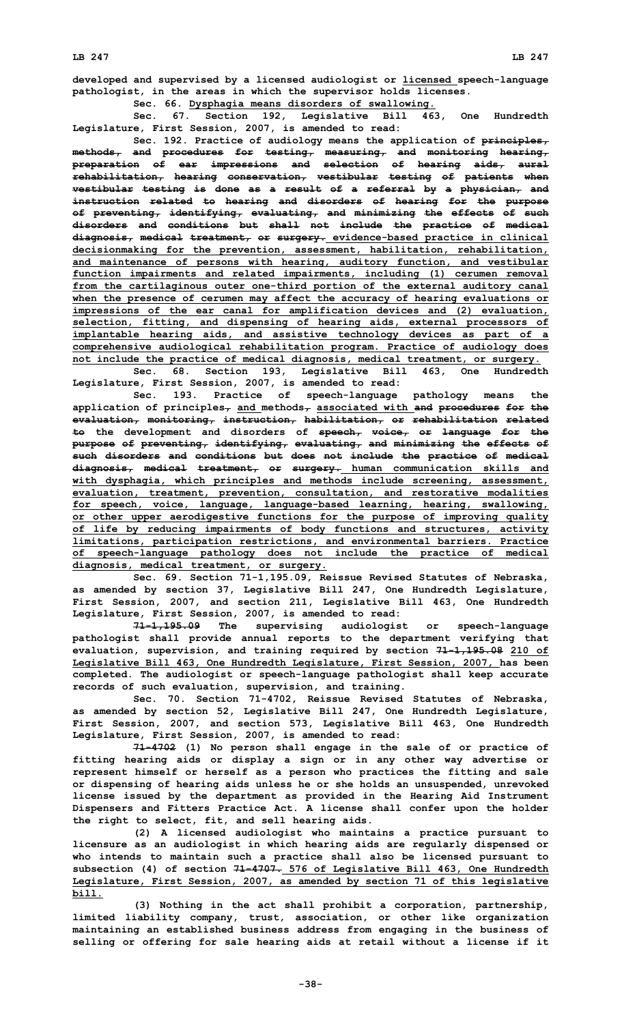**developed and supervised by <sup>a</sup> licensed audiologist or licensed speech-language pathologist, in the areas in which the supervisor holds licenses.**

**Sec. 66. Dysphagia means disorders of swallowing.**

**Sec. 67. Section 192, Legislative Bill 463, One Hundredth Legislature, First Session, 2007, is amended to read:**

**Sec. 192. Practice of audiology means the application of principles, methods, and procedures for testing, measuring, and monitoring hearing, preparation of ear impressions and selection of hearing aids, aural rehabilitation, hearing conservation, vestibular testing of patients when vestibular testing is done as <sup>a</sup> result of <sup>a</sup> referral by <sup>a</sup> physician, and instruction related to hearing and disorders of hearing for the purpose of preventing, identifying, evaluating, and minimizing the effects of such disorders and conditions but shall not include the practice of medical diagnosis, medical treatment, or surgery. evidence-based practice in clinical decisionmaking for the prevention, assessment, habilitation, rehabilitation, and maintenance of persons with hearing, auditory function, and vestibular function impairments and related impairments, including (1) cerumen removal from the cartilaginous outer one-third portion of the external auditory canal when the presence of cerumen may affect the accuracy of hearing evaluations or impressions of the ear canal for amplification devices and (2) evaluation, selection, fitting, and dispensing of hearing aids, external processors of implantable hearing aids, and assistive technology devices as part of <sup>a</sup> comprehensive audiological rehabilitation program. Practice of audiology does not include the practice of medical diagnosis, medical treatment, or surgery.**

**Sec. 68. Section 193, Legislative Bill 463, One Hundredth Legislature, First Session, 2007, is amended to read:**

**Sec. 193. Practice of speech-language pathology means the application of principles, and methods, associated with and procedures for the evaluation, monitoring, instruction, habilitation, or rehabilitation related to the development and disorders of speech, voice, or language for the purpose of preventing, identifying, evaluating, and minimizing the effects of such disorders and conditions but does not include the practice of medical diagnosis, medical treatment, or surgery. human communication skills and with dysphagia, which principles and methods include screening, assessment, evaluation, treatment, prevention, consultation, and restorative modalities for speech, voice, language, language-based learning, hearing, swallowing, or other upper aerodigestive functions for the purpose of improving quality of life by reducing impairments of body functions and structures, activity limitations, participation restrictions, and environmental barriers. Practice of speech-language pathology does not include the practice of medical diagnosis, medical treatment, or surgery.**

**Sec. 69. Section 71-1,195.09, Reissue Revised Statutes of Nebraska, as amended by section 37, Legislative Bill 247, One Hundredth Legislature, First Session, 2007, and section 211, Legislative Bill 463, One Hundredth Legislature, First Session, 2007, is amended to read:**

**71-1,195.09 The supervising audiologist or speech-language pathologist shall provide annual reports to the department verifying that evaluation, supervision, and training required by section 71-1,195.08 210 of Legislative Bill 463, One Hundredth Legislature, First Session, 2007, has been completed. The audiologist or speech-language pathologist shall keep accurate records of such evaluation, supervision, and training.**

**Sec. 70. Section 71-4702, Reissue Revised Statutes of Nebraska, as amended by section 52, Legislative Bill 247, One Hundredth Legislature, First Session, 2007, and section 573, Legislative Bill 463, One Hundredth Legislature, First Session, 2007, is amended to read:**

**71-4702 (1) No person shall engage in the sale of or practice of fitting hearing aids or display <sup>a</sup> sign or in any other way advertise or represent himself or herself as <sup>a</sup> person who practices the fitting and sale or dispensing of hearing aids unless he or she holds an unsuspended, unrevoked license issued by the department as provided in the Hearing Aid Instrument Dispensers and Fitters Practice Act. A license shall confer upon the holder the right to select, fit, and sell hearing aids.**

**(2) <sup>A</sup> licensed audiologist who maintains <sup>a</sup> practice pursuant to licensure as an audiologist in which hearing aids are regularly dispensed or who intends to maintain such <sup>a</sup> practice shall also be licensed pursuant to subsection (4) of section 71-4707. 576 of Legislative Bill 463, One Hundredth Legislature, First Session, 2007, as amended by section 71 of this legislative bill.**

**(3) Nothing in the act shall prohibit <sup>a</sup> corporation, partnership, limited liability company, trust, association, or other like organization maintaining an established business address from engaging in the business of selling or offering for sale hearing aids at retail without <sup>a</sup> license if it**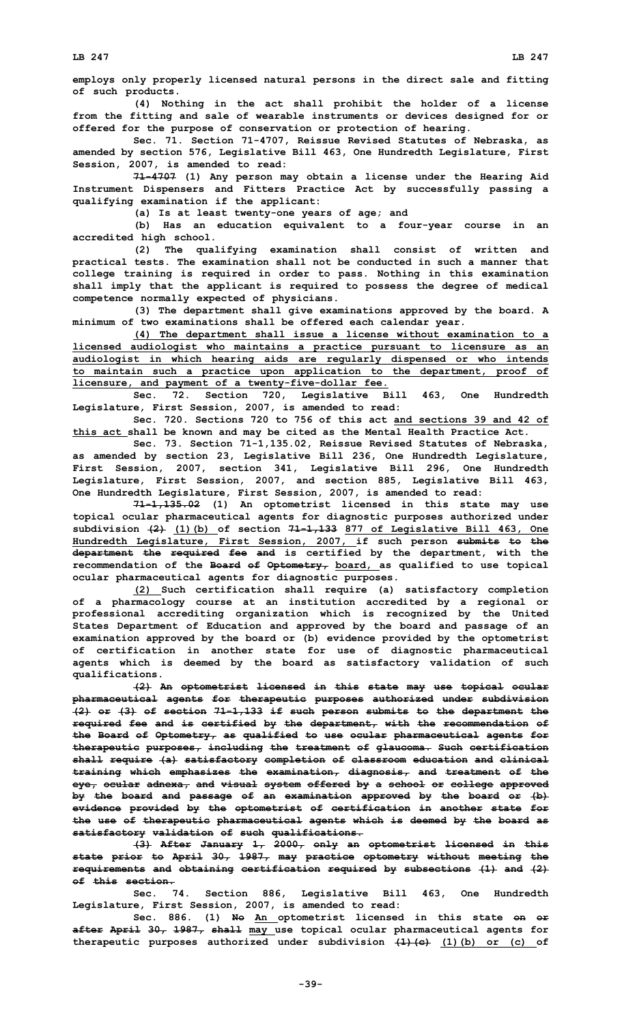**employs only properly licensed natural persons in the direct sale and fitting of such products.**

**(4) Nothing in the act shall prohibit the holder of <sup>a</sup> license from the fitting and sale of wearable instruments or devices designed for or offered for the purpose of conservation or protection of hearing.**

**Sec. 71. Section 71-4707, Reissue Revised Statutes of Nebraska, as amended by section 576, Legislative Bill 463, One Hundredth Legislature, First Session, 2007, is amended to read:**

**71-4707 (1) Any person may obtain <sup>a</sup> license under the Hearing Aid Instrument Dispensers and Fitters Practice Act by successfully passing <sup>a</sup> qualifying examination if the applicant:**

**(a) Is at least twenty-one years of age; and**

**(b) Has an education equivalent to <sup>a</sup> four-year course in an accredited high school.**

**(2) The qualifying examination shall consist of written and practical tests. The examination shall not be conducted in such <sup>a</sup> manner that college training is required in order to pass. Nothing in this examination shall imply that the applicant is required to possess the degree of medical competence normally expected of physicians.**

**(3) The department shall give examinations approved by the board. <sup>A</sup> minimum of two examinations shall be offered each calendar year.**

**(4) The department shall issue <sup>a</sup> license without examination to <sup>a</sup> licensed audiologist who maintains <sup>a</sup> practice pursuant to licensure as an audiologist in which hearing aids are regularly dispensed or who intends to maintain such <sup>a</sup> practice upon application to the department, proof of licensure, and payment of <sup>a</sup> twenty-five-dollar fee.**

**Sec. 72. Section 720, Legislative Bill 463, One Hundredth Legislature, First Session, 2007, is amended to read:**

**Sec. 720. Sections 720 to 756 of this act and sections 39 and 42 of this act shall be known and may be cited as the Mental Health Practice Act.**

**Sec. 73. Section 71-1,135.02, Reissue Revised Statutes of Nebraska, as amended by section 23, Legislative Bill 236, One Hundredth Legislature, First Session, 2007, section 341, Legislative Bill 296, One Hundredth Legislature, First Session, 2007, and section 885, Legislative Bill 463, One Hundredth Legislature, First Session, 2007, is amended to read:**

**71-1,135.02 (1) An optometrist licensed in this state may use topical ocular pharmaceutical agents for diagnostic purposes authorized under subdivision (2) (1)(b) of section 71-1,133 877 of Legislative Bill 463, One Hundredth Legislature, First Session, 2007, if such person submits to the department the required fee and is certified by the department, with the recommendation of the Board of Optometry, board, as qualified to use topical ocular pharmaceutical agents for diagnostic purposes.**

**(2) Such certification shall require (a) satisfactory completion of <sup>a</sup> pharmacology course at an institution accredited by <sup>a</sup> regional or professional accrediting organization which is recognized by the United States Department of Education and approved by the board and passage of an examination approved by the board or (b) evidence provided by the optometrist of certification in another state for use of diagnostic pharmaceutical agents which is deemed by the board as satisfactory validation of such qualifications.**

**(2) An optometrist licensed in this state may use topical ocular pharmaceutical agents for therapeutic purposes authorized under subdivision (2) or (3) of section 71-1,133 if such person submits to the department the required fee and is certified by the department, with the recommendation of the Board of Optometry, as qualified to use ocular pharmaceutical agents for therapeutic purposes, including the treatment of glaucoma. Such certification shall require (a) satisfactory completion of classroom education and clinical training which emphasizes the examination, diagnosis, and treatment of the eye, ocular adnexa, and visual system offered by <sup>a</sup> school or college approved by the board and passage of an examination approved by the board or (b) evidence provided by the optometrist of certification in another state for the use of therapeutic pharmaceutical agents which is deemed by the board as satisfactory validation of such qualifications.**

**(3) After January 1, 2000, only an optometrist licensed in this state prior to April 30, 1987, may practice optometry without meeting the requirements and obtaining certification required by subsections (1) and (2) of this section.**

**Sec. 74. Section 886, Legislative Bill 463, One Hundredth Legislature, First Session, 2007, is amended to read:**

**Sec. 886. (1) No An optometrist licensed in this state on or after April 30, 1987, shall may use topical ocular pharmaceutical agents for therapeutic purposes authorized under subdivision (1)(c) (1)(b) or (c) of**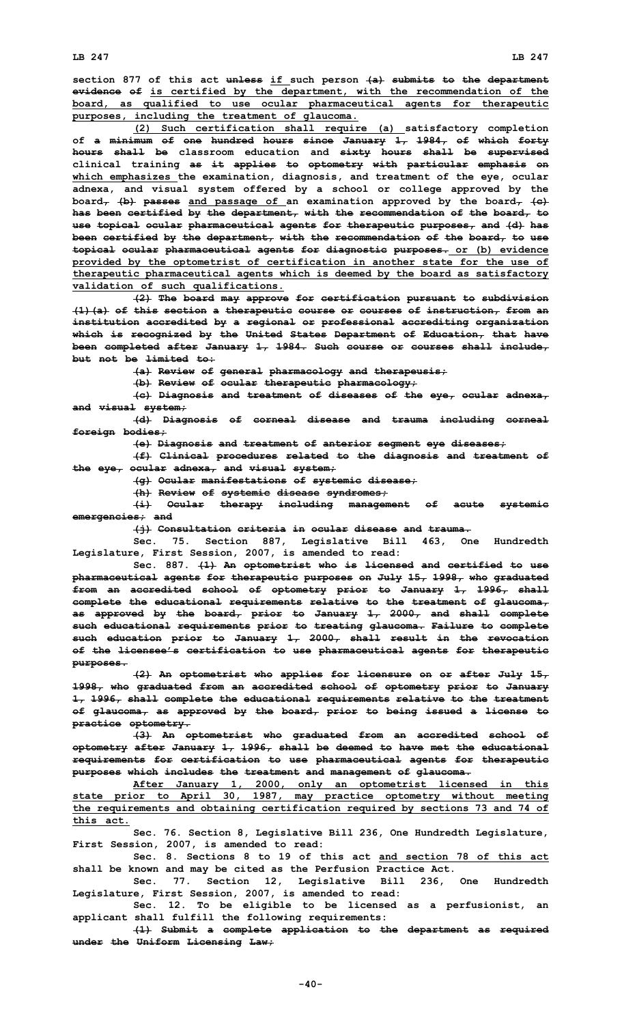**section 877 of this act unless if such person (a) submits to the department evidence of is certified by the department, with the recommendation of the board, as qualified to use ocular pharmaceutical agents for therapeutic purposes, including the treatment of glaucoma.**

**(2) Such certification shall require (a) satisfactory completion of <sup>a</sup> minimum of one hundred hours since January 1, 1984, of which forty hours shall be classroom education and sixty hours shall be supervised clinical training as it applies to optometry with particular emphasis on which emphasizes the examination, diagnosis, and treatment of the eye, ocular adnexa, and visual system offered by <sup>a</sup> school or college approved by the board, (b) passes and passage of an examination approved by the board, (c) has been certified by the department, with the recommendation of the board, to use topical ocular pharmaceutical agents for therapeutic purposes, and (d) has been certified by the department, with the recommendation of the board, to use topical ocular pharmaceutical agents for diagnostic purposes. or (b) evidence provided by the optometrist of certification in another state for the use of therapeutic pharmaceutical agents which is deemed by the board as satisfactory validation of such qualifications.**

**(2) The board may approve for certification pursuant to subdivision (1)(a) of this section <sup>a</sup> therapeutic course or courses of instruction, from an institution accredited by <sup>a</sup> regional or professional accrediting organization which is recognized by the United States Department of Education, that have been completed after January 1, 1984. Such course or courses shall include, but not be limited to:**

**(a) Review of general pharmacology and therapeusis;**

**(b) Review of ocular therapeutic pharmacology;**

**(c) Diagnosis and treatment of diseases of the eye, ocular adnexa, and visual system;**

**(d) Diagnosis of corneal disease and trauma including corneal foreign bodies;**

**(e) Diagnosis and treatment of anterior segment eye diseases;**

**(f) Clinical procedures related to the diagnosis and treatment of the eye, ocular adnexa, and visual system;**

**(g) Ocular manifestations of systemic disease;**

**(h) Review of systemic disease syndromes;**

**(i) Ocular therapy including management of acute systemic emergencies; and**

**(j) Consultation criteria in ocular disease and trauma.**

**Sec. 75. Section 887, Legislative Bill 463, One Hundredth Legislature, First Session, 2007, is amended to read:**

**Sec. 887. (1) An optometrist who is licensed and certified to use pharmaceutical agents for therapeutic purposes on July 15, 1998, who graduated from an accredited school of optometry prior to January 1, 1996, shall complete the educational requirements relative to the treatment of glaucoma, as approved by the board, prior to January 1, 2000, and shall complete such educational requirements prior to treating glaucoma. Failure to complete such education prior to January 1, 2000, shall result in the revocation of the licensee's certification to use pharmaceutical agents for therapeutic purposes.**

**(2) An optometrist who applies for licensure on or after July 15, 1998, who graduated from an accredited school of optometry prior to January 1, 1996, shall complete the educational requirements relative to the treatment of glaucoma, as approved by the board, prior to being issued <sup>a</sup> license to practice optometry.**

**(3) An optometrist who graduated from an accredited school of optometry after January 1, 1996, shall be deemed to have met the educational requirements for certification to use pharmaceutical agents for therapeutic purposes which includes the treatment and management of glaucoma.**

**After January 1, 2000, only an optometrist licensed in this state prior to April 30, 1987, may practice optometry without meeting the requirements and obtaining certification required by sections 73 and 74 of this act.**

**Sec. 76. Section 8, Legislative Bill 236, One Hundredth Legislature, First Session, 2007, is amended to read:**

**Sec. 8. Sections 8 to 19 of this act and section 78 of this act shall be known and may be cited as the Perfusion Practice Act.**

**Sec. 77. Section 12, Legislative Bill 236, One Hundredth Legislature, First Session, 2007, is amended to read:**

**Sec. 12. To be eligible to be licensed as <sup>a</sup> perfusionist, an applicant shall fulfill the following requirements:**

**(1) Submit <sup>a</sup> complete application to the department as required under the Uniform Licensing Law;**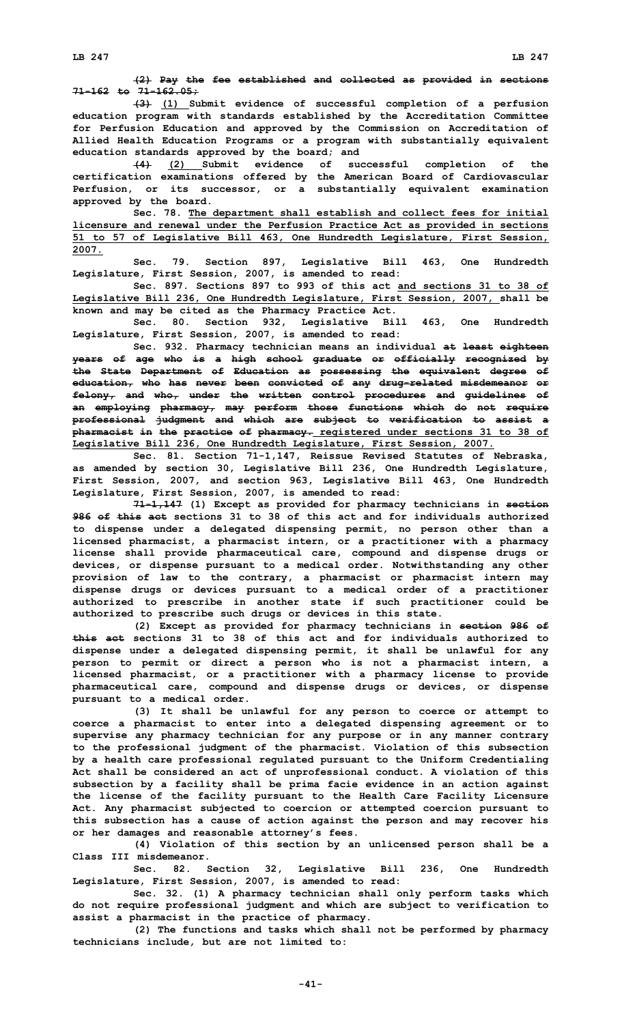**(3) (1) Submit evidence of successful completion of <sup>a</sup> perfusion education program with standards established by the Accreditation Committee for Perfusion Education and approved by the Commission on Accreditation of Allied Health Education Programs or <sup>a</sup> program with substantially equivalent education standards approved by the board; and**

**(4) (2) Submit evidence of successful completion of the certification examinations offered by the American Board of Cardiovascular Perfusion, or its successor, or <sup>a</sup> substantially equivalent examination approved by the board.**

**Sec. 78. The department shall establish and collect fees for initial licensure and renewal under the Perfusion Practice Act as provided in sections 51 to 57 of Legislative Bill 463, One Hundredth Legislature, First Session, 2007.**

**Sec. 79. Section 897, Legislative Bill 463, One Hundredth Legislature, First Session, 2007, is amended to read:**

**Sec. 897. Sections 897 to 993 of this act and sections 31 to 38 of Legislative Bill 236, One Hundredth Legislature, First Session, 2007, shall be known and may be cited as the Pharmacy Practice Act.**

**Sec. 80. Section 932, Legislative Bill 463, One Hundredth Legislature, First Session, 2007, is amended to read:**

**Sec. 932. Pharmacy technician means an individual at least eighteen years of age who is <sup>a</sup> high school graduate or officially recognized by the State Department of Education as possessing the equivalent degree of education, who has never been convicted of any drug-related misdemeanor or felony, and who, under the written control procedures and guidelines of an employing pharmacy, may perform those functions which do not require professional judgment and which are subject to verification to assist <sup>a</sup> pharmacist in the practice of pharmacy. registered under sections 31 to 38 of Legislative Bill 236, One Hundredth Legislature, First Session, 2007.**

**Sec. 81. Section 71-1,147, Reissue Revised Statutes of Nebraska, as amended by section 30, Legislative Bill 236, One Hundredth Legislature, First Session, 2007, and section 963, Legislative Bill 463, One Hundredth Legislature, First Session, 2007, is amended to read:**

**71-1,147 (1) Except as provided for pharmacy technicians in section 986 of this act sections 31 to 38 of this act and for individuals authorized to dispense under <sup>a</sup> delegated dispensing permit, no person other than <sup>a</sup> licensed pharmacist, <sup>a</sup> pharmacist intern, or <sup>a</sup> practitioner with <sup>a</sup> pharmacy license shall provide pharmaceutical care, compound and dispense drugs or devices, or dispense pursuant to <sup>a</sup> medical order. Notwithstanding any other provision of law to the contrary, <sup>a</sup> pharmacist or pharmacist intern may dispense drugs or devices pursuant to <sup>a</sup> medical order of <sup>a</sup> practitioner authorized to prescribe in another state if such practitioner could be authorized to prescribe such drugs or devices in this state.**

**(2) Except as provided for pharmacy technicians in section 986 of this act sections 31 to 38 of this act and for individuals authorized to dispense under <sup>a</sup> delegated dispensing permit, it shall be unlawful for any person to permit or direct <sup>a</sup> person who is not <sup>a</sup> pharmacist intern, <sup>a</sup> licensed pharmacist, or <sup>a</sup> practitioner with <sup>a</sup> pharmacy license to provide pharmaceutical care, compound and dispense drugs or devices, or dispense pursuant to <sup>a</sup> medical order.**

**(3) It shall be unlawful for any person to coerce or attempt to coerce <sup>a</sup> pharmacist to enter into <sup>a</sup> delegated dispensing agreement or to supervise any pharmacy technician for any purpose or in any manner contrary to the professional judgment of the pharmacist. Violation of this subsection by <sup>a</sup> health care professional regulated pursuant to the Uniform Credentialing Act shall be considered an act of unprofessional conduct. A violation of this subsection by <sup>a</sup> facility shall be prima facie evidence in an action against the license of the facility pursuant to the Health Care Facility Licensure Act. Any pharmacist subjected to coercion or attempted coercion pursuant to this subsection has <sup>a</sup> cause of action against the person and may recover his or her damages and reasonable attorney's fees.**

**(4) Violation of this section by an unlicensed person shall be <sup>a</sup> Class III misdemeanor.**

**Sec. 82. Section 32, Legislative Bill 236, One Hundredth Legislature, First Session, 2007, is amended to read:**

**Sec. 32. (1) <sup>A</sup> pharmacy technician shall only perform tasks which do not require professional judgment and which are subject to verification to assist <sup>a</sup> pharmacist in the practice of pharmacy.**

**(2) The functions and tasks which shall not be performed by pharmacy technicians include, but are not limited to:**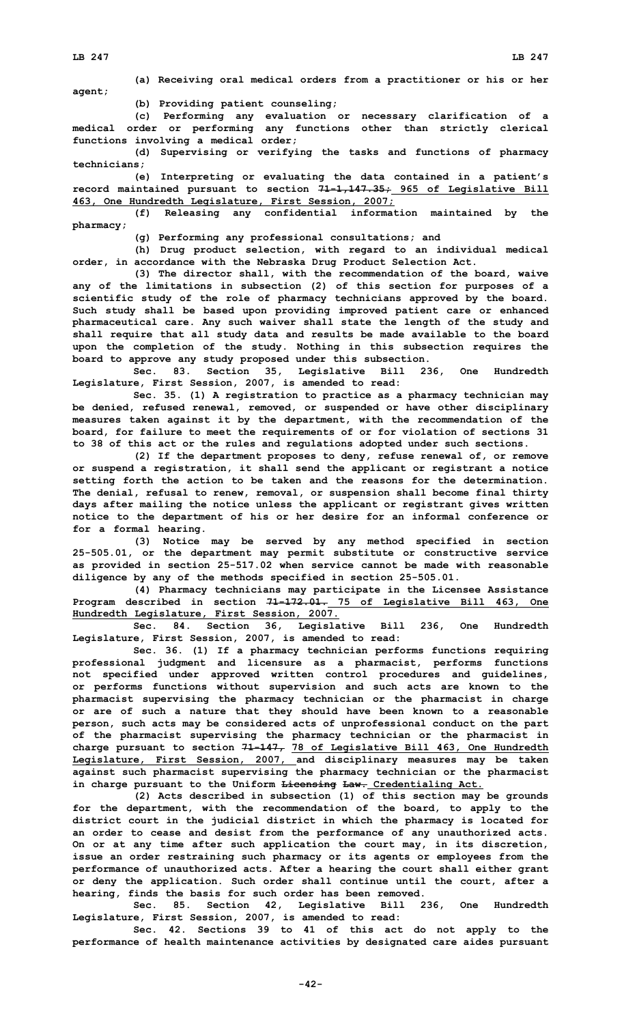**(a) Receiving oral medical orders from <sup>a</sup> practitioner or his or her agent;**

**(b) Providing patient counseling;**

**(c) Performing any evaluation or necessary clarification of <sup>a</sup> medical order or performing any functions other than strictly clerical functions involving <sup>a</sup> medical order;**

**(d) Supervising or verifying the tasks and functions of pharmacy technicians;**

**(e) Interpreting or evaluating the data contained in <sup>a</sup> patient's record maintained pursuant to section 71-1,147.35; 965 of Legislative Bill 463, One Hundredth Legislature, First Session, 2007;**

**(f) Releasing any confidential information maintained by the pharmacy;**

**(g) Performing any professional consultations; and**

**(h) Drug product selection, with regard to an individual medical order, in accordance with the Nebraska Drug Product Selection Act.**

**(3) The director shall, with the recommendation of the board, waive any of the limitations in subsection (2) of this section for purposes of <sup>a</sup> scientific study of the role of pharmacy technicians approved by the board. Such study shall be based upon providing improved patient care or enhanced pharmaceutical care. Any such waiver shall state the length of the study and shall require that all study data and results be made available to the board upon the completion of the study. Nothing in this subsection requires the board to approve any study proposed under this subsection.**

**Sec. 83. Section 35, Legislative Bill 236, One Hundredth Legislature, First Session, 2007, is amended to read:**

**Sec. 35. (1) <sup>A</sup> registration to practice as <sup>a</sup> pharmacy technician may be denied, refused renewal, removed, or suspended or have other disciplinary measures taken against it by the department, with the recommendation of the board, for failure to meet the requirements of or for violation of sections 31 to 38 of this act or the rules and regulations adopted under such sections.**

**(2) If the department proposes to deny, refuse renewal of, or remove or suspend <sup>a</sup> registration, it shall send the applicant or registrant <sup>a</sup> notice setting forth the action to be taken and the reasons for the determination. The denial, refusal to renew, removal, or suspension shall become final thirty days after mailing the notice unless the applicant or registrant gives written notice to the department of his or her desire for an informal conference or for <sup>a</sup> formal hearing.**

**(3) Notice may be served by any method specified in section 25-505.01, or the department may permit substitute or constructive service as provided in section 25-517.02 when service cannot be made with reasonable diligence by any of the methods specified in section 25-505.01.**

**(4) Pharmacy technicians may participate in the Licensee Assistance Program described in section 71-172.01. 75 of Legislative Bill 463, One Hundredth Legislature, First Session, 2007.**

**Sec. 84. Section 36, Legislative Bill 236, One Hundredth Legislature, First Session, 2007, is amended to read:**

**Sec. 36. (1) If <sup>a</sup> pharmacy technician performs functions requiring professional judgment and licensure as <sup>a</sup> pharmacist, performs functions not specified under approved written control procedures and guidelines, or performs functions without supervision and such acts are known to the pharmacist supervising the pharmacy technician or the pharmacist in charge or are of such <sup>a</sup> nature that they should have been known to <sup>a</sup> reasonable person, such acts may be considered acts of unprofessional conduct on the part of the pharmacist supervising the pharmacy technician or the pharmacist in charge pursuant to section 71-147, 78 of Legislative Bill 463, One Hundredth Legislature, First Session, 2007, and disciplinary measures may be taken against such pharmacist supervising the pharmacy technician or the pharmacist in charge pursuant to the Uniform Licensing Law. Credentialing Act.**

**(2) Acts described in subsection (1) of this section may be grounds for the department, with the recommendation of the board, to apply to the district court in the judicial district in which the pharmacy is located for an order to cease and desist from the performance of any unauthorized acts. On or at any time after such application the court may, in its discretion, issue an order restraining such pharmacy or its agents or employees from the performance of unauthorized acts. After <sup>a</sup> hearing the court shall either grant or deny the application. Such order shall continue until the court, after <sup>a</sup> hearing, finds the basis for such order has been removed.**

**Sec. 85. Section 42, Legislative Bill 236, One Hundredth Legislature, First Session, 2007, is amended to read:**

**Sec. 42. Sections 39 to 41 of this act do not apply to the performance of health maintenance activities by designated care aides pursuant**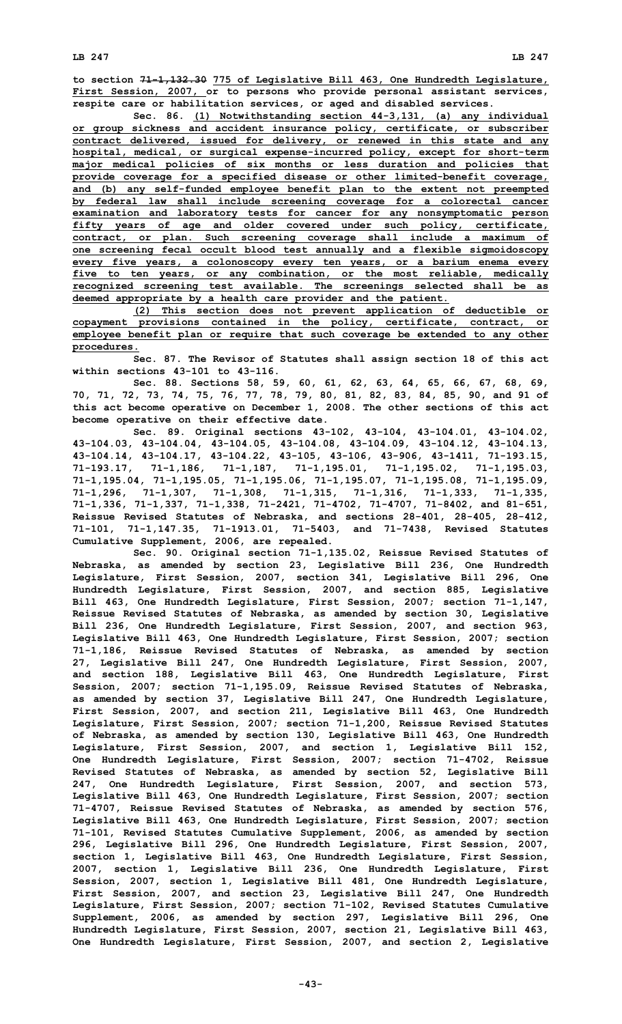**LB 247 LB 247**

**to section 71-1,132.30 775 of Legislative Bill 463, One Hundredth Legislature, First Session, 2007, or to persons who provide personal assistant services, respite care or habilitation services, or aged and disabled services.**

**Sec. 86. (1) Notwithstanding section 44-3,131, (a) any individual or group sickness and accident insurance policy, certificate, or subscriber contract delivered, issued for delivery, or renewed in this state and any hospital, medical, or surgical expense-incurred policy, except for short-term major medical policies of six months or less duration and policies that provide coverage for <sup>a</sup> specified disease or other limited-benefit coverage, and (b) any self-funded employee benefit plan to the extent not preempted by federal law shall include screening coverage for <sup>a</sup> colorectal cancer examination and laboratory tests for cancer for any nonsymptomatic person fifty years of age and older covered under such policy, certificate, contract, or plan. Such screening coverage shall include <sup>a</sup> maximum of one screening fecal occult blood test annually and <sup>a</sup> flexible sigmoidoscopy every five years, <sup>a</sup> colonoscopy every ten years, or <sup>a</sup> barium enema every five to ten years, or any combination, or the most reliable, medically recognized screening test available. The screenings selected shall be as deemed appropriate by <sup>a</sup> health care provider and the patient.**

**(2) This section does not prevent application of deductible or copayment provisions contained in the policy, certificate, contract, or employee benefit plan or require that such coverage be extended to any other procedures.**

**Sec. 87. The Revisor of Statutes shall assign section 18 of this act within sections 43-101 to 43-116.**

**Sec. 88. Sections 58, 59, 60, 61, 62, 63, 64, 65, 66, 67, 68, 69, 70, 71, 72, 73, 74, 75, 76, 77, 78, 79, 80, 81, 82, 83, 84, 85, 90, and 91 of this act become operative on December 1, 2008. The other sections of this act become operative on their effective date.**

**Sec. 89. Original sections 43-102, 43-104, 43-104.01, 43-104.02, 43-104.03, 43-104.04, 43-104.05, 43-104.08, 43-104.09, 43-104.12, 43-104.13, 43-104.14, 43-104.17, 43-104.22, 43-105, 43-106, 43-906, 43-1411, 71-193.15, 71-193.17, 71-1,186, 71-1,187, 71-1,195.01, 71-1,195.02, 71-1,195.03, 71-1,195.04, 71-1,195.05, 71-1,195.06, 71-1,195.07, 71-1,195.08, 71-1,195.09, 71-1,296, 71-1,307, 71-1,308, 71-1,315, 71-1,316, 71-1,333, 71-1,335, 71-1,336, 71-1,337, 71-1,338, 71-2421, 71-4702, 71-4707, 71-8402, and 81-651, Reissue Revised Statutes of Nebraska, and sections 28-401, 28-405, 28-412, 71-101, 71-1,147.35, 71-1913.01, 71-5403, and 71-7438, Revised Statutes Cumulative Supplement, 2006, are repealed.**

**Sec. 90. Original section 71-1,135.02, Reissue Revised Statutes of Nebraska, as amended by section 23, Legislative Bill 236, One Hundredth Legislature, First Session, 2007, section 341, Legislative Bill 296, One Hundredth Legislature, First Session, 2007, and section 885, Legislative Bill 463, One Hundredth Legislature, First Session, 2007; section 71-1,147, Reissue Revised Statutes of Nebraska, as amended by section 30, Legislative Bill 236, One Hundredth Legislature, First Session, 2007, and section 963, Legislative Bill 463, One Hundredth Legislature, First Session, 2007; section 71-1,186, Reissue Revised Statutes of Nebraska, as amended by section 27, Legislative Bill 247, One Hundredth Legislature, First Session, 2007, and section 188, Legislative Bill 463, One Hundredth Legislature, First Session, 2007; section 71-1,195.09, Reissue Revised Statutes of Nebraska, as amended by section 37, Legislative Bill 247, One Hundredth Legislature, First Session, 2007, and section 211, Legislative Bill 463, One Hundredth Legislature, First Session, 2007; section 71-1,200, Reissue Revised Statutes of Nebraska, as amended by section 130, Legislative Bill 463, One Hundredth Legislature, First Session, 2007, and section 1, Legislative Bill 152, One Hundredth Legislature, First Session, 2007; section 71-4702, Reissue Revised Statutes of Nebraska, as amended by section 52, Legislative Bill 247, One Hundredth Legislature, First Session, 2007, and section 573, Legislative Bill 463, One Hundredth Legislature, First Session, 2007; section 71-4707, Reissue Revised Statutes of Nebraska, as amended by section 576, Legislative Bill 463, One Hundredth Legislature, First Session, 2007; section 71-101, Revised Statutes Cumulative Supplement, 2006, as amended by section 296, Legislative Bill 296, One Hundredth Legislature, First Session, 2007, section 1, Legislative Bill 463, One Hundredth Legislature, First Session, 2007, section 1, Legislative Bill 236, One Hundredth Legislature, First Session, 2007, section 1, Legislative Bill 481, One Hundredth Legislature, First Session, 2007, and section 23, Legislative Bill 247, One Hundredth Legislature, First Session, 2007; section 71-102, Revised Statutes Cumulative Supplement, 2006, as amended by section 297, Legislative Bill 296, One Hundredth Legislature, First Session, 2007, section 21, Legislative Bill 463, One Hundredth Legislature, First Session, 2007, and section 2, Legislative**